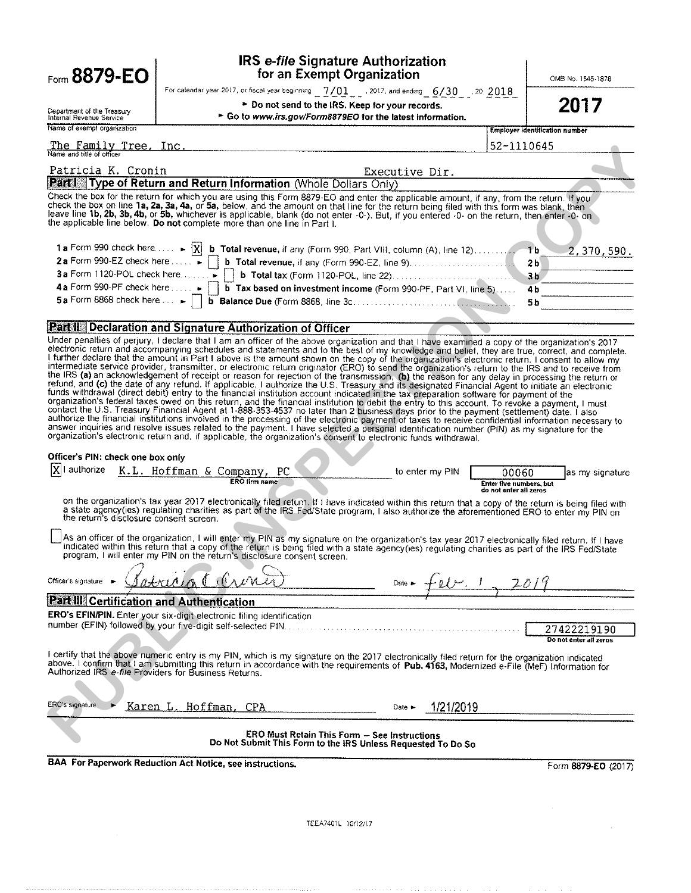|                                                         | for an Exempt Organization                                                                                                                                                                                                                                                                                                                                                                                                                                                                                                                                                                                                                                                                                                                                                                                                                                                                                                                                                                                                                                                                                                                                                                                                                                                                                                   | <b>IRS e-file Signature Authorization</b>                                                                                                                                                                 |                                                     |
|---------------------------------------------------------|------------------------------------------------------------------------------------------------------------------------------------------------------------------------------------------------------------------------------------------------------------------------------------------------------------------------------------------------------------------------------------------------------------------------------------------------------------------------------------------------------------------------------------------------------------------------------------------------------------------------------------------------------------------------------------------------------------------------------------------------------------------------------------------------------------------------------------------------------------------------------------------------------------------------------------------------------------------------------------------------------------------------------------------------------------------------------------------------------------------------------------------------------------------------------------------------------------------------------------------------------------------------------------------------------------------------------|-----------------------------------------------------------------------------------------------------------------------------------------------------------------------------------------------------------|-----------------------------------------------------|
| Form 8879-EO                                            |                                                                                                                                                                                                                                                                                                                                                                                                                                                                                                                                                                                                                                                                                                                                                                                                                                                                                                                                                                                                                                                                                                                                                                                                                                                                                                                              |                                                                                                                                                                                                           | OMB No. 1545-1878                                   |
| Department of the Treasury<br>Internal Revenue Service  |                                                                                                                                                                                                                                                                                                                                                                                                                                                                                                                                                                                                                                                                                                                                                                                                                                                                                                                                                                                                                                                                                                                                                                                                                                                                                                                              | For calendar year 2017, or fiscal year beginning $-7/01$ , 2017, and ending 6/30 .20 2018<br>► Do not send to the IRS. Keep for your records.<br>Go to www.irs.gov/Form8879EO for the latest information. | 2017                                                |
| Name of exempt organization                             |                                                                                                                                                                                                                                                                                                                                                                                                                                                                                                                                                                                                                                                                                                                                                                                                                                                                                                                                                                                                                                                                                                                                                                                                                                                                                                                              |                                                                                                                                                                                                           | <b>Employer identification number</b>               |
| The Family Tree, Inc.<br>Name and title of officer      |                                                                                                                                                                                                                                                                                                                                                                                                                                                                                                                                                                                                                                                                                                                                                                                                                                                                                                                                                                                                                                                                                                                                                                                                                                                                                                                              |                                                                                                                                                                                                           | 52-1110645                                          |
| Patricia K. Cronin                                      |                                                                                                                                                                                                                                                                                                                                                                                                                                                                                                                                                                                                                                                                                                                                                                                                                                                                                                                                                                                                                                                                                                                                                                                                                                                                                                                              |                                                                                                                                                                                                           |                                                     |
|                                                         | <b>Part   Type of Return and Return Information (Whole Dollars Only)</b>                                                                                                                                                                                                                                                                                                                                                                                                                                                                                                                                                                                                                                                                                                                                                                                                                                                                                                                                                                                                                                                                                                                                                                                                                                                     | Executive Dir.                                                                                                                                                                                            |                                                     |
|                                                         | Check the box for the return for which you are using this Form 8879-EO and enter the applicable amount, if any, from the return. If you<br>check the box on line 1a, 2a, 3a, 4a, or 5a, below, and the amount on that line for the return being filed with this form was blank, then<br>leave line 1b, 2b, 3b, 4b, or 5b, whichever is applicable, blank (do not enter -0-). But, if you entered -0- on the return, then enter -0- on<br>the applicable line below. Do not complete more than one line in Part I.                                                                                                                                                                                                                                                                                                                                                                                                                                                                                                                                                                                                                                                                                                                                                                                                            |                                                                                                                                                                                                           |                                                     |
| 2a Form 990-EZ check here $\dots$ $\blacktriangleright$ | 1 a Form 990 check here $\dots$ $\blacktriangleright$ $\overline{X}$ b Total revenue, if any (Form 990, Part VIII, column (A), line 12)                                                                                                                                                                                                                                                                                                                                                                                                                                                                                                                                                                                                                                                                                                                                                                                                                                                                                                                                                                                                                                                                                                                                                                                      |                                                                                                                                                                                                           | 1 <sub>b</sub><br>2,370,590.                        |
| 3a Form 1120-POL check here ►                           |                                                                                                                                                                                                                                                                                                                                                                                                                                                                                                                                                                                                                                                                                                                                                                                                                                                                                                                                                                                                                                                                                                                                                                                                                                                                                                                              |                                                                                                                                                                                                           | 2 <sub>b</sub><br>3 <sub>b</sub>                    |
| 4a Form 990-PF check here $\dots \rightarrow$           |                                                                                                                                                                                                                                                                                                                                                                                                                                                                                                                                                                                                                                                                                                                                                                                                                                                                                                                                                                                                                                                                                                                                                                                                                                                                                                                              | b Tax based on investment income (Form 990-PF, Part VI, line 5)                                                                                                                                           | 4b                                                  |
| 5a Form 8868 check here $\dots$ $\blacktriangleright$   |                                                                                                                                                                                                                                                                                                                                                                                                                                                                                                                                                                                                                                                                                                                                                                                                                                                                                                                                                                                                                                                                                                                                                                                                                                                                                                                              |                                                                                                                                                                                                           | 5 b                                                 |
|                                                         |                                                                                                                                                                                                                                                                                                                                                                                                                                                                                                                                                                                                                                                                                                                                                                                                                                                                                                                                                                                                                                                                                                                                                                                                                                                                                                                              |                                                                                                                                                                                                           |                                                     |
|                                                         | <b>Part II</b> Declaration and Signature Authorization of Officer<br>Under penalties of perjury, I declare that I am an officer of the above organization and that I have examined a copy of the organization's 2017                                                                                                                                                                                                                                                                                                                                                                                                                                                                                                                                                                                                                                                                                                                                                                                                                                                                                                                                                                                                                                                                                                         |                                                                                                                                                                                                           |                                                     |
|                                                         | intermediate service provider, transmitter, or electronic return originator (ERO) to send the organization's return to the IRS and to receive from<br>the IRS (a) an acknowledgement of receipt or reason for rejection of the transmission. (b) the reason for any delay in processing the return or<br>refund, and (c) the date of any refund. If applicable, I authorize the U.S. Treasury and its designated Financial Agent to initiate an electronic<br>funds withdrawal (direct debit) entry to the financial institution account indicated in the tax preparation software for payment of the<br>organization's federal taxes owed on this return, and the financial institution to debit the entry to this account. To revoke a payment, I must<br>contact the U.S. Treasury Financial Agent at 1-888-353-4537 no later than 2 business days prior to the payment (settlement) date. I also<br>authorize the financial institutions involved in the processing of the electronic payment of taxes to receive confidential information necessary to<br>answer inquiries and resolve issues related to the payment. I have selected a personal identification number (PIN) as my signature for the<br>organization's electronic return and, if applicable, the organization's consent to electronic funds withdrawal. |                                                                                                                                                                                                           |                                                     |
| Officer's PIN: check one box only                       |                                                                                                                                                                                                                                                                                                                                                                                                                                                                                                                                                                                                                                                                                                                                                                                                                                                                                                                                                                                                                                                                                                                                                                                                                                                                                                                              |                                                                                                                                                                                                           |                                                     |
|                                                         | X authorize K.L. Hoffman & Company, PC<br><b>ERO firm name</b>                                                                                                                                                                                                                                                                                                                                                                                                                                                                                                                                                                                                                                                                                                                                                                                                                                                                                                                                                                                                                                                                                                                                                                                                                                                               | to enter my PIN<br>do not enter all zeros                                                                                                                                                                 | 00060<br>as my signature<br>Enter five numbers, but |
| the return's disclosure consent screen.                 | on the organization's tax year 2017 electronically filed return. If I have indicated within this return that a copy of the return is being filed with<br>a state agency(ies) regulating charities as part of the IRS Fed/State program, I also authorize the aforementioned ERO to enter my PIN on                                                                                                                                                                                                                                                                                                                                                                                                                                                                                                                                                                                                                                                                                                                                                                                                                                                                                                                                                                                                                           |                                                                                                                                                                                                           |                                                     |
|                                                         | As an officer of the organization, I will enter my PIN as my signature on the organization's tax year 2017 electronically filed return. If I have<br>indicated within this return that a copy of the return is being filed with a state agency(ies) regulating charities as part of the IRS Fed/State<br>program, I will enter my PIN on the return's disclosure consent screen.                                                                                                                                                                                                                                                                                                                                                                                                                                                                                                                                                                                                                                                                                                                                                                                                                                                                                                                                             |                                                                                                                                                                                                           |                                                     |
| Officer's signature                                     |                                                                                                                                                                                                                                                                                                                                                                                                                                                                                                                                                                                                                                                                                                                                                                                                                                                                                                                                                                                                                                                                                                                                                                                                                                                                                                                              |                                                                                                                                                                                                           |                                                     |
| <b>Part III Certification and Authentication</b>        |                                                                                                                                                                                                                                                                                                                                                                                                                                                                                                                                                                                                                                                                                                                                                                                                                                                                                                                                                                                                                                                                                                                                                                                                                                                                                                                              |                                                                                                                                                                                                           |                                                     |
|                                                         | ERO's EFIN/PIN. Enter your six-digit electronic filing identification                                                                                                                                                                                                                                                                                                                                                                                                                                                                                                                                                                                                                                                                                                                                                                                                                                                                                                                                                                                                                                                                                                                                                                                                                                                        |                                                                                                                                                                                                           | 27422219190<br>Do not enter all zeros               |
|                                                         | I certify that the above numeric entry is my PIN, which is my signature on the 2017 electronically filed return for the organization indicated<br>above. I confirm that I am submitting this return in accordance with the requirements of Pub. 4163, Modernized e-File (MeF) Information for<br>Authorized IRS e-file Providers for Business Returns.                                                                                                                                                                                                                                                                                                                                                                                                                                                                                                                                                                                                                                                                                                                                                                                                                                                                                                                                                                       |                                                                                                                                                                                                           |                                                     |
| ERO's signature                                         | Karen L. Hoffman, CPA                                                                                                                                                                                                                                                                                                                                                                                                                                                                                                                                                                                                                                                                                                                                                                                                                                                                                                                                                                                                                                                                                                                                                                                                                                                                                                        | 1/21/2019<br>Date $\sim$                                                                                                                                                                                  |                                                     |
|                                                         |                                                                                                                                                                                                                                                                                                                                                                                                                                                                                                                                                                                                                                                                                                                                                                                                                                                                                                                                                                                                                                                                                                                                                                                                                                                                                                                              |                                                                                                                                                                                                           |                                                     |
|                                                         |                                                                                                                                                                                                                                                                                                                                                                                                                                                                                                                                                                                                                                                                                                                                                                                                                                                                                                                                                                                                                                                                                                                                                                                                                                                                                                                              | ERO Must Retain This Form - See Instructions<br>Do Not Submit This Form to the IRS Unless Requested To Do So                                                                                              |                                                     |

TEEA7401L 10/12/17

 $\sim 10^{-1}$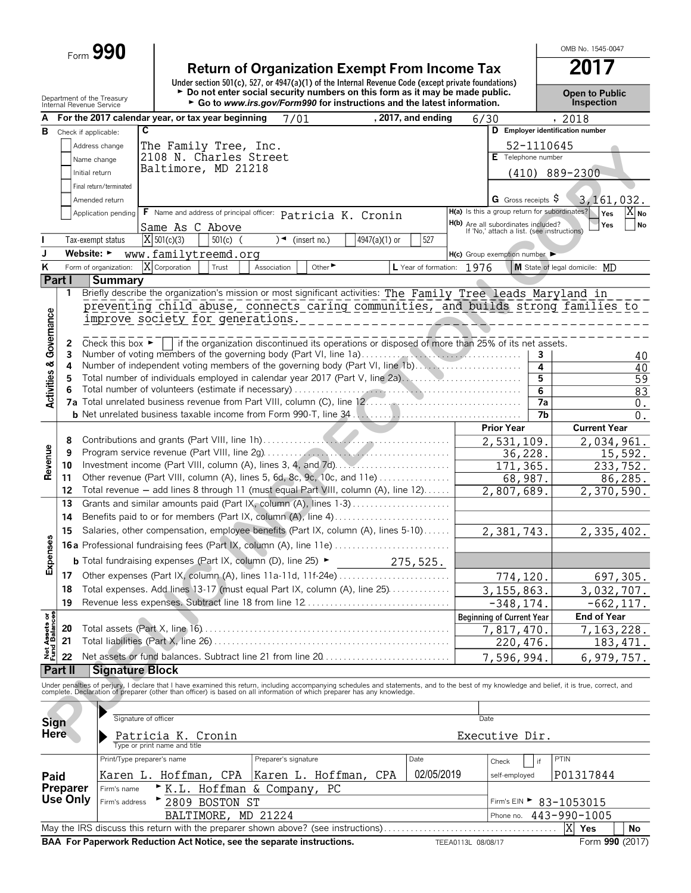Form **990**

| <b>Return of Organization Exempt From Income Tax</b> |  |  |  |  |  |  |
|------------------------------------------------------|--|--|--|--|--|--|
|------------------------------------------------------|--|--|--|--|--|--|

**Return of Organization Exempt From Income Tax** 2017<br>
Under section 501(c), 527, or 4947(a)(1) of the Internal Revenue Code (except private foundations) Department of the Treasury **Department of the Treasury Proper to Public Department of the Treasury Proper to Public**<br>■ **Continuous in the Continuous Continuous Continuous Continuous Continuous Continuous Continuous Cont** 

OMB No. 1545-0047

|                                    |                             | Department of the Treasury<br>Internal Revenue Service | ► Go to www.irs.gov/Form990 for instructions and the latest information.                                                                                                                      |                                                                                   |        | <b>Inspection</b>                |
|------------------------------------|-----------------------------|--------------------------------------------------------|-----------------------------------------------------------------------------------------------------------------------------------------------------------------------------------------------|-----------------------------------------------------------------------------------|--------|----------------------------------|
|                                    |                             |                                                        | For the 2017 calendar year, or tax year beginning<br>, 2017, and ending<br>7/01                                                                                                               | 6/30                                                                              |        | , 2018                           |
| В                                  |                             | Check if applicable:                                   | C                                                                                                                                                                                             |                                                                                   |        | D Employer identification number |
|                                    |                             | Address change                                         | The Family Tree, Inc.                                                                                                                                                                         | 52-1110645                                                                        |        |                                  |
|                                    |                             | Name change                                            | 2108 N. Charles Street                                                                                                                                                                        | E Telephone number                                                                |        |                                  |
|                                    |                             | Initial return                                         | Baltimore, MD 21218                                                                                                                                                                           |                                                                                   |        | $(410)$ 889-2300                 |
|                                    |                             | Final return/terminated                                |                                                                                                                                                                                               |                                                                                   |        |                                  |
|                                    |                             | Amended return                                         |                                                                                                                                                                                               | G Gross receipts $\varsigma$                                                      |        | 3,161,032.                       |
|                                    |                             | Application pending                                    | F Name and address of principal officer: Patricia K. Cronin                                                                                                                                   | H(a) Is this a group return for subordinates?                                     |        | Yes<br>$ X _{\mathsf{No}}$       |
|                                    |                             |                                                        | Same As C Above                                                                                                                                                                               | H(b) Are all subordinates included?<br>If 'No,' attach a list. (see instructions) |        | Yes<br>  No                      |
|                                    |                             | Tax-exempt status                                      | $ X $ 501(c)(3)<br>527<br>$501(c)$ (<br>$\sqrt{ }$ (insert no.)<br>4947(a)(1) or                                                                                                              |                                                                                   |        |                                  |
| J                                  |                             | Website: $\blacktriangleright$                         | www.familytreemd.org                                                                                                                                                                          | $H(c)$ Group exemption number                                                     |        |                                  |
| K                                  |                             | Form of organization:                                  | $ X $ Corporation<br>Trust<br>Association<br>Other $\blacktriangleright$<br>L Year of formation: 1976                                                                                         |                                                                                   |        | M State of legal domicile: MD    |
|                                    | Part I                      | Summary                                                |                                                                                                                                                                                               |                                                                                   |        |                                  |
|                                    | 1                           |                                                        | Briefly describe the organization's mission or most significant activities: The Family Tree leads Maryland in                                                                                 |                                                                                   |        |                                  |
|                                    |                             |                                                        | preventing child abuse, connects caring communities, and builds strong families to                                                                                                            |                                                                                   |        |                                  |
|                                    |                             |                                                        | improve society for generations.<br>___________________                                                                                                                                       |                                                                                   |        |                                  |
|                                    |                             |                                                        |                                                                                                                                                                                               |                                                                                   |        |                                  |
|                                    | 2                           | Check this box $\blacktriangleright$                   | if the organization discontinued its operations or disposed of more than 25% of its net assets.                                                                                               |                                                                                   |        |                                  |
|                                    | 3                           |                                                        | Number of voting members of the governing body (Part VI, line 1a)                                                                                                                             |                                                                                   | 3      | 40                               |
|                                    | 4                           |                                                        | Number of independent voting members of the governing body (Part VI, line 1b)                                                                                                                 |                                                                                   | 4      | 40                               |
|                                    | 5                           |                                                        | Total number of individuals employed in calendar year 2017 (Part V, line 2a)                                                                                                                  |                                                                                   | 5<br>6 | 59                               |
| <b>Activities &amp; Governance</b> |                             |                                                        |                                                                                                                                                                                               |                                                                                   | 7a     | 83<br>0.                         |
|                                    |                             |                                                        |                                                                                                                                                                                               |                                                                                   | 7b     | $0$ .                            |
|                                    |                             |                                                        |                                                                                                                                                                                               | <b>Prior Year</b>                                                                 |        | <b>Current Year</b>              |
|                                    | 8                           |                                                        |                                                                                                                                                                                               | 2,531,109.                                                                        |        | 2,034,961.                       |
|                                    | 9                           |                                                        |                                                                                                                                                                                               | 36,228.                                                                           |        | 15,592.                          |
| Revenue                            | 10                          |                                                        |                                                                                                                                                                                               | 171,365.                                                                          |        | 233, 752.                        |
|                                    | 11                          |                                                        | Other revenue (Part VIII, column (A), lines 5, 6d, 8c, 9c, 10c, and 11e)                                                                                                                      | 68,987.                                                                           |        | 86,285.                          |
|                                    | 12                          |                                                        | Total revenue - add lines 8 through 11 (must equal Part VIII, column (A), line 12)                                                                                                            | 2,807,689.                                                                        |        | $\overline{2,370,590}$ .         |
|                                    | 13                          |                                                        | Grants and similar amounts paid (Part IX, column (A), lines 1-3)                                                                                                                              |                                                                                   |        |                                  |
|                                    | 14                          |                                                        |                                                                                                                                                                                               |                                                                                   |        |                                  |
|                                    | 15                          |                                                        | Salaries, other compensation, employee benefits (Part IX, column (A), lines 5-10)                                                                                                             | 2,381,743.                                                                        |        | 2,335,402.                       |
| Expenses                           |                             |                                                        |                                                                                                                                                                                               |                                                                                   |        |                                  |
|                                    |                             |                                                        | <b>b</b> Total fundraising expenses (Part IX, column (D), line 25) $\blacktriangleright$<br>275,525.                                                                                          |                                                                                   |        |                                  |
|                                    | 17                          |                                                        | Other expenses (Part IX, column (A), lines 11a-11d, 11f-24e)                                                                                                                                  | 774,120.                                                                          |        | 697,305.                         |
|                                    | 18                          |                                                        | Total expenses. Add lines 13-17 (must equal Part IX, column (A), line 25)                                                                                                                     | 3, 155, 863.                                                                      |        | 3,032,707.                       |
|                                    | 19                          |                                                        | Revenue less expenses. Subtract line 18 from line 12                                                                                                                                          | $-348, 174.$                                                                      |        | $-662, 117.$                     |
|                                    |                             |                                                        |                                                                                                                                                                                               | <b>Beginning of Current Year</b>                                                  |        | End of Year                      |
| Net Assets or<br>Fund Balances     | 20                          |                                                        |                                                                                                                                                                                               | 7,817,470.                                                                        |        | 7,163,228.                       |
|                                    | 21                          |                                                        |                                                                                                                                                                                               | 220,476.                                                                          |        | 183, 471.                        |
|                                    | 22                          |                                                        | Net assets or fund balances. Subtract line 21 from line 20                                                                                                                                    | 7,596,994.                                                                        |        | 6,979,757.                       |
|                                    | <b>Part II</b>              | <b>Signature Block</b>                                 |                                                                                                                                                                                               |                                                                                   |        |                                  |
|                                    |                             |                                                        | Under penalties of perjury, I declare that I have examined this return, including accompanying schedules and statements, and to the best of my knowledge and belief, it is true, correct, and |                                                                                   |        |                                  |
|                                    |                             |                                                        | complete. Declaration of preparer (other than officer) is based on all information of which preparer has any knowledge.                                                                       |                                                                                   |        |                                  |
|                                    |                             |                                                        | Signature of officer                                                                                                                                                                          | Date                                                                              |        |                                  |
| Sign                               |                             |                                                        |                                                                                                                                                                                               |                                                                                   |        |                                  |
| <b>Here</b>                        |                             |                                                        | Patricia K. Cronin<br>Type or print name and title                                                                                                                                            | Executive Dir.                                                                    |        |                                  |
|                                    |                             |                                                        | Print/Type preparer's name<br>Preparer's signature<br>Date                                                                                                                                    |                                                                                   |        | PTIN                             |
|                                    |                             |                                                        |                                                                                                                                                                                               | Check                                                                             | if     |                                  |
| Paid                               |                             |                                                        | 02/05/2019<br>Karen L. Hoffman, CPA<br>Karen L. Hoffman, CPA                                                                                                                                  | self-employed                                                                     |        | P01317844                        |
|                                    | Preparer<br><b>Use Only</b> | Firm's name                                            | K.L. Hoffman & Company, PC                                                                                                                                                                    |                                                                                   |        |                                  |
|                                    |                             | Firm's address                                         | 2809 BOSTON ST                                                                                                                                                                                |                                                                                   |        | Firm's EIN > 83-1053015          |
|                                    |                             |                                                        | BALTIMORE, MD 21224                                                                                                                                                                           | Phone no.                                                                         |        | 443-990-1005<br>X                |
|                                    |                             |                                                        | May the IRS discuss this return with the preparer shown above? (see instructions)                                                                                                             |                                                                                   |        | Yes<br>No                        |
|                                    |                             |                                                        | BAA For Paperwork Reduction Act Notice, see the separate instructions.                                                                                                                        | TEEA0113L 08/08/17                                                                |        | Form 990 (2017)                  |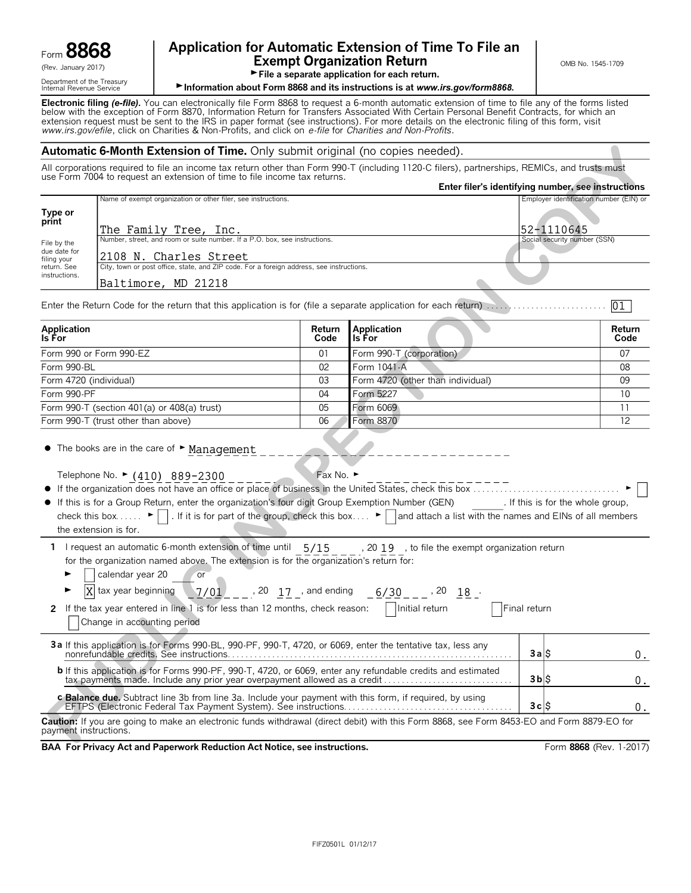

## **Application for Automatic Extension of Time To File an** Form **8868** FOMB No. 1545-1709 **Exempt Organization Return**  $\mathsf{R}\mathsf{e}$  **COMB No. 1545-1709**

Grieve Sandary 2017<br>
Department of the Treasury<br> **File a separate application for each return.**<br>
Information about Form 8868 and its instructions is at www. ► Information about Form 8868 and its instructions is at *www.irs.gov/form8868.* 

**Electronic filing (e-file).** You can electronically file Form 8868 to request a 6-month automatic extension of time to file any of the forms listed<br>below with the exception of Form 8870, Information Return for Transfers A extension request must be sent to the IRS in paper format (see instructions). For more details on the electronic filing of this form, visit *www.irs.gov/efile*, click on Charities & Non-Profits, and click on *e-file* for *Charities and Non-Profits*.

#### **Automatic 6-Month Extension of Time.** Only submit original (no copies needed).

|                              | Automatic 6-Month Extension of Time. Only submit original (no copies needed).                                                                                                                                                                                                                                                                                                                                                                                                                                                      |                |                                                    |              |                              |                                         |
|------------------------------|------------------------------------------------------------------------------------------------------------------------------------------------------------------------------------------------------------------------------------------------------------------------------------------------------------------------------------------------------------------------------------------------------------------------------------------------------------------------------------------------------------------------------------|----------------|----------------------------------------------------|--------------|------------------------------|-----------------------------------------|
|                              | All corporations required to file an income tax return other than Form 990-T (including 1120-C filers), partnerships, REMICs, and trusts must<br>use Form 7004 to request an extension of time to file income tax returns.                                                                                                                                                                                                                                                                                                         |                |                                                    |              |                              |                                         |
|                              |                                                                                                                                                                                                                                                                                                                                                                                                                                                                                                                                    |                | Enter filer's identifying number, see instructions |              |                              |                                         |
|                              | Name of exempt organization or other filer, see instructions.                                                                                                                                                                                                                                                                                                                                                                                                                                                                      |                |                                                    |              |                              | Employer identification number (EIN) or |
| Type or                      |                                                                                                                                                                                                                                                                                                                                                                                                                                                                                                                                    |                |                                                    |              |                              |                                         |
|                              | print<br>52-1110645<br>The Family Tree, Inc.<br>Number, street, and room or suite number. If a P.O. box, see instructions.                                                                                                                                                                                                                                                                                                                                                                                                         |                |                                                    |              |                              |                                         |
| File by the                  |                                                                                                                                                                                                                                                                                                                                                                                                                                                                                                                                    |                |                                                    |              | Social security number (SSN) |                                         |
| due date for<br>filing your  | 2108 N. Charles Street                                                                                                                                                                                                                                                                                                                                                                                                                                                                                                             |                |                                                    |              |                              |                                         |
| return. See<br>instructions. | City, town or post office, state, and ZIP code. For a foreign address, see instructions.                                                                                                                                                                                                                                                                                                                                                                                                                                           |                |                                                    |              |                              |                                         |
|                              | Baltimore, MD 21218                                                                                                                                                                                                                                                                                                                                                                                                                                                                                                                |                |                                                    |              |                              |                                         |
|                              |                                                                                                                                                                                                                                                                                                                                                                                                                                                                                                                                    |                |                                                    |              |                              |                                         |
|                              |                                                                                                                                                                                                                                                                                                                                                                                                                                                                                                                                    |                |                                                    |              |                              | $ 01\rangle$                            |
| Application<br>ls For        |                                                                                                                                                                                                                                                                                                                                                                                                                                                                                                                                    | Return<br>Code | Application<br>ls For                              |              |                              | Return<br>Code                          |
|                              | Form 990 or Form 990-EZ                                                                                                                                                                                                                                                                                                                                                                                                                                                                                                            | 01             | Form 990-T (corporation)                           |              |                              | 07                                      |
| Form 990-BL                  |                                                                                                                                                                                                                                                                                                                                                                                                                                                                                                                                    | 02             | Form 1041-A                                        |              |                              | 08                                      |
| Form 4720 (individual)       |                                                                                                                                                                                                                                                                                                                                                                                                                                                                                                                                    | 03             | Form 4720 (other than individual)                  |              |                              | 09                                      |
| Form 990-PF                  |                                                                                                                                                                                                                                                                                                                                                                                                                                                                                                                                    | 04             | Form 5227                                          |              |                              | 10                                      |
|                              | Form 990-T (section 401(a) or 408(a) trust)                                                                                                                                                                                                                                                                                                                                                                                                                                                                                        | 05             | Form 6069                                          |              |                              | 11                                      |
|                              | Form 990-T (trust other than above)                                                                                                                                                                                                                                                                                                                                                                                                                                                                                                | 06             | Form 8870                                          |              |                              | 12                                      |
|                              | • The books are in the care of • Management<br>Telephone No. ► (410) 889-2300<br>• If the organization does not have an office or place of business in the United States, check this box<br>• If this is for a Group Return, enter the organization's four digit Group Exemption Number (GEN) [f this is for the whole group,<br>check this box $\blacktriangleright$   . If it is for part of the group, check this box $\blacktriangleright$   and attach a list with the names and EINs of all members<br>the extension is for. | Fax No. ►      |                                                    |              |                              |                                         |
|                              | 1 I request an automatic 6-month extension of time until 5/15 , 20 19, to file the exempt organization return<br>for the organization named above. The extension is for the organization's return for:<br>calendar year 20 or                                                                                                                                                                                                                                                                                                      |                |                                                    |              |                              |                                         |
|                              | $\overrightarrow{X}$ tax year beginning $\overrightarrow{7/01}_{---}$ , 20 17, and ending $\overrightarrow{6/30}_{---}$ , 20 18,                                                                                                                                                                                                                                                                                                                                                                                                   |                |                                                    |              |                              |                                         |
| 2                            | Change in accounting period                                                                                                                                                                                                                                                                                                                                                                                                                                                                                                        |                |                                                    | Final return |                              |                                         |
|                              | 3a If this application is for Forms 990-BL, 990-PF, 990-T, 4720, or 6069, enter the tentative tax, less any                                                                                                                                                                                                                                                                                                                                                                                                                        |                |                                                    | 3a 5         |                              | $0$ .                                   |
|                              | <b>b</b> If this application is for Forms 990-PF, 990-T, 4720, or 6069, enter any refundable credits and estimated<br>tax payments made. Include any prior year overpayment allowed as a credit                                                                                                                                                                                                                                                                                                                                    |                |                                                    | 3b 5         |                              | $0$ .                                   |
|                              | c Balance due. Subtract line 3b from line 3a. Include your payment with this form, if required, by using                                                                                                                                                                                                                                                                                                                                                                                                                           |                |                                                    | 3c           |                              | 0.                                      |
| payment instructions.        | Caution: If you are going to make an electronic funds withdrawal (direct debit) with this Form 8868, see Form 8453-EO and Form 8879-EO for                                                                                                                                                                                                                                                                                                                                                                                         |                |                                                    |              |                              |                                         |
|                              |                                                                                                                                                                                                                                                                                                                                                                                                                                                                                                                                    |                |                                                    |              |                              |                                         |

| <b>Application</b><br>Is For                | Return<br>Code | <b>Application</b><br>lls For     | Return<br>Code |
|---------------------------------------------|----------------|-----------------------------------|----------------|
| Form 990 or Form 990-EZ                     | 01             | Form 990-T (corporation)          | 07             |
| Form 990-BL                                 | 02             | Form 1041-A                       | 08             |
| Form 4720 (individual)                      | 03             | Form 4720 (other than individual) | 09             |
| Form 990-PF                                 | 04             | Form 5227                         | 10             |
| Form 990-T (section 401(a) or 408(a) trust) | 05             | Form 6069                         | 11             |
| Form 990-T (trust other than above)         | 06             | Form 8870                         | 12             |

- If the organization does not have an office or place of business in the United States, check this box  $\ldots$
- If this is for a Group Return, enter the organization's four digit Group Exemption Number (GEN) . If this is for the whole group, check this box.....  $\blacktriangleright$  | |. If it is for part of the group, check this box....  $\blacktriangleright$  | |and attach a list with the names and EINs of all members the extension is for.
- **1** I request an automatic 6-month extension of time until  $\frac{5/15}{5/15}$ , 20 19, to file the exempt organization return for the organization named above. The extension is for the organization's return for:
	- calendar year 20 or

|  | $\cdot$<br>יו זיו ו<br>vear |  | 20<br>$\overline{\phantom{0}}$ | -<br>_ _ |  |  | v<br>$\overline{\phantom{0}}$<br>$\sim$ | - - |  |
|--|-----------------------------|--|--------------------------------|----------|--|--|-----------------------------------------|-----|--|
|--|-----------------------------|--|--------------------------------|----------|--|--|-----------------------------------------|-----|--|

| 2 If the tax year entered in line 1 is for less than 12 months, check reason: | Initial return | Final return |  |
|-------------------------------------------------------------------------------|----------------|--------------|--|
| Change in accounting period                                                   |                |              |  |

**BAA For Privacy Act and Paperwork Reduction Act Notice, see instructions.** Form **8868** (Rev. 1-2017)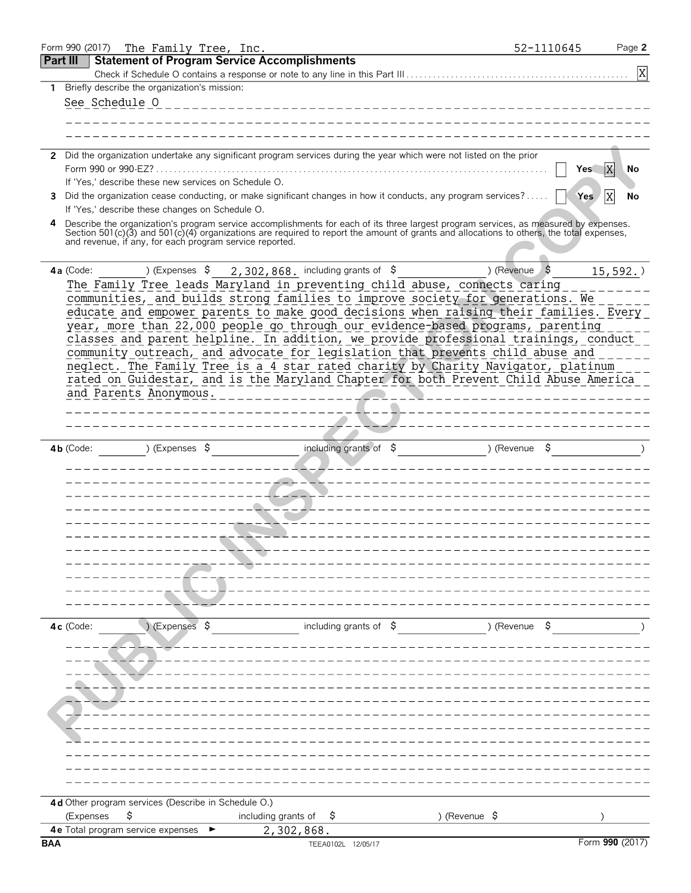|                 | Form 990 (2017) | The Family Tree, Inc.                                   |                                                                                                                                                                                                                                                                                  | 52-1110645            | Page 2          |
|-----------------|-----------------|---------------------------------------------------------|----------------------------------------------------------------------------------------------------------------------------------------------------------------------------------------------------------------------------------------------------------------------------------|-----------------------|-----------------|
| <b>Part III</b> |                 |                                                         | <b>Statement of Program Service Accomplishments</b>                                                                                                                                                                                                                              |                       |                 |
|                 |                 |                                                         |                                                                                                                                                                                                                                                                                  |                       | X               |
| 1               |                 | Briefly describe the organization's mission:            |                                                                                                                                                                                                                                                                                  |                       |                 |
|                 | See Schedule O  |                                                         |                                                                                                                                                                                                                                                                                  |                       |                 |
|                 |                 |                                                         |                                                                                                                                                                                                                                                                                  |                       |                 |
|                 |                 |                                                         |                                                                                                                                                                                                                                                                                  |                       |                 |
|                 |                 |                                                         |                                                                                                                                                                                                                                                                                  |                       |                 |
|                 |                 |                                                         | 2 Did the organization undertake any significant program services during the year which were not listed on the prior                                                                                                                                                             |                       |                 |
|                 |                 | If 'Yes,' describe these new services on Schedule O.    |                                                                                                                                                                                                                                                                                  | Yes                   | No              |
| 3               |                 |                                                         | Did the organization cease conducting, or make significant changes in how it conducts, any program services?                                                                                                                                                                     | <b>Yes</b>            |                 |
|                 |                 | If 'Yes,' describe these changes on Schedule O.         |                                                                                                                                                                                                                                                                                  |                       | ΙX<br>No        |
| 4               |                 | and revenue, if any, for each program service reported. | Describe the organization's program service accomplishments for each of its three largest program services, as measured by expenses.<br>Section 501(c)(3) and 501(c)(4) organizations are required to report the amount of grants and allocations to others, the total expenses, |                       |                 |
|                 | 4a (Code:       | ) (Expenses $\frac{1}{2}$                               | 2, 302, 868. including grants of $$$                                                                                                                                                                                                                                             | -\$<br>) (Revenue     | 15, 592.        |
|                 |                 |                                                         | The Family Tree leads Maryland in preventing child abuse, connects caring                                                                                                                                                                                                        |                       |                 |
|                 |                 |                                                         | communities, and builds strong families to improve society for generations. We                                                                                                                                                                                                   |                       |                 |
|                 |                 |                                                         | educate and empower parents to make good decisions when raising their families. Every                                                                                                                                                                                            |                       |                 |
|                 |                 |                                                         | year, more than 22,000 people go through our evidence-based programs, parenting                                                                                                                                                                                                  |                       |                 |
|                 |                 |                                                         | classes and parent helpline. In addition, we provide professional trainings, conduct                                                                                                                                                                                             |                       |                 |
|                 |                 |                                                         | community outreach, and advocate for legislation that prevents child abuse and                                                                                                                                                                                                   |                       |                 |
|                 |                 |                                                         | neglect. The Family Tree is a 4 star rated charity by Charity Navigator, platinum                                                                                                                                                                                                |                       |                 |
|                 |                 |                                                         | rated on Guidestar, and is the Maryland Chapter for both Prevent Child Abuse America                                                                                                                                                                                             |                       |                 |
|                 |                 | and Parents Anonymous.                                  |                                                                                                                                                                                                                                                                                  |                       |                 |
|                 |                 |                                                         |                                                                                                                                                                                                                                                                                  |                       |                 |
|                 |                 |                                                         |                                                                                                                                                                                                                                                                                  |                       |                 |
|                 |                 |                                                         |                                                                                                                                                                                                                                                                                  |                       |                 |
|                 | $4b$ (Code:     | ) (Expenses $\sqrt{5}$                                  | including grants of $\frac{1}{5}$                                                                                                                                                                                                                                                | ) (Revenue            |                 |
|                 |                 |                                                         |                                                                                                                                                                                                                                                                                  |                       |                 |
|                 |                 |                                                         |                                                                                                                                                                                                                                                                                  |                       |                 |
|                 |                 |                                                         |                                                                                                                                                                                                                                                                                  |                       |                 |
|                 |                 |                                                         |                                                                                                                                                                                                                                                                                  |                       |                 |
|                 |                 |                                                         |                                                                                                                                                                                                                                                                                  |                       |                 |
|                 |                 |                                                         |                                                                                                                                                                                                                                                                                  |                       |                 |
|                 |                 |                                                         |                                                                                                                                                                                                                                                                                  |                       |                 |
|                 |                 |                                                         |                                                                                                                                                                                                                                                                                  |                       |                 |
|                 |                 |                                                         |                                                                                                                                                                                                                                                                                  |                       |                 |
|                 |                 |                                                         |                                                                                                                                                                                                                                                                                  |                       |                 |
|                 |                 |                                                         |                                                                                                                                                                                                                                                                                  |                       |                 |
|                 |                 |                                                         |                                                                                                                                                                                                                                                                                  |                       |                 |
|                 | 4c (Code:       | ) (Expenses \$                                          | including grants of $$$                                                                                                                                                                                                                                                          | ) (Revenue            |                 |
|                 |                 |                                                         |                                                                                                                                                                                                                                                                                  |                       |                 |
|                 |                 |                                                         |                                                                                                                                                                                                                                                                                  |                       |                 |
|                 |                 |                                                         |                                                                                                                                                                                                                                                                                  |                       |                 |
|                 |                 |                                                         |                                                                                                                                                                                                                                                                                  |                       |                 |
|                 |                 |                                                         |                                                                                                                                                                                                                                                                                  |                       |                 |
|                 |                 |                                                         |                                                                                                                                                                                                                                                                                  |                       |                 |
|                 |                 |                                                         |                                                                                                                                                                                                                                                                                  |                       |                 |
|                 |                 |                                                         |                                                                                                                                                                                                                                                                                  |                       |                 |
|                 |                 |                                                         |                                                                                                                                                                                                                                                                                  |                       |                 |
|                 |                 |                                                         |                                                                                                                                                                                                                                                                                  |                       |                 |
|                 |                 |                                                         |                                                                                                                                                                                                                                                                                  |                       |                 |
|                 |                 |                                                         |                                                                                                                                                                                                                                                                                  |                       |                 |
|                 |                 | 4d Other program services (Describe in Schedule O.)     |                                                                                                                                                                                                                                                                                  |                       |                 |
|                 | (Expenses       | \$                                                      | including grants of<br>\$                                                                                                                                                                                                                                                        | ) (Revenue $\sqrt{5}$ |                 |
|                 |                 | <b>4e</b> Total program service expenses                | 2,302,868.                                                                                                                                                                                                                                                                       |                       |                 |
| BAA             |                 |                                                         | TEEA0102L 12/05/17                                                                                                                                                                                                                                                               |                       | Form 990 (2017) |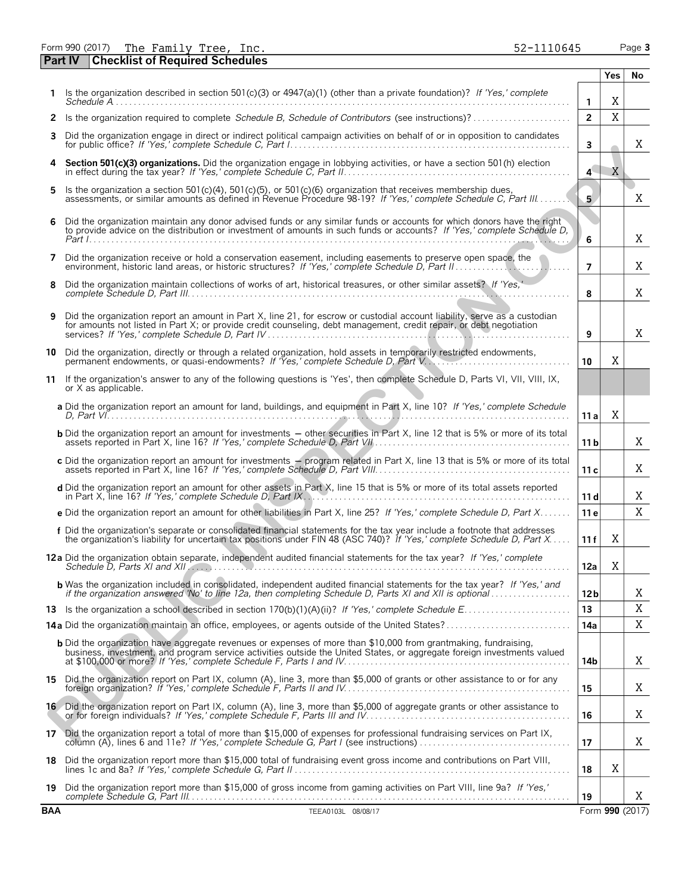Form 990 (2017) Page **3** The Family Tree, Inc. 52-1110645

|    | Part IV | <b>Checklist of Required Schedules</b>                                                                                                                                                                                                              |                 |     |    |
|----|---------|-----------------------------------------------------------------------------------------------------------------------------------------------------------------------------------------------------------------------------------------------------|-----------------|-----|----|
|    |         |                                                                                                                                                                                                                                                     |                 | Yes | No |
|    |         | 1 Is the organization described in section 501(c)(3) or 4947(a)(1) (other than a private foundation)? If 'Yes,' complete                                                                                                                            | $\mathbf{1}$    | X   |    |
|    |         |                                                                                                                                                                                                                                                     | $\overline{2}$  | X   |    |
| 3. |         | Did the organization engage in direct or indirect political campaign activities on behalf of or in opposition to candidates                                                                                                                         | $\mathbf{3}$    |     | Χ  |
| 4  |         | Section 501(c)(3) organizations. Did the organization engage in lobbying activities, or have a section 501(h) election<br>in effect during the tax year? If 'Yes,' complete Schedule C, Part II.                                                    | 4 <sup>4</sup>  | X   |    |
| 5. |         | Is the organization a section 501(c)(4), 501(c)(5), or 501(c)(6) organization that receives membership dues,<br>assessments, or similar amounts as defined in Revenue Procedure 98-19? If 'Yes,' complete Schedule C, Part III                      | 5 <sup>1</sup>  |     | X  |
| 6. |         | Did the organization maintain any donor advised funds or any similar funds or accounts for which donors have the right<br>to provide advice on the distribution or investment of amounts in such funds or accounts? If 'Yes,' complete Schedule D,  | 6               |     | Χ  |
| 7  |         | Did the organization receive or hold a conservation easement, including easements to preserve open space, the                                                                                                                                       | $\overline{ }$  |     | Χ  |
| 8  |         | Did the organization maintain collections of works of art, historical treasures, or other similar assets? If 'Yes,'                                                                                                                                 | 8               |     | Χ  |
| 9  |         | Did the organization report an amount in Part X, line 21, for escrow or custodial account liability, serve as a custodian<br>for amounts not listed in Part X; or provide credit counseling, debt management, credit repair, or debt negotiation    | 9               |     | Χ  |
| 10 |         | Did the organization, directly or through a related organization, hold assets in temporarily restricted endowments,<br>permanent endowments, or quasi-endowments? If 'Yes,' complete Schedule D, Part V.                                            | 10              | X   |    |
|    |         | 11 If the organization's answer to any of the following questions is 'Yes', then complete Schedule D, Parts VI, VII, VIII, IX,<br>or X as applicable.                                                                                               |                 |     |    |
|    |         | a Did the organization report an amount for land, buildings, and equipment in Part X, line 10? If 'Yes,' complete Schedule                                                                                                                          | 11 a            | X   |    |
|    |         | <b>b</b> Did the organization report an amount for investments - other securities in Part X, line 12 that is 5% or more of its total                                                                                                                | 11 <sub>b</sub> |     | Χ  |
|    |         | c Did the organization report an amount for investments - program related in Part X, line 13 that is 5% or more of its total                                                                                                                        | 11 c            |     | Χ  |
|    |         | d Did the organization report an amount for other assets in Part X, line 15 that is 5% or more of its total assets reported                                                                                                                         | 11d             |     | Χ  |
|    |         | e Did the organization report an amount for other liabilities in Part X, line 25? If 'Yes,' complete Schedule D, Part X                                                                                                                             | 11e             |     | X  |
|    |         | f Did the organization's separate or consolidated financial statements for the tax year include a footnote that addresses<br>the organization's liability for uncertain tax positions under FIN 48 (ASC 740)? If 'Yes,' complete Schedule D, Part X | 11 f            | X   |    |
|    |         | 12a Did the organization obtain separate, independent audited financial statements for the tax year? If 'Yes,' complete                                                                                                                             | 12a             | Χ   |    |
|    |         | <b>b</b> Was the organization included in consolidated, independent audited financial statements for the tax year? If 'Yes,' and<br>if the organization answered 'No' to line 12a, then completing Schedule D, Parts XI and XII is optional         | 12 b            |     | Χ  |
|    |         |                                                                                                                                                                                                                                                     | 13              |     | X  |
|    |         |                                                                                                                                                                                                                                                     | 14a             |     | Χ  |
|    |         | <b>b</b> Did the organization have aggregate revenues or expenses of more than \$10,000 from grantmaking, fundraising,<br>business, investment, and program service activities outside the United States, or aggregate foreign investments valued   | 14b             |     | Χ  |
|    |         | 15 Did the organization report on Part IX, column (A), line 3, more than \$5,000 of grants or other assistance to or for any                                                                                                                        | 15              |     | Χ  |
|    |         | 16 Did the organization report on Part IX, column (A), line 3, more than \$5,000 of aggregate grants or other assistance to                                                                                                                         | 16              |     | Χ  |
| 17 |         | Did the organization report a total of more than \$15,000 of expenses for professional fundraising services on Part IX,                                                                                                                             | 17              |     | Χ  |
| 18 |         | Did the organization report more than \$15,000 total of fundraising event gross income and contributions on Part VIII,                                                                                                                              | 18              | X   |    |
| 19 |         | Did the organization report more than \$15,000 of gross income from gaming activities on Part VIII, line 9a? If 'Yes,'                                                                                                                              | 19              |     | X  |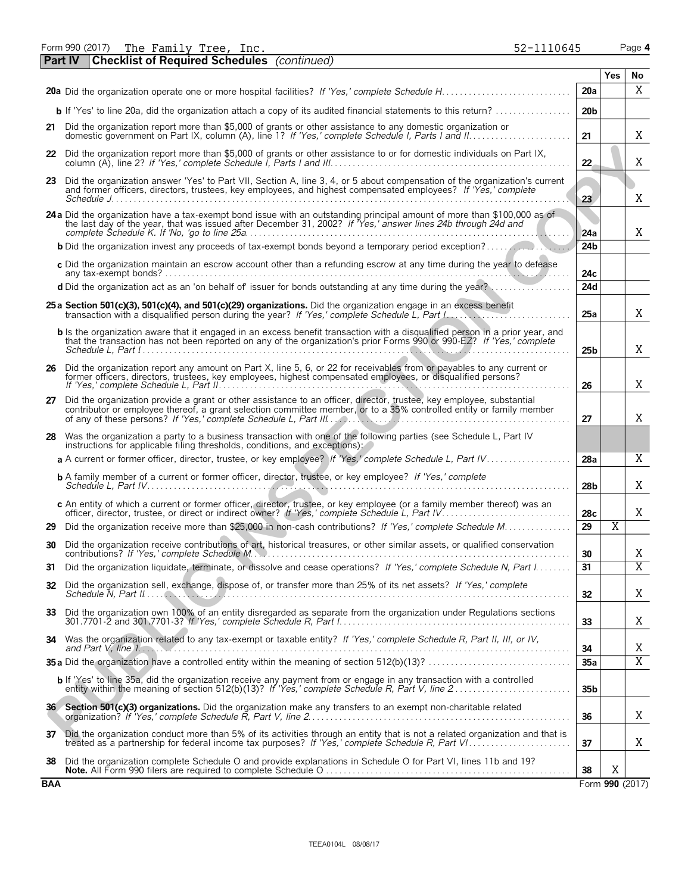Form 990 (2017) Page **4** The Family Tree, Inc. 52-1110645

|     | <b>Checklist of Required Schedules</b> (continued)<br>  Part IV                                                                                                                                                                                 |                 |                       |                       |
|-----|-------------------------------------------------------------------------------------------------------------------------------------------------------------------------------------------------------------------------------------------------|-----------------|-----------------------|-----------------------|
|     |                                                                                                                                                                                                                                                 |                 | Yes                   | <b>No</b>             |
|     |                                                                                                                                                                                                                                                 | 20a             |                       | X                     |
|     | <b>b</b> If 'Yes' to line 20a, did the organization attach a copy of its audited financial statements to this return?                                                                                                                           | 20 <sub>b</sub> |                       |                       |
|     | 21 Did the organization report more than \$5,000 of grants or other assistance to any domestic organization or                                                                                                                                  | 21              |                       | X                     |
|     | 22 Did the organization report more than \$5,000 of grants or other assistance to or for domestic individuals on Part IX,                                                                                                                       | 22              |                       | X                     |
|     | 23 Did the organization answer 'Yes' to Part VII, Section A, line 3, 4, or 5 about compensation of the organization's current<br>and former officers, directors, trustees, key employees, and highest compensated employees? If 'Yes,' complete | 23              |                       | Χ                     |
|     | 24 a Did the organization have a tax-exempt bond issue with an outstanding principal amount of more than \$100,000 as of the last day of the year, that was issued after December 31, 2002? If 'Yes,' answer lines 24b through                  | 24a             |                       | X                     |
|     |                                                                                                                                                                                                                                                 | 24 <sub>b</sub> |                       |                       |
|     | c Did the organization maintain an escrow account other than a refunding escrow at any time during the year to defease                                                                                                                          | 24с             |                       |                       |
|     | d Did the organization act as an 'on behalf of' issuer for bonds outstanding at any time during the year?                                                                                                                                       | 24d             |                       |                       |
|     | 25 a Section 501(c)(3), 501(c)(4), and 501(c)(29) organizations. Did the organization engage in an excess benefit<br>transaction with a disqualified person during the year? If 'Yes,' complete Schedule L, Part I.                             | 25a             |                       | X                     |
|     | <b>b</b> Is the organization aware that it engaged in an excess benefit transaction with a disqualified person in a prior year, and that the transaction has not been reported on any of the organization's prior Forms 990 or 990-             | 25b             |                       | X                     |
|     | 26 Did the organization report any amount on Part X, line 5, 6, or 22 for receivables from or payables to any current or<br>former officers, directors, trustees, key employees, highest compensated employees, or disqualified persons?        | 26              |                       | X                     |
| 27  | Did the organization provide a grant or other assistance to an officer, director, trustee, key employee, substantial<br>contributor or employee thereof, a grant selection committee member, or to a 35% controlled entity or fam               | 27              |                       | Χ                     |
|     | 28 Was the organization a party to a business transaction with one of the following parties (see Schedule L, Part IV<br>instructions for applicable filing thresholds, conditions, and exceptions):                                             |                 |                       |                       |
|     | a A current or former officer, director, trustee, or key employee? If 'Yes,' complete Schedule L, Part IV                                                                                                                                       | 28a             |                       | Χ                     |
|     | <b>b</b> A family member of a current or former officer, director, trustee, or key employee? If 'Yes,' complete                                                                                                                                 | 28b             |                       | X                     |
|     | c An entity of which a current or former officer, director, trustee, or key employee (or a family member thereof) was an<br>officer, director, trustee, or direct or indirect owner? If "Yes,' complete Schedule L, Part IV.                    | 28 <sub>c</sub> |                       | Χ                     |
| 29  | Did the organization receive more than \$25,000 in non-cash contributions? If 'Yes,' complete Schedule M.                                                                                                                                       | 29              | $\overline{\text{X}}$ |                       |
| 30  | Did the organization receive contributions of art, historical treasures, or other similar assets, or qualified conservation                                                                                                                     | 30              |                       | Χ                     |
| 31  | Did the organization liquidate, terminate, or dissolve and cease operations? If 'Yes,' complete Schedule N, Part I.                                                                                                                             | 31              |                       | Χ                     |
| 32  | Did the organization sell, exchange, dispose of, or transfer more than 25% of its net assets? If 'Yes,' complete                                                                                                                                | 32              |                       | Χ                     |
|     | 33 Did the organization own 100% of an entity disregarded as separate from the organization under Regulations sections                                                                                                                          | 33              |                       | Χ                     |
|     | 34 Was the organization related to any tax-exempt or taxable entity? If 'Yes,' complete Schedule R, Part II, III, or IV,                                                                                                                        | 34              |                       | Χ                     |
|     |                                                                                                                                                                                                                                                 | 35a             |                       | $\overline{\text{X}}$ |
|     | <b>b</b> If 'Yes' to line 35a, did the organization receive any payment from or engage in any transaction with a controlled<br>entity within the meaning of section 512(b)(13)? If 'Yes,' complete Schedule R, Part V, line 2                   | 35 <sub>b</sub> |                       |                       |
|     | 36 Section 501(c)(3) organizations. Did the organization make any transfers to an exempt non-charitable related                                                                                                                                 | 36              |                       | Χ                     |
| 37  | Did the organization conduct more than 5% of its activities through an entity that is not a related organization and that is                                                                                                                    | 37              |                       | Χ                     |
| 38  | Did the organization complete Schedule O and provide explanations in Schedule O for Part VI, lines 11b and 19?                                                                                                                                  | 38              | X                     |                       |
| BAA |                                                                                                                                                                                                                                                 |                 |                       | Form 990 (2017)       |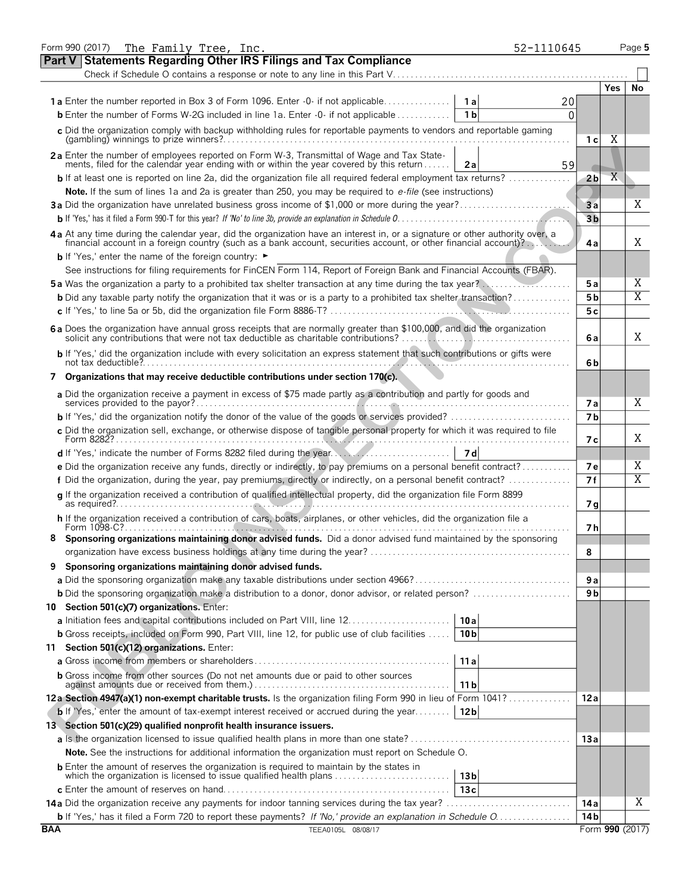|            | Form 990 (2017)<br>The Family Tree, Inc.                                                                                                   | 52-1110645              | Page 5                |
|------------|--------------------------------------------------------------------------------------------------------------------------------------------|-------------------------|-----------------------|
|            | <b>Statements Regarding Other IRS Filings and Tax Compliance</b><br>Part V                                                                 |                         |                       |
|            | Check if Schedule O contains a response or note to any line in this Part V                                                                 |                         |                       |
|            |                                                                                                                                            |                         | <b>Yes</b><br>No      |
|            | <b>1a</b> Enter the number reported in Box 3 of Form 1096. Enter -0- if not applicable<br>1 a                                              | 20                      |                       |
|            | <b>b</b> Enter the number of Forms W-2G included in line 1a. Enter -0- if not applicable<br>1 <sub>b</sub>                                 | 0                       |                       |
|            | c Did the organization comply with backup withholding rules for reportable payments to vendors and reportable gaming                       |                         |                       |
|            |                                                                                                                                            | 1 с                     | Χ                     |
|            | 2a Enter the number of employees reported on Form W-3, Transmittal of Wage and Tax State-                                                  |                         |                       |
|            | ments, filed for the calendar year ending with or within the year covered by this return<br>2a                                             | 59                      |                       |
|            | <b>b</b> If at least one is reported on line 2a, did the organization file all required federal employment tax returns?                    | 2 <sub>b</sub>          | $\overline{X}$        |
|            | Note. If the sum of lines 1a and 2a is greater than 250, you may be required to e-file (see instructions)                                  |                         |                       |
|            |                                                                                                                                            | 3a                      | Χ                     |
|            |                                                                                                                                            | 3 <sub>b</sub>          |                       |
|            | 4a At any time during the calendar year, did the organization have an interest in, or a signature or other authority over, a               |                         |                       |
|            | financial account in a foreign country (such as a bank account, securities account, or other financial account)?                           | 4a                      | Χ                     |
|            | <b>b</b> If 'Yes,' enter the name of the foreign country: $\blacktriangleright$                                                            |                         |                       |
|            | See instructions for filing requirements for FinCEN Form 114, Report of Foreign Bank and Financial Accounts (FBAR).                        |                         |                       |
|            | 5a Was the organization a party to a prohibited tax shelter transaction at any time during the tax year?                                   | 5а                      | Χ                     |
|            | <b>b</b> Did any taxable party notify the organization that it was or is a party to a prohibited tax shelter transaction?                  | 5 <sub>b</sub>          | $\overline{\text{X}}$ |
|            |                                                                                                                                            | 5с                      |                       |
|            | 6a Does the organization have annual gross receipts that are normally greater than \$100,000, and did the organization                     |                         |                       |
|            | solicit any contributions that were not tax deductible as charitable contributions?                                                        | 6а                      | Χ                     |
|            | b If 'Yes,' did the organization include with every solicitation an express statement that such contributions or gifts were                |                         |                       |
|            |                                                                                                                                            | 6b                      |                       |
|            | 7 Organizations that may receive deductible contributions under section 170(c).                                                            |                         |                       |
|            | a Did the organization receive a payment in excess of \$75 made partly as a contribution and partly for goods and                          |                         | Χ                     |
|            |                                                                                                                                            | 7а                      |                       |
|            |                                                                                                                                            | 7 <sub>b</sub>          |                       |
|            | c Did the organization sell, exchange, or otherwise dispose of tangible personal property for which it was required to file<br>Form 8282?. | 7 с                     | Χ                     |
|            |                                                                                                                                            |                         |                       |
|            | e Did the organization receive any funds, directly or indirectly, to pay premiums on a personal benefit contract?                          | 7е                      | Χ                     |
|            | f Did the organization, during the year, pay premiums, directly or indirectly, on a personal benefit contract?                             | 7f                      | $\overline{\text{X}}$ |
|            | q If the organization received a contribution of qualified intellectual property, did the organization file Form 8899                      |                         |                       |
|            | as required?                                                                                                                               | 7 g                     |                       |
|            | h If the organization received a contribution of cars, boats, airplanes, or other vehicles, did the organization file a<br>Form 1098-C?    | 7 h                     |                       |
|            | Sponsoring organizations maintaining donor advised funds. Did a donor advised fund maintained by the sponsoring                            |                         |                       |
|            |                                                                                                                                            | 8                       |                       |
| 9          | Sponsoring organizations maintaining donor advised funds.                                                                                  |                         |                       |
|            |                                                                                                                                            | 9а                      |                       |
|            | <b>b</b> Did the sponsoring organization make a distribution to a donor, donor advisor, or related person?                                 | 9 b                     |                       |
|            | 10 Section 501(c)(7) organizations. Enter:                                                                                                 |                         |                       |
|            | 10a                                                                                                                                        |                         |                       |
|            | <b>b</b> Gross receipts, included on Form 990, Part VIII, line 12, for public use of club facilities<br>10 <sub>b</sub>                    |                         |                       |
|            | 11 Section 501(c)(12) organizations. Enter:                                                                                                |                         |                       |
|            | 11a                                                                                                                                        |                         |                       |
|            | <b>b</b> Gross income from other sources (Do not net amounts due or paid to other sources                                                  |                         |                       |
|            | 11 <sub>b</sub>                                                                                                                            |                         |                       |
|            | 12a Section 4947(a)(1) non-exempt charitable trusts. Is the organization filing Form 990 in lieu of Form 1041?                             | 12a                     |                       |
|            | 12b <br><b>b</b> If 'Yes,' enter the amount of tax-exempt interest received or accrued during the year                                     |                         |                       |
|            | 13 Section 501(c)(29) qualified nonprofit health insurance issuers.                                                                        |                         |                       |
|            |                                                                                                                                            | 13a                     |                       |
|            | <b>Note.</b> See the instructions for additional information the organization must report on Schedule O.                                   |                         |                       |
|            | <b>b</b> Enter the amount of reserves the organization is required to maintain by the states in                                            |                         |                       |
|            | 13 <sub>b</sub><br>which the organization is licensed to issue qualified health plans                                                      |                         |                       |
|            | 13c                                                                                                                                        |                         | X                     |
|            |                                                                                                                                            | 14 a<br>14 <sub>b</sub> |                       |
| <b>BAA</b> | <b>b</b> If 'Yes,' has it filed a Form 720 to report these payments? If 'No,' provide an explanation in Schedule O<br>TEEA0105L 08/08/17   |                         | Form 990 (2017)       |
|            |                                                                                                                                            |                         |                       |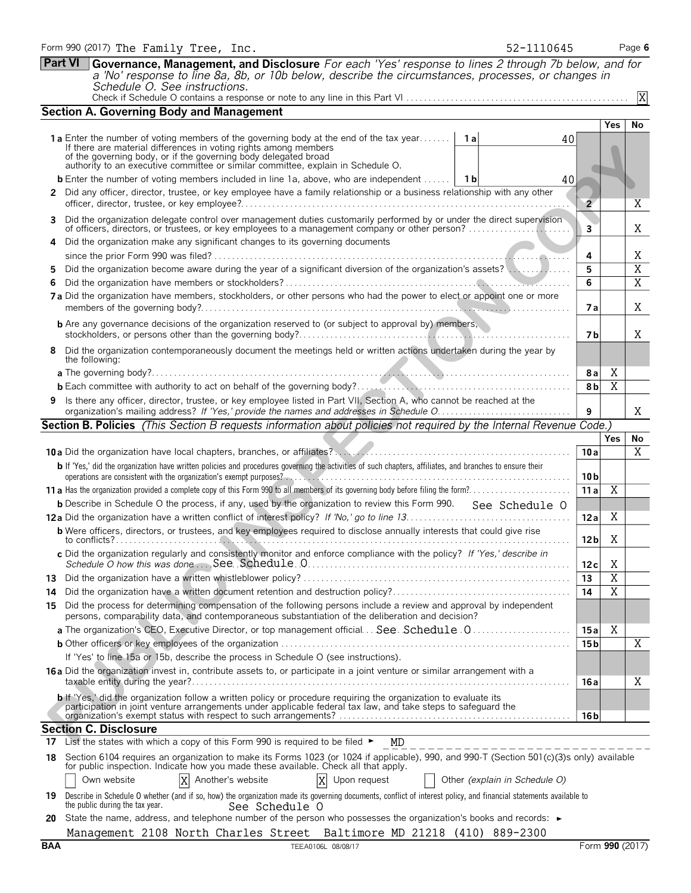|                | Form 990 (2017) The Family Tree, Inc.                                                                                                                                                                     | 52-1110645 |       | Page 6 |
|----------------|-----------------------------------------------------------------------------------------------------------------------------------------------------------------------------------------------------------|------------|-------|--------|
| <b>Part VI</b> | Governance, Management, and Disclosure For each 'Yes' response to lines 2 through 7b below, and for<br>a 'No' response to line 8a, 8b, or 10b below, describe the circumstances, processes, or changes in |            |       |        |
|                | Schedule O. See instructions.                                                                                                                                                                             |            |       |        |
|                | <b>Section A. Governing Body and Management</b>                                                                                                                                                           |            |       |        |
|                |                                                                                                                                                                                                           |            | Yes l | No     |

|                                                                                                                                                                                                                               |                 | Yes            | No                    |
|-------------------------------------------------------------------------------------------------------------------------------------------------------------------------------------------------------------------------------|-----------------|----------------|-----------------------|
| 1a Enter the number of voting members of the governing body at the end of the tax year<br>1 a<br>40                                                                                                                           |                 |                |                       |
| If there are material differences in voting rights among members<br>of the governing body, or if the governing body delegated broad                                                                                           |                 |                |                       |
| authority to an executive committee or similar committee, explain in Schedule O.                                                                                                                                              |                 |                |                       |
| <b>b</b> Enter the number of voting members included in line 1a, above, who are independent    1b<br>40                                                                                                                       |                 |                |                       |
| 2 Did any officer, director, trustee, or key employee have a family relationship or a business relationship with any other                                                                                                    | $\overline{2}$  |                | X                     |
| 3 Did the organization delegate control over management duties customarily performed by or under the direct supervision                                                                                                       |                 |                |                       |
|                                                                                                                                                                                                                               | 3 <sup>2</sup>  |                | Χ                     |
| Did the organization make any significant changes to its governing documents                                                                                                                                                  |                 |                |                       |
|                                                                                                                                                                                                                               | 4               |                | Χ                     |
| Did the organization become aware during the year of a significant diversion of the organization's assets?                                                                                                                    | 5               |                | $\overline{\text{X}}$ |
| 6                                                                                                                                                                                                                             | 6               |                | $\overline{X}$        |
| 7a Did the organization have members, stockholders, or other persons who had the power to elect or appoint one or more                                                                                                        | 7а              |                | X                     |
| <b>b</b> Are any governance decisions of the organization reserved to (or subject to approval by) members,                                                                                                                    | 7 b             |                | Χ                     |
| Did the organization contemporaneously document the meetings held or written actions undertaken during the year by                                                                                                            |                 |                |                       |
| the following:                                                                                                                                                                                                                |                 |                |                       |
|                                                                                                                                                                                                                               | 8a              | X              |                       |
|                                                                                                                                                                                                                               | 8 <sub>b</sub>  | X              |                       |
| Is there any officer, director, trustee, or key employee listed in Part VII, Section A, who cannot be reached at the<br>9                                                                                                     | 9               |                | X                     |
| <b>Section B. Policies</b> (This Section B requests information about policies not required by the Internal Revenue Code.)                                                                                                    |                 |                |                       |
|                                                                                                                                                                                                                               |                 | Yes            | No                    |
|                                                                                                                                                                                                                               | 10a             |                | $\overline{X}$        |
| b If 'Yes,' did the organization have written policies and procedures governing the activities of such chapters, affiliates, and branches to ensure their                                                                     | 10 <sub>b</sub> |                |                       |
|                                                                                                                                                                                                                               | 11a             | $\overline{X}$ |                       |
| <b>b</b> Describe in Schedule O the process, if any, used by the organization to review this Form 990.<br>See Schedule O                                                                                                      |                 |                |                       |
|                                                                                                                                                                                                                               | 12a             | Χ              |                       |
| <b>b</b> Were officers, directors, or trustees, and key employees required to disclose annually interests that could give rise                                                                                                | 12 <sub>b</sub> | Χ              |                       |
| c Did the organization regularly and consistently monitor and enforce compliance with the policy? If 'Yes,' describe in                                                                                                       | 12c             | Χ              |                       |
|                                                                                                                                                                                                                               | 13              | $\overline{X}$ |                       |
|                                                                                                                                                                                                                               | 14              | $\overline{X}$ |                       |
| Did the process for determining compensation of the following persons include a review and approval by independent<br>15<br>persons, comparability data, and contemporaneous substantiation of the deliberation and decision? |                 |                |                       |
|                                                                                                                                                                                                                               | 15 a            | X              |                       |
|                                                                                                                                                                                                                               | 15 <sub>b</sub> |                | Χ                     |
| If 'Yes' to line 15a or 15b, describe the process in Schedule O (see instructions).                                                                                                                                           |                 |                |                       |
| 16a Did the organization invest in, contribute assets to, or participate in a joint venture or similar arrangement with a                                                                                                     |                 |                |                       |
|                                                                                                                                                                                                                               | 16 a            |                | Χ                     |
| b If 'Yes,' did the organization follow a written policy or procedure requiring the organization to evaluate its                                                                                                              |                 |                |                       |
| participation in joint venture arrangements under applicable federal tax law, and take steps to safeguard the                                                                                                                 | 16 b            |                |                       |
| <b>Section C. Disclosure</b>                                                                                                                                                                                                  |                 |                |                       |
| 17 List the states with which a copy of this Form 990 is required to be filed ►<br>MD.                                                                                                                                        |                 |                |                       |
| 18 Section 6104 requires an organization to make its Forms 1023 (or 1024 if applicable), 990, and 990-T (Section 501(c)(3)s only) available                                                                                   |                 |                |                       |
| for public inspection. Indicate how you made these available. Check all that apply.                                                                                                                                           |                 |                |                       |
| $ X $ Another's website<br>$\overline{X}$ Upon request<br>Own website<br>Other (explain in Schedule O)                                                                                                                        |                 |                |                       |

|                                 |                | 19 Describe in Schedule O whether (and if so, how) the organization made its governing documents, conflict of interest policy, and financial statements available to |
|---------------------------------|----------------|----------------------------------------------------------------------------------------------------------------------------------------------------------------------|
| the public during the tax year. | See Schedule O |                                                                                                                                                                      |

**20** State the name, address, and telephone number of the person who possesses the organization's books and records: ► Management 2108 North Charles Street Baltimore MD 21218 (410) 889-2300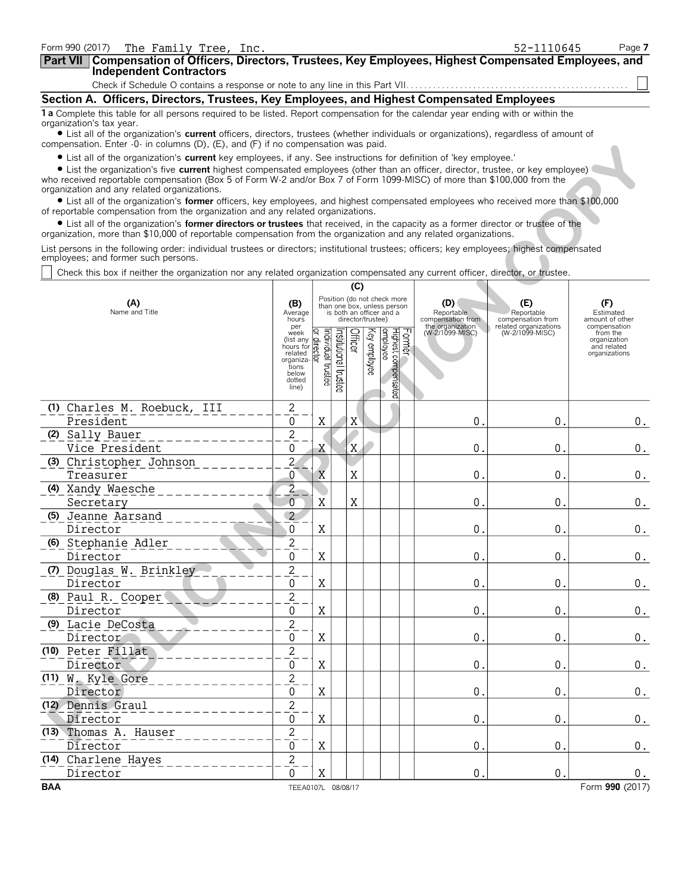| The Family Tree, Inc.<br>Form 990 (2017)                                                                                                                                                                                                                                                                                                                      |                                                                                                                 |                |                       |         |                   |                                                            |  |                                     | 52-1110645                               | Page 7                       |
|---------------------------------------------------------------------------------------------------------------------------------------------------------------------------------------------------------------------------------------------------------------------------------------------------------------------------------------------------------------|-----------------------------------------------------------------------------------------------------------------|----------------|-----------------------|---------|-------------------|------------------------------------------------------------|--|-------------------------------------|------------------------------------------|------------------------------|
| Part VII   Compensation of Officers, Directors, Trustees, Key Employees, Highest Compensated Employees, and                                                                                                                                                                                                                                                   |                                                                                                                 |                |                       |         |                   |                                                            |  |                                     |                                          |                              |
| <b>Independent Contractors</b>                                                                                                                                                                                                                                                                                                                                |                                                                                                                 |                |                       |         |                   |                                                            |  |                                     |                                          |                              |
|                                                                                                                                                                                                                                                                                                                                                               |                                                                                                                 |                |                       |         |                   |                                                            |  |                                     |                                          |                              |
| Section A. Officers, Directors, Trustees, Key Employees, and Highest Compensated Employees                                                                                                                                                                                                                                                                    |                                                                                                                 |                |                       |         |                   |                                                            |  |                                     |                                          |                              |
| 1 a Complete this table for all persons required to be listed. Report compensation for the calendar year ending with or within the<br>organization's tax year.<br>• List all of the organization's current officers, directors, trustees (whether individuals or organizations), regardless of amount of                                                      |                                                                                                                 |                |                       |         |                   |                                                            |  |                                     |                                          |                              |
| compensation. Enter -0- in columns (D), (E), and (F) if no compensation was paid.                                                                                                                                                                                                                                                                             |                                                                                                                 |                |                       |         |                   |                                                            |  |                                     |                                          |                              |
| • List all of the organization's current key employees, if any. See instructions for definition of 'key employee.'                                                                                                                                                                                                                                            |                                                                                                                 |                |                       |         |                   |                                                            |  |                                     |                                          |                              |
| • List the organization's five current highest compensated employees (other than an officer, director, trustee, or key employee)<br>who received reportable compensation (Box 5 of Form W-2 and/or Box 7 of Form 1099-MISC) of more than \$100,000 from the<br>organization and any related organizations.                                                    |                                                                                                                 |                |                       |         |                   |                                                            |  |                                     |                                          |                              |
| • List all of the organization's former officers, key employees, and highest compensated employees who received more than \$100,000<br>of reportable compensation from the organization and any related organizations.<br>• List all of the organization's former directors or trustees that received, in the capacity as a former director or trustee of the |                                                                                                                 |                |                       |         |                   |                                                            |  |                                     |                                          |                              |
| organization, more than \$10,000 of reportable compensation from the organization and any related organizations.                                                                                                                                                                                                                                              |                                                                                                                 |                |                       |         |                   |                                                            |  |                                     |                                          |                              |
| List persons in the following order: individual trustees or directors; institutional trustees; officers; key employees; highest compensated<br>employees; and former such persons.                                                                                                                                                                            |                                                                                                                 |                |                       |         |                   |                                                            |  |                                     |                                          |                              |
| Check this box if neither the organization nor any related organization compensated any current officer, director, or trustee.                                                                                                                                                                                                                                |                                                                                                                 |                |                       |         |                   |                                                            |  |                                     |                                          |                              |
|                                                                                                                                                                                                                                                                                                                                                               |                                                                                                                 |                |                       | (C)     |                   |                                                            |  |                                     |                                          |                              |
| (A)                                                                                                                                                                                                                                                                                                                                                           | (B)                                                                                                             |                |                       |         |                   | Position (do not check more<br>than one box, unless person |  | (D)                                 | (E)                                      | (F)                          |
| Name and Title                                                                                                                                                                                                                                                                                                                                                | Average<br>hours                                                                                                |                |                       |         | director/trustee) | is both an officer and a                                   |  | Reportable<br>compensation from     | Reportable<br>compensation from          | Estimated<br>amount of other |
|                                                                                                                                                                                                                                                                                                                                                               | per<br>week                                                                                                     |                |                       |         |                   |                                                            |  | the organization<br>(W-2/1099-MISC) | related organizations<br>(W-2/1099-MISC) | compensation<br>from the     |
|                                                                                                                                                                                                                                                                                                                                                               | $\frac{1}{\text{R}}$ (list any $\frac{1}{\text{R}}$ )<br>hours for $\frac{1}{\text{R}}$<br>related<br>organiza- | Individual     |                       | Officer | Key employee      | Former<br>Highest con<br>employee                          |  |                                     |                                          | organization<br>and related  |
|                                                                                                                                                                                                                                                                                                                                                               |                                                                                                                 |                |                       |         |                   |                                                            |  |                                     |                                          | organizations                |
|                                                                                                                                                                                                                                                                                                                                                               | tions<br>below                                                                                                  | <b>Trustee</b> | Institutional trustee |         |                   | mensat                                                     |  |                                     |                                          |                              |
|                                                                                                                                                                                                                                                                                                                                                               | dotted<br>line)                                                                                                 |                |                       |         |                   | T                                                          |  |                                     |                                          |                              |
| (1) Charles M. Roebuck, III                                                                                                                                                                                                                                                                                                                                   | 2                                                                                                               |                |                       |         |                   |                                                            |  |                                     |                                          |                              |
| President                                                                                                                                                                                                                                                                                                                                                     | 0                                                                                                               | X              |                       | X       |                   |                                                            |  | 0.                                  | 0.                                       | $0$ .                        |
| (2) Sally Bauer                                                                                                                                                                                                                                                                                                                                               | $\overline{2}$                                                                                                  |                |                       |         |                   |                                                            |  |                                     |                                          |                              |
| Vice President                                                                                                                                                                                                                                                                                                                                                | 0                                                                                                               | X              |                       | X       |                   |                                                            |  | $\mathsf{O}$ .                      | 0.                                       | 0.                           |
| (3) Christopher Johnson                                                                                                                                                                                                                                                                                                                                       | $\overline{2}$                                                                                                  |                |                       |         |                   |                                                            |  |                                     |                                          |                              |
| Treasurer                                                                                                                                                                                                                                                                                                                                                     | 0                                                                                                               | X              |                       | X       |                   |                                                            |  | $\mathbf 0$                         | 0                                        | 0.                           |
| (4) Xandy Waesche                                                                                                                                                                                                                                                                                                                                             | $\overline{c}$                                                                                                  |                |                       |         |                   |                                                            |  |                                     |                                          |                              |
| Secretary                                                                                                                                                                                                                                                                                                                                                     | 0                                                                                                               | X              |                       | X       |                   |                                                            |  | $\mathbf 0$                         | 0.                                       | 0.                           |
| (5) Jeanne Aarsand                                                                                                                                                                                                                                                                                                                                            | $\overline{2}$                                                                                                  |                |                       |         |                   |                                                            |  |                                     |                                          |                              |
| Director                                                                                                                                                                                                                                                                                                                                                      | 0                                                                                                               | X              |                       |         |                   |                                                            |  | 0                                   | $\mathbf{0}$                             | 0.                           |
| (6) Stephanie Adler                                                                                                                                                                                                                                                                                                                                           | 2                                                                                                               |                |                       |         |                   |                                                            |  |                                     |                                          |                              |
| Director                                                                                                                                                                                                                                                                                                                                                      | 0                                                                                                               | X              |                       |         |                   |                                                            |  | 0.                                  | 0.                                       | $0$ .                        |
| (7) Douglas W. Brinkley                                                                                                                                                                                                                                                                                                                                       | $\overline{c}$                                                                                                  |                |                       |         |                   |                                                            |  |                                     |                                          |                              |
| Director                                                                                                                                                                                                                                                                                                                                                      | 0                                                                                                               | $\mathbf X$    |                       |         |                   |                                                            |  | 0.                                  | 0.                                       | $0_{.}$                      |
| (8) Paul R. Cooper                                                                                                                                                                                                                                                                                                                                            | $\overline{c}$                                                                                                  |                |                       |         |                   |                                                            |  |                                     |                                          |                              |
| Director                                                                                                                                                                                                                                                                                                                                                      | 0                                                                                                               | $\mathbf X$    |                       |         |                   |                                                            |  | 0.                                  | 0.                                       | $0_{\cdot}$                  |
| (9) Lacie DeCosta                                                                                                                                                                                                                                                                                                                                             | $\overline{c}$                                                                                                  |                |                       |         |                   |                                                            |  |                                     |                                          |                              |
| Director                                                                                                                                                                                                                                                                                                                                                      | 0                                                                                                               | $\mathbf X$    |                       |         |                   |                                                            |  | 0.                                  | 0.                                       | $0_{\cdot}$                  |
| (10) Peter Fillat                                                                                                                                                                                                                                                                                                                                             | $\overline{c}$                                                                                                  |                |                       |         |                   |                                                            |  |                                     |                                          |                              |
| Director                                                                                                                                                                                                                                                                                                                                                      | 0                                                                                                               | $\mathbf X$    |                       |         |                   |                                                            |  | 0.                                  | 0.                                       | $0_{.}$                      |
| (11) W. Kyle Gore                                                                                                                                                                                                                                                                                                                                             | 2                                                                                                               |                |                       |         |                   |                                                            |  |                                     |                                          |                              |
| Director                                                                                                                                                                                                                                                                                                                                                      | 0                                                                                                               | $\mathbf X$    |                       |         |                   |                                                            |  | 0.                                  | 0.                                       | $0_{\cdot}$                  |
| (12) Dennis Graul                                                                                                                                                                                                                                                                                                                                             | 2                                                                                                               |                |                       |         |                   |                                                            |  |                                     |                                          |                              |
| Director                                                                                                                                                                                                                                                                                                                                                      | 0                                                                                                               | $\mathbf X$    |                       |         |                   |                                                            |  | 0.                                  | 0.                                       | $0_{\cdot}$                  |
| (13) Thomas A. Hauser                                                                                                                                                                                                                                                                                                                                         | 2                                                                                                               |                |                       |         |                   |                                                            |  |                                     |                                          |                              |

**(11)** W. Kyle Gore 2 **(12)** Dennis Graul 2 **(13)** Thomas A. Hauser 2 **(14)** Charlene Hayes 2 **BAA** TEEA0107L 08/08/17 Form **990** (2017) Director 0 X 0. 0. 0. Director 0 X 0. 0. 0. Director 0 X 0. 0. 0. Director 0 X 0. 0. 0.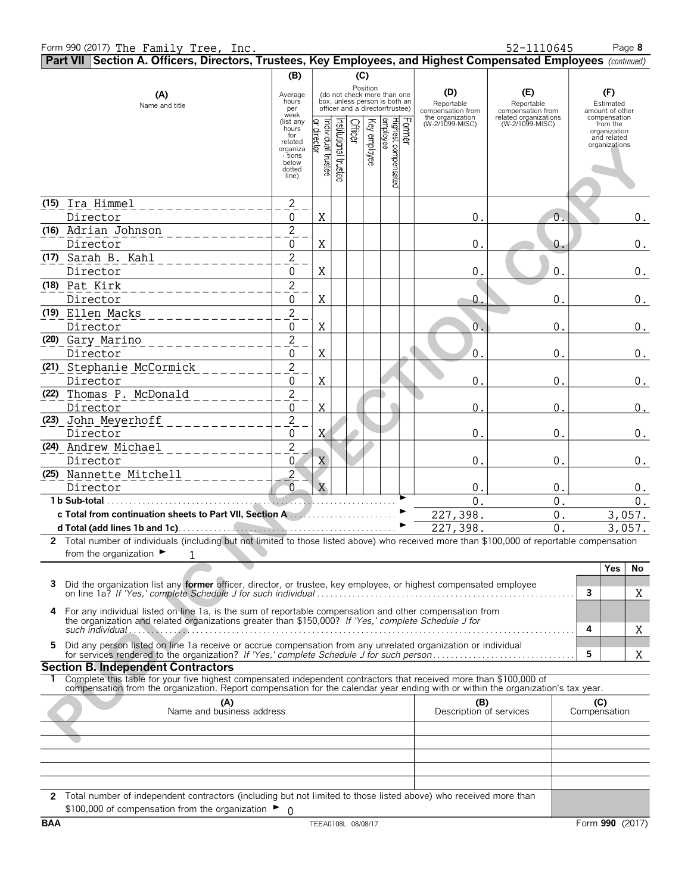|            | Part VII Section A. Officers, Directors, Trustees, Key Employees, and Highest Compensated Employees (continued)                                                                                                                                        |                                 |                               |                                                                                                             |         |              |                               |                                        |                                          |                                          |
|------------|--------------------------------------------------------------------------------------------------------------------------------------------------------------------------------------------------------------------------------------------------------|---------------------------------|-------------------------------|-------------------------------------------------------------------------------------------------------------|---------|--------------|-------------------------------|----------------------------------------|------------------------------------------|------------------------------------------|
|            |                                                                                                                                                                                                                                                        | (B)                             |                               |                                                                                                             | (C)     |              |                               |                                        |                                          |                                          |
|            | (A)<br>Name and title                                                                                                                                                                                                                                  | Average<br>hours<br>per<br>week |                               | Position<br>(do not check more than one<br>box, unless person is both an<br>officer and a director/trustee) |         |              |                               | (D)<br>Reportable<br>compensation from | (E)<br>Reportable<br>compensation from   | (F)<br>Estimated<br>amount of other      |
|            |                                                                                                                                                                                                                                                        | (list any<br>hours              | $\overline{\mathbf{r}}$       |                                                                                                             | Officer | employee     |                               | the organization<br>(W-2/1099-MISC)    | related organizations<br>(W-2/1099-MISC) | compensation<br>from the<br>organization |
|            |                                                                                                                                                                                                                                                        | for<br>related<br>organiza      | Individual trustee<br>irector | hstitutional trustee                                                                                        |         | Key employee |                               |                                        |                                          | and related<br>organizations             |
|            |                                                                                                                                                                                                                                                        | - tions<br>below                |                               |                                                                                                             |         |              |                               |                                        |                                          |                                          |
|            |                                                                                                                                                                                                                                                        | dotted<br>line)                 |                               |                                                                                                             |         |              | Former<br>Highest compensated |                                        |                                          |                                          |
|            | (15) Ira Himmel<br>Director                                                                                                                                                                                                                            | $\overline{2}$<br>0             | $\mathbf X$                   |                                                                                                             |         |              |                               | 0.                                     | 0.                                       | $0$ .                                    |
|            | (16) Adrian Johnson                                                                                                                                                                                                                                    | $\overline{2}$                  |                               |                                                                                                             |         |              |                               |                                        |                                          |                                          |
|            | Director                                                                                                                                                                                                                                               | 0                               | X                             |                                                                                                             |         |              |                               | 0.                                     | 0.                                       | $0$ .                                    |
|            | (17) Sarah B. Kahl                                                                                                                                                                                                                                     | $\overline{2}$                  |                               |                                                                                                             |         |              |                               |                                        |                                          |                                          |
|            | Director                                                                                                                                                                                                                                               | 0                               | X                             |                                                                                                             |         |              |                               | 0.                                     | 0.                                       | $0$ .                                    |
|            | (18) Pat Kirk                                                                                                                                                                                                                                          | $\overline{2}$                  |                               |                                                                                                             |         |              |                               |                                        |                                          |                                          |
|            | Director                                                                                                                                                                                                                                               | 0                               | X                             |                                                                                                             |         |              |                               | 0                                      | 0.                                       | $0$ .                                    |
|            | (19) Ellen Macks                                                                                                                                                                                                                                       | $\overline{c}$                  |                               |                                                                                                             |         |              |                               |                                        |                                          |                                          |
|            | Director                                                                                                                                                                                                                                               | 0                               | X                             |                                                                                                             |         |              |                               | $\overline{0}$ .                       | $0$ .                                    | $0$ .                                    |
|            | (20) Gary Marino                                                                                                                                                                                                                                       | $\overline{c}$<br>0             | X                             |                                                                                                             |         |              |                               | $^{\prime}$ O .                        | 0.                                       |                                          |
|            | Director<br>(21) Stephanie McCormick                                                                                                                                                                                                                   | $\overline{c}$                  |                               |                                                                                                             |         |              |                               |                                        |                                          | $0$ .                                    |
|            | Director                                                                                                                                                                                                                                               | 0                               | X                             |                                                                                                             |         |              |                               | $\mathbf 0$ .                          | 0.                                       | $0$ .                                    |
|            | (22) Thomas P. McDonald                                                                                                                                                                                                                                | $\overline{c}$                  |                               |                                                                                                             |         |              |                               |                                        |                                          |                                          |
|            | Director                                                                                                                                                                                                                                               | $\pmb{0}$                       | X                             |                                                                                                             |         |              |                               | 0                                      | 0.                                       | 0.                                       |
|            | (23) John Meyerhoff                                                                                                                                                                                                                                    | 2                               |                               |                                                                                                             |         |              |                               |                                        |                                          |                                          |
|            | Director                                                                                                                                                                                                                                               | 0                               | X                             |                                                                                                             |         |              |                               | 0.                                     | $0$ .                                    | 0.                                       |
|            | (24) Andrew Michael                                                                                                                                                                                                                                    | $\overline{2}$                  |                               |                                                                                                             |         |              |                               |                                        |                                          |                                          |
|            | Director                                                                                                                                                                                                                                               | $\mathbf{0}$                    | $\mathbf X$                   |                                                                                                             |         |              |                               | 0.                                     | $0$ .                                    | 0.                                       |
|            | (25) Nannette Mitchell                                                                                                                                                                                                                                 | $\overline{c}$                  |                               |                                                                                                             |         |              |                               |                                        |                                          |                                          |
|            | Director                                                                                                                                                                                                                                               | $\Omega$                        | X                             |                                                                                                             |         |              |                               | $\mathbf 0$ .                          | $0$ .                                    | $0$ .                                    |
|            |                                                                                                                                                                                                                                                        |                                 |                               | .                                                                                                           |         |              |                               | 0.                                     | $0$ .                                    | $0$ .                                    |
|            | c Total from continuation sheets to Part VII, Section A                                                                                                                                                                                                |                                 |                               |                                                                                                             |         |              |                               | 227,398.                               | $0$ .                                    | 3,057.                                   |
|            |                                                                                                                                                                                                                                                        |                                 |                               |                                                                                                             |         |              |                               | 227,398.                               | $\overline{0}$ .                         | 3,057.                                   |
|            | 2 Total number of individuals (including but not limited to those listed above) who received more than \$100,000 of reportable compensation                                                                                                            |                                 |                               |                                                                                                             |         |              |                               |                                        |                                          |                                          |
|            | from the organization $\blacktriangleright$<br>$\mathbf{1}$                                                                                                                                                                                            |                                 |                               |                                                                                                             |         |              |                               |                                        |                                          |                                          |
|            |                                                                                                                                                                                                                                                        |                                 |                               |                                                                                                             |         |              |                               |                                        |                                          | Yes<br>No.                               |
|            | Did the organization list any former officer, director, or trustee, key employee, or highest compensated employee                                                                                                                                      |                                 |                               |                                                                                                             |         |              |                               |                                        |                                          | 3<br>Χ                                   |
|            |                                                                                                                                                                                                                                                        |                                 |                               |                                                                                                             |         |              |                               |                                        |                                          |                                          |
|            | 4 For any individual listed on line 1a, is the sum of reportable compensation and other compensation from<br>the organization and related organizations greater than \$150,000? If 'Yes,' complete Schedule J for                                      |                                 |                               |                                                                                                             |         |              |                               |                                        |                                          |                                          |
|            |                                                                                                                                                                                                                                                        |                                 |                               |                                                                                                             |         |              |                               |                                        |                                          | 4<br>X                                   |
| 5.         | Did any person listed on line 1a receive or accrue compensation from any unrelated organization or individual                                                                                                                                          |                                 |                               |                                                                                                             |         |              |                               |                                        |                                          | 5<br>Χ                                   |
|            | <b>Section B. Independent Contractors</b>                                                                                                                                                                                                              |                                 |                               |                                                                                                             |         |              |                               |                                        |                                          |                                          |
|            | Complete this table for your five highest compensated independent contractors that received more than \$100,000 of<br>compensation from the organization. Report compensation for the calendar year ending with or within the organization's tax year. |                                 |                               |                                                                                                             |         |              |                               |                                        |                                          |                                          |
|            | (A)                                                                                                                                                                                                                                                    |                                 |                               |                                                                                                             |         |              |                               | (B)                                    |                                          | (C)                                      |
|            | Name and business address                                                                                                                                                                                                                              |                                 |                               |                                                                                                             |         |              |                               | Description of services                |                                          | Compensation                             |
|            |                                                                                                                                                                                                                                                        |                                 |                               |                                                                                                             |         |              |                               |                                        |                                          |                                          |
|            |                                                                                                                                                                                                                                                        |                                 |                               |                                                                                                             |         |              |                               |                                        |                                          |                                          |
|            |                                                                                                                                                                                                                                                        |                                 |                               |                                                                                                             |         |              |                               |                                        |                                          |                                          |
|            |                                                                                                                                                                                                                                                        |                                 |                               |                                                                                                             |         |              |                               |                                        |                                          |                                          |
|            |                                                                                                                                                                                                                                                        |                                 |                               |                                                                                                             |         |              |                               |                                        |                                          |                                          |
|            | 2 Total number of independent contractors (including but not limited to those listed above) who received more than                                                                                                                                     |                                 |                               |                                                                                                             |         |              |                               |                                        |                                          |                                          |
|            | \$100,000 of compensation from the organization ▶                                                                                                                                                                                                      | $\Omega$                        |                               |                                                                                                             |         |              |                               |                                        |                                          |                                          |
| <b>BAA</b> |                                                                                                                                                                                                                                                        |                                 |                               | TEEA0108L 08/08/17                                                                                          |         |              |                               |                                        |                                          | Form 990 (2017)                          |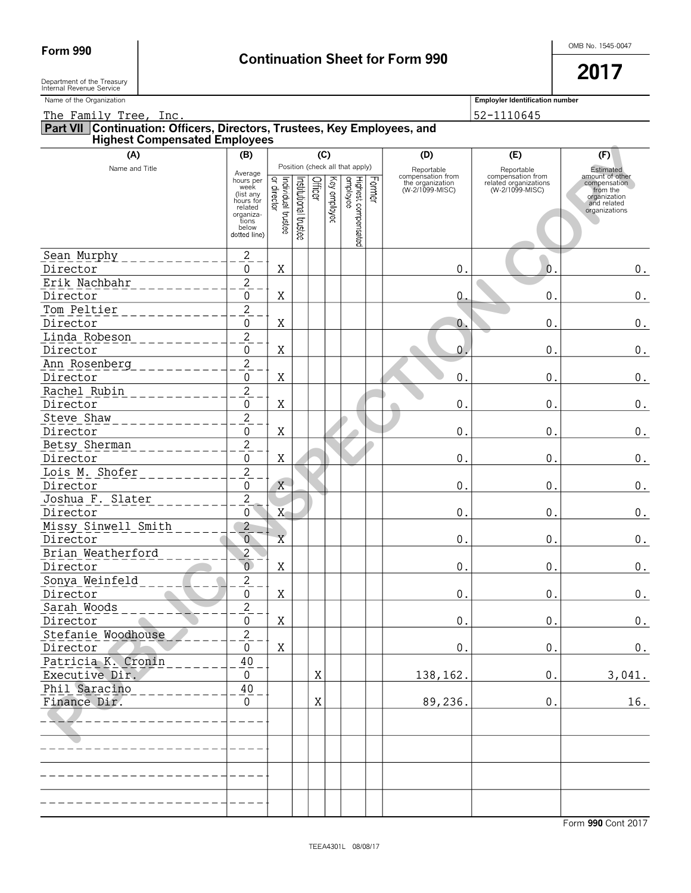# Form 990 **Continuation Sheet for Form 990 Continuation Sheet for Form 990**

Department of the Treasury **2017** Department of the Treasury<br>Internal Revenue Service

Name of the Organization **Employler Identification number Employler Identification number** 

The Family Tree, Inc. 52-1110645

|   |  |            |  | npioyier identification nui |  |
|---|--|------------|--|-----------------------------|--|
| ገ |  | $1110011F$ |  |                             |  |

| (A)                 | (B)                                                                                                              | (C)<br>Position (check all that apply) |                       |         |              |                                 |        | (D)                                                                    | (E)                                                                         | (F)                                                                                                      |
|---------------------|------------------------------------------------------------------------------------------------------------------|----------------------------------------|-----------------------|---------|--------------|---------------------------------|--------|------------------------------------------------------------------------|-----------------------------------------------------------------------------|----------------------------------------------------------------------------------------------------------|
| Name and Title      | Average<br>hours per<br>week<br>(list any<br>hours for<br>related<br>organiza-<br>tions<br>below<br>dotted line) | Individual trustee<br> or director     | Institutional trustes | Officer | Key employee | Highest compensated<br>employee | Former | Reportable<br>compensation from<br>the organization<br>(W-2/1099-MISC) | Reportable<br>compensation from<br>related organizations<br>(W-2/1099-MISC) | Estimated<br>amount of other<br>compensation<br>from the<br>organization<br>and related<br>organizations |
| Sean Murphy         | $\overline{c}$                                                                                                   |                                        |                       |         |              |                                 |        |                                                                        |                                                                             |                                                                                                          |
| Director            | 0                                                                                                                | X                                      |                       |         |              |                                 |        | 0.                                                                     | $\overline{0}$ .                                                            | 0.                                                                                                       |
| Erik Nachbahr       | $\overline{c}$                                                                                                   |                                        |                       |         |              |                                 |        |                                                                        |                                                                             |                                                                                                          |
| Director            | 0                                                                                                                | X                                      |                       |         |              |                                 |        | 0.                                                                     | 0.                                                                          | 0.                                                                                                       |
| Tom Peltier         | $\overline{c}$                                                                                                   |                                        |                       |         |              |                                 |        |                                                                        |                                                                             |                                                                                                          |
| Director            | 0                                                                                                                | X                                      |                       |         |              |                                 |        | 0.                                                                     | $0$ .                                                                       | 0.                                                                                                       |
| Linda Robeson       | $\overline{2}$                                                                                                   |                                        |                       |         |              |                                 |        |                                                                        |                                                                             |                                                                                                          |
| Director            | 0                                                                                                                | X                                      |                       |         |              |                                 |        | 0 <sup>1</sup>                                                         | 0.                                                                          | 0.                                                                                                       |
| Ann Rosenberg       | $\overline{c}$                                                                                                   |                                        |                       |         |              |                                 |        |                                                                        |                                                                             |                                                                                                          |
| Director            | 0                                                                                                                | Χ                                      |                       |         |              |                                 |        | 0.                                                                     | 0.                                                                          | 0.                                                                                                       |
| Rachel Rubin        | $\overline{c}$                                                                                                   |                                        |                       |         |              |                                 |        |                                                                        |                                                                             |                                                                                                          |
| Director            | 0                                                                                                                | X                                      |                       |         |              |                                 |        | 0.                                                                     | 0.                                                                          | 0.                                                                                                       |
| Steve Shaw          | $\overline{a}$                                                                                                   |                                        |                       |         |              |                                 |        |                                                                        |                                                                             |                                                                                                          |
| Director            | 0                                                                                                                | X                                      |                       |         |              |                                 |        | 0.                                                                     | 0.                                                                          | 0.                                                                                                       |
| Betsy_Sherman       | $\overline{2}$                                                                                                   |                                        |                       |         |              |                                 |        |                                                                        |                                                                             |                                                                                                          |
| Director            | 0                                                                                                                | X                                      |                       |         |              |                                 |        | 0.                                                                     | 0.                                                                          | 0.                                                                                                       |
| Lois M. Shofer      | $\overline{c}$                                                                                                   |                                        |                       |         |              |                                 |        |                                                                        |                                                                             |                                                                                                          |
| Director            | 0                                                                                                                | X                                      |                       |         |              |                                 |        | 0.                                                                     | 0.                                                                          | 0.                                                                                                       |
| Joshua F. Slater    | $\overline{c}$                                                                                                   |                                        |                       |         |              |                                 |        |                                                                        |                                                                             |                                                                                                          |
| Director            | 0                                                                                                                | X                                      |                       |         |              |                                 |        | 0.                                                                     | 0.                                                                          | 0.                                                                                                       |
| Missy Sinwell Smith | $\overline{2}$                                                                                                   |                                        |                       |         |              |                                 |        |                                                                        |                                                                             |                                                                                                          |
| Director            | $\overline{0}$                                                                                                   | $\mathbf X$                            |                       |         |              |                                 |        | 0.                                                                     | 0.                                                                          | 0.                                                                                                       |
| Brian Weatherford   | $\overline{2}$                                                                                                   |                                        |                       |         |              |                                 |        |                                                                        |                                                                             |                                                                                                          |
| Director            | $\overline{0}$                                                                                                   | X                                      |                       |         |              |                                 |        | 0.                                                                     | 0.                                                                          | $0$ .                                                                                                    |
| Sonya Weinfeld      | $\overline{a}$                                                                                                   |                                        |                       |         |              |                                 |        |                                                                        |                                                                             |                                                                                                          |
| Director            | 0                                                                                                                | Χ                                      |                       |         |              |                                 |        | 0.                                                                     | 0.                                                                          | $0$ .                                                                                                    |
| Sarah Woods         | $\overline{c}$                                                                                                   |                                        |                       |         |              |                                 |        |                                                                        |                                                                             |                                                                                                          |
| Director            | 0                                                                                                                | Χ                                      |                       |         |              |                                 |        | 0.                                                                     | 0.                                                                          | $0$ .                                                                                                    |
| Stefanie Woodhouse  | $^{2}$                                                                                                           |                                        |                       |         |              |                                 |        |                                                                        |                                                                             |                                                                                                          |
| Director            | 0                                                                                                                | X                                      |                       |         |              |                                 |        | 0.                                                                     | $0$ .                                                                       | $0$ .                                                                                                    |
| Patricia K. Cronin  | $40\,$                                                                                                           |                                        |                       |         |              |                                 |        |                                                                        |                                                                             |                                                                                                          |
| Executive Dir.      | 0                                                                                                                |                                        |                       | X       |              |                                 |        | 138,162.                                                               | 0.                                                                          | 3,041.                                                                                                   |
| Phil Saracino       | $40\,$                                                                                                           |                                        |                       |         |              |                                 |        |                                                                        |                                                                             |                                                                                                          |
| Finance Dir.        | 0                                                                                                                |                                        |                       | X       |              |                                 |        | 89,236.                                                                | $0$ .                                                                       | 16.                                                                                                      |
|                     |                                                                                                                  |                                        |                       |         |              |                                 |        |                                                                        |                                                                             |                                                                                                          |
|                     |                                                                                                                  |                                        |                       |         |              |                                 |        |                                                                        |                                                                             |                                                                                                          |
|                     |                                                                                                                  |                                        |                       |         |              |                                 |        |                                                                        |                                                                             |                                                                                                          |
|                     |                                                                                                                  |                                        |                       |         |              |                                 |        |                                                                        |                                                                             |                                                                                                          |
|                     |                                                                                                                  |                                        |                       |         |              |                                 |        |                                                                        |                                                                             |                                                                                                          |
|                     |                                                                                                                  |                                        |                       |         |              |                                 |        |                                                                        |                                                                             |                                                                                                          |
|                     |                                                                                                                  |                                        |                       |         |              |                                 |        |                                                                        |                                                                             |                                                                                                          |
|                     |                                                                                                                  |                                        |                       |         |              |                                 |        |                                                                        |                                                                             |                                                                                                          |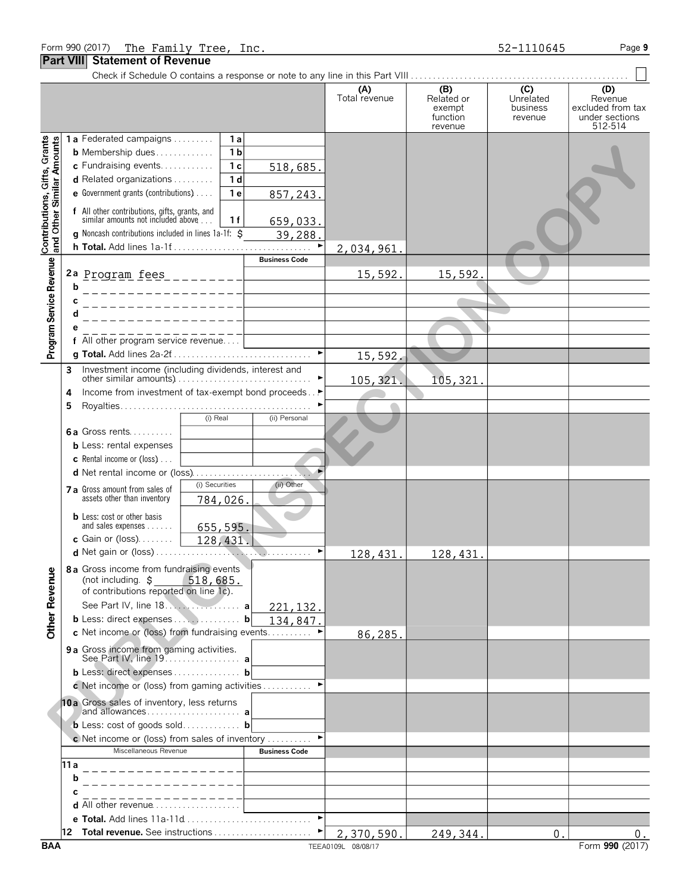Page 9

|                                                           | III       |                                                                                                                                                                  |                                                                       |                      |                                                    |                                         |                                                                  |
|-----------------------------------------------------------|-----------|------------------------------------------------------------------------------------------------------------------------------------------------------------------|-----------------------------------------------------------------------|----------------------|----------------------------------------------------|-----------------------------------------|------------------------------------------------------------------|
|                                                           |           |                                                                                                                                                                  |                                                                       | (A)<br>Total revenue | (B)<br>Related or<br>exempt<br>function<br>revenue | (C)<br>Unrelated<br>business<br>revenue | (D)<br>Revenue<br>excluded from tax<br>under sections<br>512-514 |
| Contributions, Gifts, Grants<br>and Other Similar Amounts |           | 1a Federated campaigns<br><b>b</b> Membership dues<br>c Fundraising events<br><b>d</b> Related organizations $\ldots$                                            | 1 a<br>1 <sub>b</sub><br>1 <sub>c</sub><br>518,685.<br>1 <sub>d</sub> |                      |                                                    |                                         |                                                                  |
|                                                           |           | <b>e</b> Government grants (contributions) $\ldots$<br>f All other contributions, gifts, grants, and                                                             | 1 <sub>e</sub><br>857,243.                                            |                      |                                                    |                                         |                                                                  |
|                                                           |           | similar amounts not included above<br><b>g</b> Noncash contributions included in lines 1a-1f: $\ddot{\mathbf{S}}$                                                | 1f<br>659,033.<br>39,288.                                             | 2,034,961.           |                                                    |                                         |                                                                  |
|                                                           | b         | 2a Program fees_________                                                                                                                                         | <b>Business Code</b>                                                  | 15,592.              | 15,592.                                            |                                         |                                                                  |
|                                                           |           |                                                                                                                                                                  |                                                                       |                      |                                                    |                                         |                                                                  |
| Program Service Revenue                                   |           | f All other program service revenue                                                                                                                              | $\blacktriangleright$                                                 | 15,592.              |                                                    |                                         |                                                                  |
|                                                           | 3         | Investment income (including dividends, interest and                                                                                                             |                                                                       | 105, 321.            | 105, 321.                                          |                                         |                                                                  |
|                                                           | 4<br>5    | Income from investment of tax-exempt bond proceeds▶<br>(i) Real                                                                                                  | (ii) Personal                                                         |                      |                                                    |                                         |                                                                  |
|                                                           |           | <b>6a</b> Gross rents<br><b>b</b> Less: rental expenses<br><b>c</b> Rental income or (loss) $\ldots$                                                             |                                                                       |                      |                                                    |                                         |                                                                  |
|                                                           |           | (i) Securities<br><b>7 a</b> Gross amount from sales of                                                                                                          | (ii) Other                                                            |                      |                                                    |                                         |                                                                  |
|                                                           |           | assets other than inventory<br>784,026.<br><b>b</b> Less: cost or other basis<br>and sales expenses<br>655,595.<br><b>c</b> Gain or (loss). $\ldots$<br>128,431. |                                                                       |                      |                                                    |                                         |                                                                  |
|                                                           |           | 8a Gross income from fundraising events                                                                                                                          |                                                                       | 128,431.             | 128,431.                                           |                                         |                                                                  |
| <b>Other Revenue</b>                                      |           | (not including. $\sharp$<br>518,685.<br>of contributions reported on line 1c).                                                                                   | 221, 132.                                                             |                      |                                                    |                                         |                                                                  |
|                                                           |           | <b>b</b> Less: direct expenses <b>b</b><br>c Net income or (loss) from fundraising events ►                                                                      | 134,847.                                                              | 86,285.              |                                                    |                                         |                                                                  |
|                                                           |           | 9a Gross income from gaming activities.<br><b>b</b> Less: direct expenses <b>b</b>                                                                               |                                                                       |                      |                                                    |                                         |                                                                  |
|                                                           |           | <b>c</b> Net income or (loss) from gaming activities<br>10a Gross sales of inventory, less returns                                                               |                                                                       |                      |                                                    |                                         |                                                                  |
|                                                           |           | <b>b</b> Less: cost of goods sold <b>b</b>                                                                                                                       |                                                                       |                      |                                                    |                                         |                                                                  |
|                                                           |           | c) Net income or (loss) from sales of inventory $\dots \dots$<br>Miscellaneous Revenue                                                                           | <b>Business Code</b>                                                  |                      |                                                    |                                         |                                                                  |
|                                                           | 11 a<br>b |                                                                                                                                                                  |                                                                       |                      |                                                    |                                         |                                                                  |
|                                                           |           | d All other revenue<br>e Total. Add lines 11a-11d                                                                                                                |                                                                       |                      |                                                    |                                         |                                                                  |
|                                                           |           |                                                                                                                                                                  |                                                                       | 2,370,590.           | 249,344.                                           | 0.                                      | $0$ .                                                            |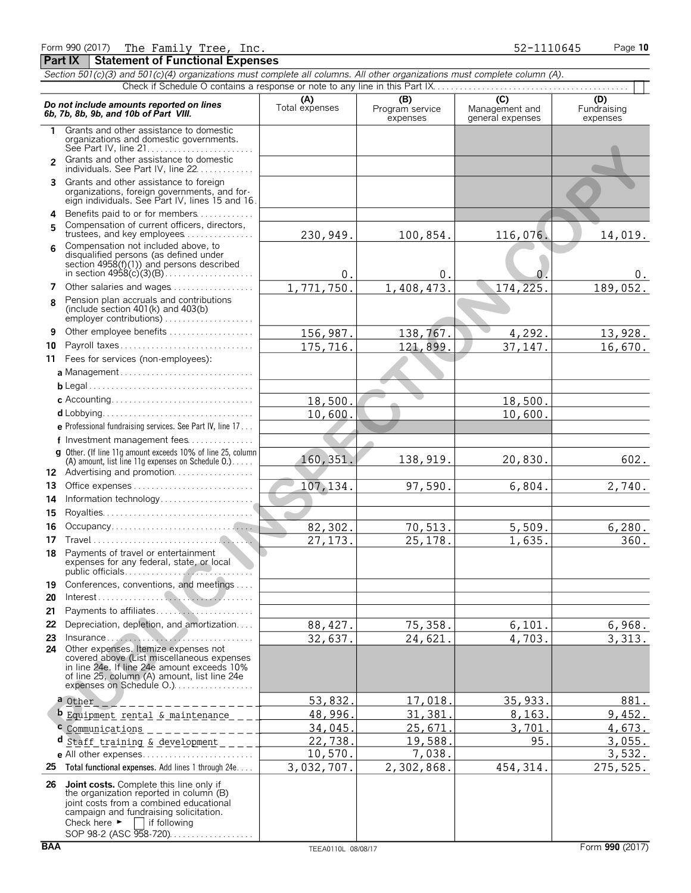|                | Do not include amounts reported on lines<br>6b, 7b, 8b, 9b, and 10b of Part VIII.                                                                                                                                                                        | (A)<br>Total expenses | (B)<br>Program service<br>expenses | (C)<br>Management and<br>general expenses | (D)<br>Fundraising<br>expenses |
|----------------|----------------------------------------------------------------------------------------------------------------------------------------------------------------------------------------------------------------------------------------------------------|-----------------------|------------------------------------|-------------------------------------------|--------------------------------|
| 1.             | Grants and other assistance to domestic<br>organizations and domestic governments.                                                                                                                                                                       |                       |                                    |                                           |                                |
| $\mathfrak{p}$ | Grants and other assistance to domestic<br>individuals. See Part IV, line 22.                                                                                                                                                                            |                       |                                    |                                           |                                |
|                | <b>3</b> Grants and other assistance to foreign<br>organizations, foreign governments, and for-<br>eign individuals. See Part IV, lines 15 and 16.                                                                                                       |                       |                                    |                                           |                                |
| 4              | Benefits paid to or for members                                                                                                                                                                                                                          |                       |                                    |                                           |                                |
| 5              | Compensation of current officers, directors,<br>trustees, and key employees                                                                                                                                                                              | 230,949.              | 100,854.                           | 116,076.                                  | 14,019.                        |
| 6              | Compensation not included above, to<br>disqualified persons (as defined under<br>section 4958(f)(1)) and persons described                                                                                                                               | 0.                    | 0.                                 |                                           | $0_{.}$                        |
| 7              | Other salaries and wages                                                                                                                                                                                                                                 | 1,771,750.            | 1,408,473.                         | 174,225.                                  | 189,052.                       |
| R              | Pension plan accruals and contributions<br>(include section $401(k)$ and $403(b)$<br>employer contributions)                                                                                                                                             |                       |                                    |                                           |                                |
| 9              | Other employee benefits                                                                                                                                                                                                                                  | 156,987.              | 138,767.                           | 4,292.                                    | 13,928.                        |
| 10             | Payroll taxes                                                                                                                                                                                                                                            | 175,716.              | 121,899.                           | 37,147.                                   | 16,670.                        |
|                | 11 Fees for services (non-employees):                                                                                                                                                                                                                    |                       |                                    |                                           |                                |
|                | a Management                                                                                                                                                                                                                                             |                       |                                    |                                           |                                |
|                |                                                                                                                                                                                                                                                          |                       |                                    |                                           |                                |
|                |                                                                                                                                                                                                                                                          | 18,500.               |                                    | 18,500.                                   |                                |
|                |                                                                                                                                                                                                                                                          | 10,600.               |                                    | 10,600.                                   |                                |
|                | e Professional fundraising services. See Part IV, line 17                                                                                                                                                                                                |                       |                                    |                                           |                                |
|                | f Investment management fees<br>g Other. (If line 11g amount exceeds 10% of line 25, column                                                                                                                                                              |                       |                                    |                                           |                                |
|                | (A) amount, list line 11g expenses on Schedule 0.)<br>12 Advertising and promotion                                                                                                                                                                       | 160, 351.             | 138,919.                           | 20,830.                                   | 602.                           |
| 13             |                                                                                                                                                                                                                                                          | 107,134.              | 97,590.                            | 6,804.                                    | 2,740.                         |
| 14             | Information technology                                                                                                                                                                                                                                   |                       |                                    |                                           |                                |
| 15             |                                                                                                                                                                                                                                                          |                       |                                    |                                           |                                |
| 16             |                                                                                                                                                                                                                                                          | 82,302.               | 70,513.                            | 5,509.                                    | 6,280.                         |
| 17             |                                                                                                                                                                                                                                                          | 27, 173.              | 25,178.                            | 1,635.                                    | 360.                           |
|                | 18 Payments of travel or entertainment<br>expenses for any federal, state, or local                                                                                                                                                                      |                       |                                    |                                           |                                |
|                | 19 Conferences, conventions, and meetings                                                                                                                                                                                                                |                       |                                    |                                           |                                |
|                | 20 Interest                                                                                                                                                                                                                                              |                       |                                    |                                           |                                |
| 21             |                                                                                                                                                                                                                                                          |                       |                                    |                                           |                                |
| 22             | Depreciation, depletion, and amortization                                                                                                                                                                                                                | 88, 427.              | 75,358.                            | 6, 101.                                   | 6,968.                         |
| 23             | 24 Other expenses. Itemize expenses not                                                                                                                                                                                                                  | 32,637.               | 24,621.                            | 4,703.                                    | 3,313.                         |
|                | covered above (List miscellaneous expenses<br>in line 24e. If line 24e amount exceeds 10%<br>of line 25, column (A) amount, list line 24e<br>expenses on Schedule O.)                                                                                    |                       |                                    |                                           |                                |
|                | a Other                                                                                                                                                                                                                                                  | 53,832                | 17,018.                            | 35,933                                    | 881.                           |
|                | <b>b</b> Equipment rental & maintenance                                                                                                                                                                                                                  | 48,996                | 31,381                             | 8,163                                     | 9,452.                         |
|                | c Communications                                                                                                                                                                                                                                         | 34,045                | 25,671                             | 3,701                                     | 4,673.                         |
|                | d Staff training & development                                                                                                                                                                                                                           | 22,738.               | 19,588                             | 95                                        | 3,055.                         |
|                | <b>e</b> All other expenses                                                                                                                                                                                                                              | 10,570.               | 7,038.                             |                                           | 3,532.                         |
|                | 25 Total functional expenses. Add lines 1 through 24e                                                                                                                                                                                                    | 3,032,707.            | $\overline{2,302,868}$ .           | 454, 314.                                 | 275,525.                       |
|                | 26 Joint costs. Complete this line only if<br>the organization reported in column (B)<br>joint costs from a combined educational<br>campaign and fundraising solicitation.<br>Check here $\blacktriangleright$<br>if following<br>SOP 98-2 (ASC 958-720) |                       |                                    |                                           |                                |

*Section 501(c)(3) and 501(c)(4) organizations must complete all columns. All other organizations must complete column (A).*

Check if Schedule O contains a response or note to any line in this Part IX. . . . . . . . . . . . . . . . . . . . . . . . . . . . . . . . . . . . . . . . . . . .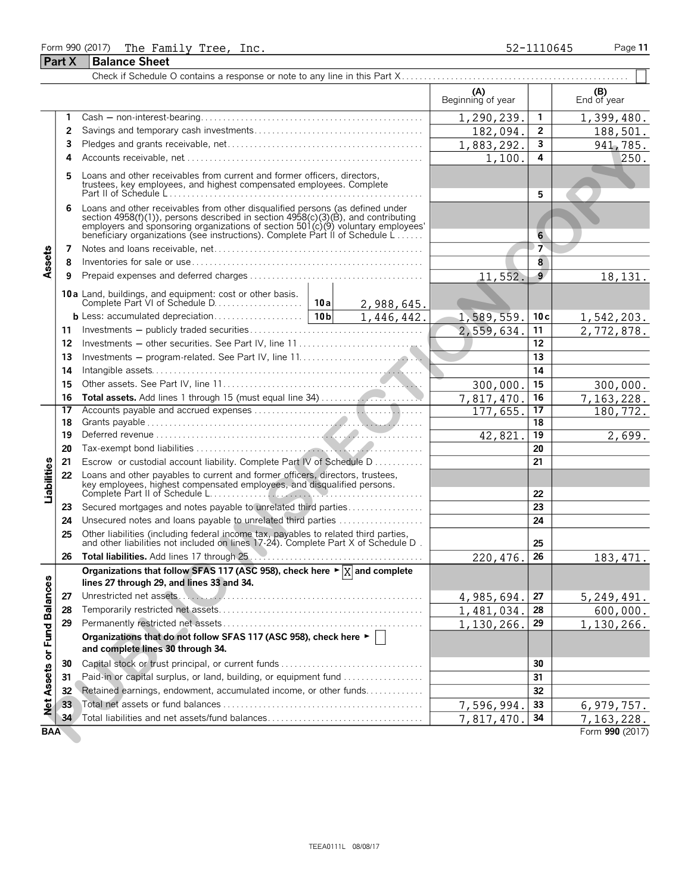#### Form 990 (2017) Page **11** The Family Tree, Inc. 52-1110645

|                             | Part X | <b>Balance Sheet</b>                                                                                                                                                                                                                                                                                                  |                          |                |                    |
|-----------------------------|--------|-----------------------------------------------------------------------------------------------------------------------------------------------------------------------------------------------------------------------------------------------------------------------------------------------------------------------|--------------------------|----------------|--------------------|
|                             |        |                                                                                                                                                                                                                                                                                                                       |                          |                |                    |
|                             |        |                                                                                                                                                                                                                                                                                                                       | (A)<br>Beginning of year |                | (B)<br>End of year |
|                             |        |                                                                                                                                                                                                                                                                                                                       | 1,290,239.               | 1              | 1,399,480.         |
|                             | 2      |                                                                                                                                                                                                                                                                                                                       | 182,094.                 | $\mathbf{2}$   | 188,501.           |
|                             | 3      |                                                                                                                                                                                                                                                                                                                       | 1,883,292.               | 3              | 941,785.           |
|                             | 4      |                                                                                                                                                                                                                                                                                                                       | 1,100.                   | 4              | 250.               |
|                             | 5      | Loans and other receivables from current and former officers, directors,<br>trustees, key employees, and highest compensated employees. Complete                                                                                                                                                                      |                          | 5              |                    |
|                             | 6      | Loans and other receivables from other disqualified persons (as defined under<br>section 4958(f)(1)), persons described in section 4958(c)(3)(B), and contributing<br>employers and sponsoring organizations of section 501(c)(9) voluntary employees'<br>beneficiary organizations (see instructions). Complete Part |                          | 6              |                    |
|                             | 7      |                                                                                                                                                                                                                                                                                                                       |                          | $\overline{7}$ |                    |
| Assets                      | 8      |                                                                                                                                                                                                                                                                                                                       |                          | 8              |                    |
|                             | 9      |                                                                                                                                                                                                                                                                                                                       | 11,552.                  | 9 <sup>7</sup> | 18,131.            |
|                             |        | 2,988,645.                                                                                                                                                                                                                                                                                                            |                          |                |                    |
|                             |        | 1,446,442.                                                                                                                                                                                                                                                                                                            | 1,589,559.               | 10c            | 1,542,203.         |
|                             | 11     |                                                                                                                                                                                                                                                                                                                       | 2,559,634.               | 11             | 2,772,878.         |
|                             | 12     |                                                                                                                                                                                                                                                                                                                       |                          | 12             |                    |
|                             | 13     |                                                                                                                                                                                                                                                                                                                       |                          | 13             |                    |
|                             | 14     |                                                                                                                                                                                                                                                                                                                       |                          | 14             |                    |
|                             | 15     |                                                                                                                                                                                                                                                                                                                       | 300,000                  | 15             | 300,000.           |
|                             | 16     |                                                                                                                                                                                                                                                                                                                       | 7,817,470.               | 16             | 7,163,228.         |
|                             | 17     |                                                                                                                                                                                                                                                                                                                       | 177,655.                 | 17             | 180, 772.          |
|                             | 18     |                                                                                                                                                                                                                                                                                                                       |                          | 18             |                    |
|                             | 19     |                                                                                                                                                                                                                                                                                                                       | 42,821.                  | 19             | 2,699.             |
|                             | 20     |                                                                                                                                                                                                                                                                                                                       |                          | 20             |                    |
|                             | 21     | Escrow or custodial account liability. Complete Part IV of Schedule D                                                                                                                                                                                                                                                 |                          | 21             |                    |
| Liabilities                 | 22     | Loans and other payables to current and former officers, directors, trustees, key employees, highest compensated employees, and disqualified persons.                                                                                                                                                                 |                          | 22             |                    |
|                             | 23     | Secured mortgages and notes payable to unrelated third parties                                                                                                                                                                                                                                                        |                          | 23             |                    |
|                             | 24     | Unsecured notes and loans payable to unrelated third parties                                                                                                                                                                                                                                                          |                          | 24             |                    |
|                             | 25     | Other liabilities (including federal income tax, payables to related third parties, and other liabilities not included on lines 17-24). Complete Part X of Schedule D.                                                                                                                                                |                          | 25             |                    |
|                             | 26     |                                                                                                                                                                                                                                                                                                                       | 220,476.                 | 26             | 183, 471.          |
|                             |        | Organizations that follow SFAS 117 (ASC 958), check here $\blacktriangleright \boxed{X}$ and complete                                                                                                                                                                                                                 |                          |                |                    |
|                             |        | lines 27 through 29, and lines 33 and 34.                                                                                                                                                                                                                                                                             |                          |                |                    |
|                             | 27     |                                                                                                                                                                                                                                                                                                                       | 4,985,694.               | 27             | 5, 249, 491.       |
|                             | 28     |                                                                                                                                                                                                                                                                                                                       | 1,481,034.               | 28             | 600,000.           |
|                             | 29     |                                                                                                                                                                                                                                                                                                                       | 1,130,266.               | 29             | 1,130,266.         |
| Net Assets or Fund Balances |        | Organizations that do not follow SFAS 117 (ASC 958), check here ►<br>and complete lines 30 through 34.                                                                                                                                                                                                                |                          |                |                    |
|                             | 30     |                                                                                                                                                                                                                                                                                                                       |                          | 30             |                    |
|                             | 31     | Paid-in or capital surplus, or land, building, or equipment fund                                                                                                                                                                                                                                                      |                          | 31             |                    |
|                             | 32     | Retained earnings, endowment, accumulated income, or other funds                                                                                                                                                                                                                                                      |                          | 32             |                    |
|                             | 33     |                                                                                                                                                                                                                                                                                                                       | 7,596,994.               | 33             | 6,979,757.         |
|                             | 34     | Total liabilities and net assets/fund balances                                                                                                                                                                                                                                                                        | 7,817,470                | 34             | 7,163,228.         |
| <b>BAA</b>                  |        |                                                                                                                                                                                                                                                                                                                       |                          |                | Form 990 (2017)    |

TEEA0111L 08/08/17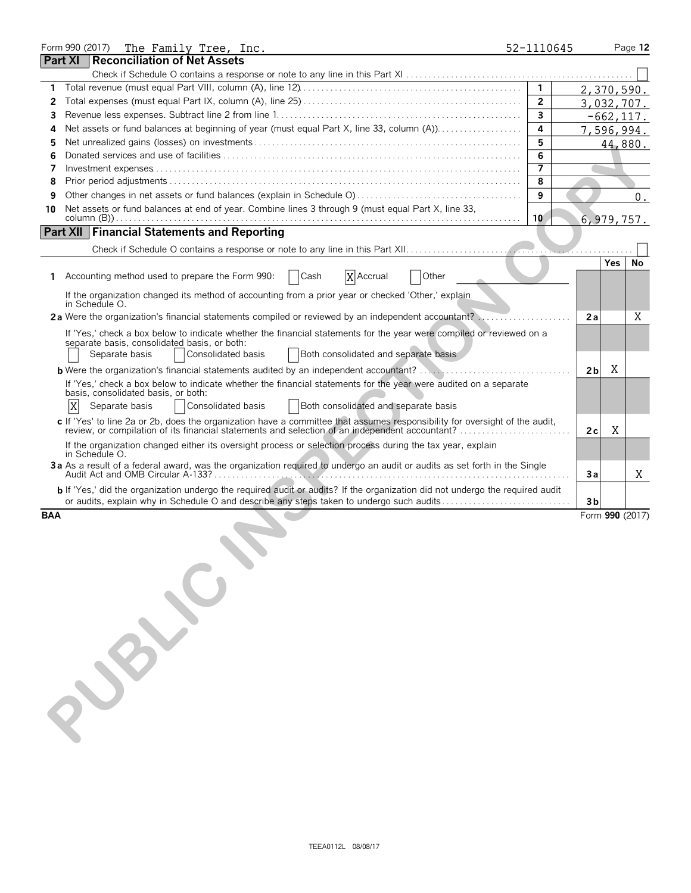|    | Form 990 (2017)<br>The Family Tree, Inc.                                                                                                                                                                                   | 52-1110645   |                 |      | Page 12      |
|----|----------------------------------------------------------------------------------------------------------------------------------------------------------------------------------------------------------------------------|--------------|-----------------|------|--------------|
|    | <b>Reconciliation of Net Assets</b><br>Part XI                                                                                                                                                                             |              |                 |      |              |
|    |                                                                                                                                                                                                                            |              |                 |      |              |
| 1. |                                                                                                                                                                                                                            | $\mathbf{1}$ | 2,370,590.      |      |              |
| 2  |                                                                                                                                                                                                                            | $\mathbf{2}$ | 3,032,707.      |      |              |
| 3  |                                                                                                                                                                                                                            | 3            |                 |      | $-662, 117.$ |
| 4  | Net assets or fund balances at beginning of year (must equal Part X, line 33, column (A))                                                                                                                                  | 4            | 7,596,994.      |      |              |
| 5  |                                                                                                                                                                                                                            | 5            |                 |      | 44,880.      |
| 6  |                                                                                                                                                                                                                            | 6            |                 |      |              |
| 7  |                                                                                                                                                                                                                            | 7            |                 |      |              |
| 8  |                                                                                                                                                                                                                            | 8            |                 |      |              |
| 9  |                                                                                                                                                                                                                            | 9            |                 |      | 0.           |
| 10 | Net assets or fund balances at end of year. Combine lines 3 through 9 (must equal Part X, line 33,                                                                                                                         | 10           | 6, 979, 757.    |      |              |
|    | <b>Part XII Financial Statements and Reporting</b>                                                                                                                                                                         |              |                 |      |              |
|    |                                                                                                                                                                                                                            |              |                 |      |              |
|    |                                                                                                                                                                                                                            |              |                 | Yes. | No           |
| 1. | X Accrual<br>Other<br>Accounting method used to prepare the Form 990:<br> Cash                                                                                                                                             |              |                 |      |              |
|    |                                                                                                                                                                                                                            |              |                 |      |              |
|    | If the organization changed its method of accounting from a prior year or checked 'Other,' explain<br>in Schedule O.                                                                                                       |              |                 |      |              |
|    | 2a Were the organization's financial statements compiled or reviewed by an independent accountant?                                                                                                                         |              | 2a              |      | Χ            |
|    | If 'Yes,' check a box below to indicate whether the financial statements for the year were compiled or reviewed on a                                                                                                       |              |                 |      |              |
|    | separate basis, consolidated basis, or both:                                                                                                                                                                               |              |                 |      |              |
|    | Both consolidated and separate basis<br>Consolidated basis<br>Separate basis                                                                                                                                               |              |                 |      |              |
|    | <b>b</b> Were the organization's financial statements audited by an independent accountant?                                                                                                                                |              | 2 <sub>b</sub>  | Χ    |              |
|    | If 'Yes,' check a box below to indicate whether the financial statements for the year were audited on a separate                                                                                                           |              |                 |      |              |
|    | basis, consolidated basis, or both:<br>Both consolidated and separate basis<br>ΙX<br>Separate basis<br>Consolidated basis                                                                                                  |              |                 |      |              |
|    |                                                                                                                                                                                                                            |              |                 |      |              |
|    | c If 'Yes' to line 2a or 2b, does the organization have a committee that assumes responsibility for oversight of the audit, review, or compilation of its financial statements and selection of an independent accountant? |              | 2 c             | Χ    |              |
|    | If the organization changed either its oversight process or selection process during the tax year, explain<br>in Schedule O.                                                                                               |              |                 |      |              |
|    | 3a As a result of a federal award, was the organization required to undergo an audit or audits as set forth in the Single                                                                                                  |              | Зa              |      | X            |
|    | <b>b</b> If 'Yes,' did the organization undergo the required audit or audits? If the organization did not undergo the required audit                                                                                       |              |                 |      |              |
|    | or audits, explain why in Schedule O and describe any steps taken to undergo such audits                                                                                                                                   |              | 3 <sub>b</sub>  |      |              |
|    |                                                                                                                                                                                                                            |              | Form 990 (2017) |      |              |
|    | $\frac{y \text{ or gan}_{\text{max}}}{y \text{ lain why in Scheu.}}$                                                                                                                                                       |              |                 |      |              |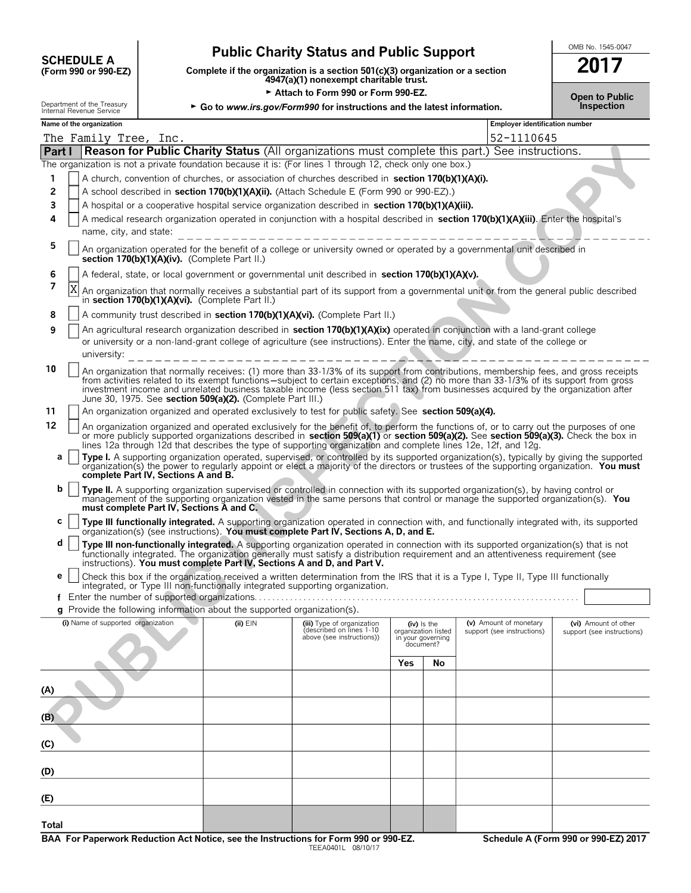# **OMB No. 1545-0047**<br>
Complete if the organization is a section 501(c)(3) organization or a section<br> **SCHEDULE A**<br> **SCHEDULE A**<br> **SCHEDULE A**<br> **SCHEDULE A**<br> **SCHEDULE A**<br> **SCHEDULE A**<br> **SCHEDULE A**<br> **SCHEDULE A**<br> **SCHEDULE**

**COMPOUTE A**<br>
(Form 990 or 990-EZ) Complete if the organization is a section 501(c)(3) organization or a section<br>
4947(a)(1) nonexempt charitable trust.

|        |                                                        |                                               |                                                                          | Attach to Form 990 or Form 990-EZ.                                                                                                                                                                                                                                                                                                                                                                                 |     |                                                                      |                                                      | <b>Open to Public</b>                              |
|--------|--------------------------------------------------------|-----------------------------------------------|--------------------------------------------------------------------------|--------------------------------------------------------------------------------------------------------------------------------------------------------------------------------------------------------------------------------------------------------------------------------------------------------------------------------------------------------------------------------------------------------------------|-----|----------------------------------------------------------------------|------------------------------------------------------|----------------------------------------------------|
|        | Department of the Treasury<br>Internal Revenue Service |                                               |                                                                          | ► Go to www.irs.gov/Form990 for instructions and the latest information.                                                                                                                                                                                                                                                                                                                                           |     |                                                                      |                                                      | <b>Inspection</b>                                  |
|        | Name of the organization                               |                                               |                                                                          |                                                                                                                                                                                                                                                                                                                                                                                                                    |     |                                                                      | <b>Employer identification number</b>                |                                                    |
|        | The Family Tree, Inc.                                  |                                               |                                                                          |                                                                                                                                                                                                                                                                                                                                                                                                                    |     |                                                                      | 52-1110645                                           |                                                    |
| Part I |                                                        |                                               |                                                                          | Reason for Public Charity Status (All organizations must complete this part.) See instructions.                                                                                                                                                                                                                                                                                                                    |     |                                                                      |                                                      |                                                    |
|        |                                                        |                                               |                                                                          | The organization is not a private foundation because it is: (For lines 1 through 12, check only one box.)                                                                                                                                                                                                                                                                                                          |     |                                                                      |                                                      |                                                    |
| 1<br>2 |                                                        |                                               |                                                                          | A church, convention of churches, or association of churches described in section 170(b)(1)(A)(i).<br>A school described in section 170(b)(1)(A)(ii). (Attach Schedule E (Form 990 or 990-EZ).)                                                                                                                                                                                                                    |     |                                                                      |                                                      |                                                    |
| 3      |                                                        |                                               |                                                                          | A hospital or a cooperative hospital service organization described in section 170(b)(1)(A)(iii).                                                                                                                                                                                                                                                                                                                  |     |                                                                      |                                                      |                                                    |
| 4      | name, city, and state:                                 |                                               |                                                                          | A medical research organization operated in conjunction with a hospital described in section 170(b)(1)(A)(iii). Enter the hospital's                                                                                                                                                                                                                                                                               |     |                                                                      |                                                      |                                                    |
| 5      |                                                        | section 170(b)(1)(A)(iv). (Complete Part II.) |                                                                          | An organization operated for the benefit of a college or university owned or operated by a governmental unit described in                                                                                                                                                                                                                                                                                          |     |                                                                      |                                                      |                                                    |
| 6      |                                                        |                                               |                                                                          | A federal, state, or local government or governmental unit described in section 170(b)(1)(A)(v).                                                                                                                                                                                                                                                                                                                   |     |                                                                      |                                                      |                                                    |
| 7      |                                                        |                                               | in section 170(b)(1)(A)(vi). (Complete Part II.)                         | An organization that normally receives a substantial part of its support from a governmental unit or from the general public described                                                                                                                                                                                                                                                                             |     |                                                                      |                                                      |                                                    |
| 8      |                                                        |                                               |                                                                          | A community trust described in section 170(b)(1)(A)(vi). (Complete Part II.)                                                                                                                                                                                                                                                                                                                                       |     |                                                                      |                                                      |                                                    |
| 9      | university:                                            |                                               |                                                                          | An agricultural research organization described in section 170(b)(1)(A)(ix) operated in conjunction with a land-grant college<br>or university or a non-land-grant college of agriculture (see instructions). Enter the name, city, and state of the college or                                                                                                                                                    |     |                                                                      |                                                      |                                                    |
| 10     |                                                        |                                               | June 30, 1975. See section 509(a)(2). (Complete Part III.)               | An organization that normally receives: (1) more than 33-1/3% of its support from contributions, membership fees, and gross receipts<br>from activities related to its exempt functions—subject to certain exceptions, and (2) no more than 33-1/3% of its support from gross<br>investment income and unrelated business taxable income (less section 511 tax) from businesses acquired by the organization after |     |                                                                      |                                                      |                                                    |
| 11     |                                                        |                                               |                                                                          | An organization organized and operated exclusively to test for public safety. See section 509(a)(4).                                                                                                                                                                                                                                                                                                               |     |                                                                      |                                                      |                                                    |
| 12     |                                                        |                                               |                                                                          | An organization organized and operated exclusively for the benefit of, to perform the functions of, or to carry out the purposes of one<br>or more publicly supported organizations described in section 509(a)(1) or section 509(a)(2). See section 509(a)(3). Check the box in<br>lines 12a through 12d that describes the type of supporting organization and complete lines 12e, 12f, and 12g.                 |     |                                                                      |                                                      |                                                    |
| a      |                                                        | complete Part IV, Sections A and B.           |                                                                          | Type I. A supporting organization operated, supervised, or controlled by its supported organization(s), typically by giving the supported<br>organization(s) the power to regularly appoint or elect a majority of the directors or trustees of the supporting organization. You must                                                                                                                              |     |                                                                      |                                                      |                                                    |
| b      |                                                        | must complete Part IV, Sections A and C.      |                                                                          | Type II. A supporting organization supervised or controlled in connection with its supported organization(s), by having control or<br>management of the supporting organization vested in the same persons that control or manage the supported organization(s). You                                                                                                                                               |     |                                                                      |                                                      |                                                    |
| С      |                                                        |                                               |                                                                          | Type III functionally integrated. A supporting organization operated in connection with, and functionally integrated with, its supported<br>organization(s) (see instructions). You must complete Part IV, Sections A, D, and E.                                                                                                                                                                                   |     |                                                                      |                                                      |                                                    |
| d      |                                                        |                                               |                                                                          | Type III non-functionally integrated. A supporting organization operated in connection with its supported organization(s) that is not<br>functionally integrated. The organization generally must satisfy a distribution requirement and an attentiveness requirement (see<br>instructions). You must complete Part IV, Sections A and D, and Part V.                                                              |     |                                                                      |                                                      |                                                    |
| е      |                                                        |                                               | Enter the number of supported organizations                              | Check this box if the organization received a written determination from the IRS that it is a Type I, Type II, Type III functionally<br>integrated, or Type III non-functionally integrated supporting organization.                                                                                                                                                                                               |     |                                                                      |                                                      |                                                    |
|        |                                                        |                                               | g Provide the following information about the supported organization(s). |                                                                                                                                                                                                                                                                                                                                                                                                                    |     |                                                                      |                                                      |                                                    |
|        | (i) Name of supported organization                     |                                               | $(ii)$ EIN                                                               | (iii) Type of organization<br>described on lines 1-10<br>above (see instructions))                                                                                                                                                                                                                                                                                                                                 |     | (iv) Is the<br>organization listed<br>in your governing<br>document? | (v) Amount of monetary<br>support (see instructions) | (vi) Amount of other<br>support (see instructions) |
|        |                                                        |                                               |                                                                          |                                                                                                                                                                                                                                                                                                                                                                                                                    | Yes | No                                                                   |                                                      |                                                    |
| (A)    |                                                        |                                               |                                                                          |                                                                                                                                                                                                                                                                                                                                                                                                                    |     |                                                                      |                                                      |                                                    |
| (B)    |                                                        |                                               |                                                                          |                                                                                                                                                                                                                                                                                                                                                                                                                    |     |                                                                      |                                                      |                                                    |
|        |                                                        |                                               |                                                                          |                                                                                                                                                                                                                                                                                                                                                                                                                    |     |                                                                      |                                                      |                                                    |
| (C)    |                                                        |                                               |                                                                          |                                                                                                                                                                                                                                                                                                                                                                                                                    |     |                                                                      |                                                      |                                                    |
| (D)    |                                                        |                                               |                                                                          |                                                                                                                                                                                                                                                                                                                                                                                                                    |     |                                                                      |                                                      |                                                    |
| (E)    |                                                        |                                               |                                                                          |                                                                                                                                                                                                                                                                                                                                                                                                                    |     |                                                                      |                                                      |                                                    |
|        |                                                        |                                               |                                                                          |                                                                                                                                                                                                                                                                                                                                                                                                                    |     |                                                                      |                                                      |                                                    |

**Total**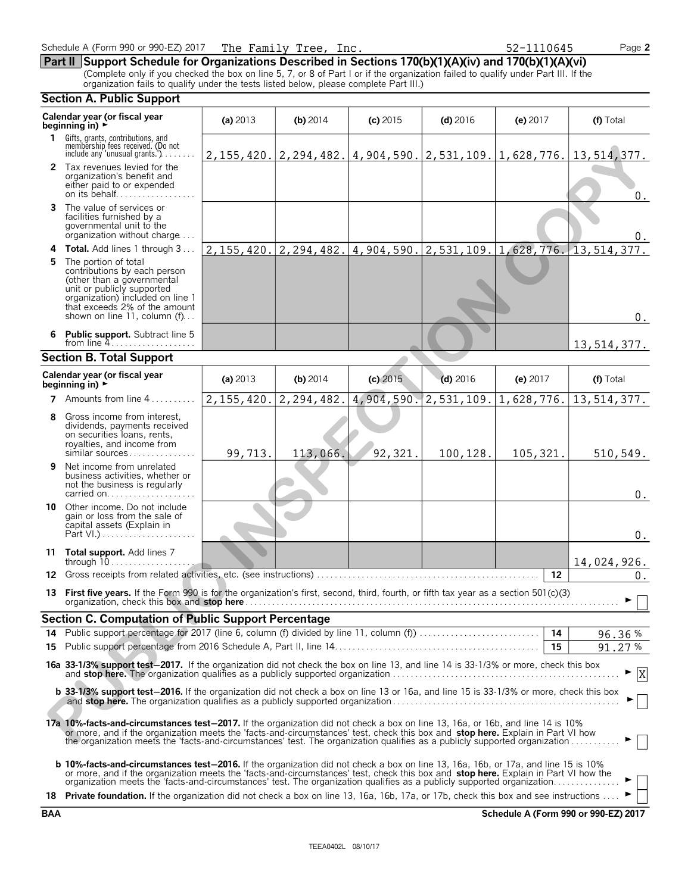|              | Calendar year (or fiscal year<br>beginning in) $\blacktriangleright$                                                                                                                                                  | (a) 2013     | $(b)$ 2014                  | $(c)$ 2015 | $(d)$ 2016 | $(e)$ 2017                | (f) Total                                                                                  |
|--------------|-----------------------------------------------------------------------------------------------------------------------------------------------------------------------------------------------------------------------|--------------|-----------------------------|------------|------------|---------------------------|--------------------------------------------------------------------------------------------|
| 1.           | Gifts, grants, contributions, and<br>membership fees received. (Do not<br>include any 'unusual grants.')                                                                                                              |              |                             |            |            |                           | $2, 155, 420.$ $2, 294, 482.$ $4, 904, 590.$ $2, 531, 109.$ $1, 628, 776.$ $13, 514, 377.$ |
| $\mathbf{2}$ | Tax revenues levied for the<br>organization's benefit and<br>either paid to or expended                                                                                                                               |              |                             |            |            |                           | 0.                                                                                         |
| 3.           | The value of services or<br>facilities furnished by a<br>governmental unit to the<br>organization without charge                                                                                                      |              |                             |            |            |                           | 0.                                                                                         |
|              | Total. Add lines 1 through 3                                                                                                                                                                                          |              | 2, 155, 420.   2, 294, 482. |            |            |                           | $4,904,590.$ $2,531,109.$ $1,628,776.$ 13,514,377.                                         |
| 5            | The portion of total<br>contributions by each person<br>(other than a governmental<br>unit or publicly supported<br>organization) included on line 1<br>that exceeds 2% of the amount<br>shown on line 11, column (f) |              |                             |            |            |                           | 0.                                                                                         |
| 6            | <b>Public support.</b> Subtract line 5<br>from line 4                                                                                                                                                                 |              |                             |            |            |                           | 13, 514, 377.                                                                              |
|              | <b>Section B. Total Support</b>                                                                                                                                                                                       |              |                             |            |            |                           |                                                                                            |
|              | Calendar year (or fiscal year<br>beginning in) $\blacktriangleright$                                                                                                                                                  | (a) 2013     | (b) $2014$                  | $(c)$ 2015 | $(d)$ 2016 | (e) $2017$                | (f) Total                                                                                  |
| 7            | Amounts from line 4.                                                                                                                                                                                                  | 2, 155, 420. | 2,294,482.                  | 4,904,590. |            | $2,531,109.$ 1, 628, 776. | 13,514,377.                                                                                |
| 8            | Gross income from interest.<br>dividends, payments received<br>on securities loans, rents,<br>royalties, and income from<br>similar sources                                                                           | 99,713.      | 113,066.                    | 92,321.    | 100,128.   | 105,321.                  | 510,549.                                                                                   |
| 9            | Net income from unrelated<br>business activities, whether or<br>not the business is regularly<br>carried on                                                                                                           |              |                             |            |            |                           | 0.                                                                                         |
|              | 10 Other income Departiculum                                                                                                                                                                                          |              |                             |            |            |                           |                                                                                            |

**Part II Support Schedule for Organizations Described in Sections 170(b)(1)(A)(iv) and 170(b)(1)(A)(vi)** (Complete only if you checked the box on line 5, 7, or 8 of Part I or if the organization failed to qualify under Part III. If the organization fails to qualify under the tests listed below, please complete Part III.)

## **Section A. Public Support**

|            | membership fees received. (Do not<br>include any 'unusual grants.') $\ldots \ldots$                                                                                                                                                                                                                                                                                                                       |          |            |            |                                                                  |          | $2, 155, 420.   2, 294, 482.   4, 904, 590.   2, 531, 109.   1, 628, 776.   13, 514, 377.$ |
|------------|-----------------------------------------------------------------------------------------------------------------------------------------------------------------------------------------------------------------------------------------------------------------------------------------------------------------------------------------------------------------------------------------------------------|----------|------------|------------|------------------------------------------------------------------|----------|--------------------------------------------------------------------------------------------|
|            | Tax revenues levied for the<br>organization's benefit and<br>either paid to or expended                                                                                                                                                                                                                                                                                                                   |          |            |            |                                                                  |          | $0$ .                                                                                      |
| 3          | The value of services or<br>facilities furnished by a<br>governmental unit to the<br>organization without charge                                                                                                                                                                                                                                                                                          |          |            |            |                                                                  |          | 0.                                                                                         |
|            | <b>Total.</b> Add lines 1 through 3                                                                                                                                                                                                                                                                                                                                                                       |          |            |            |                                                                  |          | $2,155,420.$ $2,294,482.$ $4,904,590.$ $2,531,109.$ $1,628,776.$ 13,514,377.               |
| 5          | The portion of total<br>contributions by each person<br>(other than a governmental<br>unit or publicly supported<br>organization) included on line 1<br>that exceeds 2% of the amount<br>shown on line 11, column (f)                                                                                                                                                                                     |          |            |            |                                                                  |          | $0$ .                                                                                      |
| 6          | Public support. Subtract line 5<br>from line $4$                                                                                                                                                                                                                                                                                                                                                          |          |            |            |                                                                  |          | 13,514,377.                                                                                |
|            | <b>Section B. Total Support</b>                                                                                                                                                                                                                                                                                                                                                                           |          |            |            |                                                                  |          |                                                                                            |
|            | Calendar year (or fiscal year<br>beginning in) $\blacktriangleright$                                                                                                                                                                                                                                                                                                                                      | (a) 2013 | (b) $2014$ | $(c)$ 2015 | $(d)$ 2016                                                       | (e) 2017 | (f) Total                                                                                  |
|            | <b>7</b> Amounts from line $4, \ldots, \ldots$                                                                                                                                                                                                                                                                                                                                                            |          |            |            | $2,155,420.$ $2,294,482.$ $4,904,590.$ $2,531,109.$ $1,628,776.$ |          | 13,514,377.                                                                                |
| 8          | Gross income from interest.<br>dividends, payments received<br>on securities loans, rents,<br>royalties, and income from<br>similar sources                                                                                                                                                                                                                                                               | 99,713.  | 113,066.   | 92,321.    | 100,128.                                                         | 105,321. | 510,549.                                                                                   |
| 9          | Net income from unrelated<br>business activities, whether or<br>not the business is regularly<br>carried on                                                                                                                                                                                                                                                                                               |          |            |            |                                                                  |          | $0$ .                                                                                      |
|            | 10 Other income. Do not include<br>gain or loss from the sale of<br>capital assets (Explain in                                                                                                                                                                                                                                                                                                            |          |            |            |                                                                  |          | 0.                                                                                         |
|            | 11 Total support. Add lines 7                                                                                                                                                                                                                                                                                                                                                                             |          |            |            |                                                                  |          | 14,024,926.                                                                                |
|            |                                                                                                                                                                                                                                                                                                                                                                                                           |          |            |            |                                                                  | 12       | 0.                                                                                         |
|            | 13 First five years. If the Form 990 is for the organization's first, second, third, fourth, or fifth tax year as a section 501(c)(3)                                                                                                                                                                                                                                                                     |          |            |            |                                                                  |          |                                                                                            |
|            | Section C. Computation of Public Support Percentage                                                                                                                                                                                                                                                                                                                                                       |          |            |            |                                                                  |          |                                                                                            |
|            |                                                                                                                                                                                                                                                                                                                                                                                                           |          |            |            |                                                                  | 14       | 96.36%                                                                                     |
|            |                                                                                                                                                                                                                                                                                                                                                                                                           |          |            |            |                                                                  | 15       | 91.27%                                                                                     |
|            | 16a 33-1/3% support test-2017. If the organization did not check the box on line 13, and line 14 is 33-1/3% or more, check this box                                                                                                                                                                                                                                                                       |          |            |            |                                                                  |          | X                                                                                          |
|            | <b>b</b> 33-1/3% support test-2016. If the organization did not check a box on line 13 or 16a, and line 15 is 33-1/3% or more, check this box                                                                                                                                                                                                                                                             |          |            |            |                                                                  |          |                                                                                            |
|            | 17a 10%-facts-and-circumstances test-2017. If the organization did not check a box on line 13, 16a, or 16b, and line 14 is 10%<br>or more, and if the organization meets the 'facts-and-circumstances' test, check this box and stop here. Explain in Part VI how<br>the organization meets the 'facts-and-circumstances' test. The organization qualifies as a publicly supported organization           |          |            |            |                                                                  |          |                                                                                            |
|            | <b>b 10%-facts-and-circumstances test-2016.</b> If the organization did not check a box on line 13, 16a, 16b, or 17a, and line 15 is 10%<br>or more, and if the organization meets the 'facts-and-circumstances' test, check this box and stop here. Explain in Part VI how the<br>organization meets the 'facts-and-circumstances' test. The organization qualifies as a publicly supported organization |          |            |            |                                                                  |          |                                                                                            |
|            | 18 Private foundation. If the organization did not check a box on line 13, 16a, 16b, 17a, or 17b, check this box and see instructions                                                                                                                                                                                                                                                                     |          |            |            |                                                                  |          |                                                                                            |
| <b>BAA</b> |                                                                                                                                                                                                                                                                                                                                                                                                           |          |            |            |                                                                  |          | Schedule A (Form 990 or 990-EZ) 2017                                                       |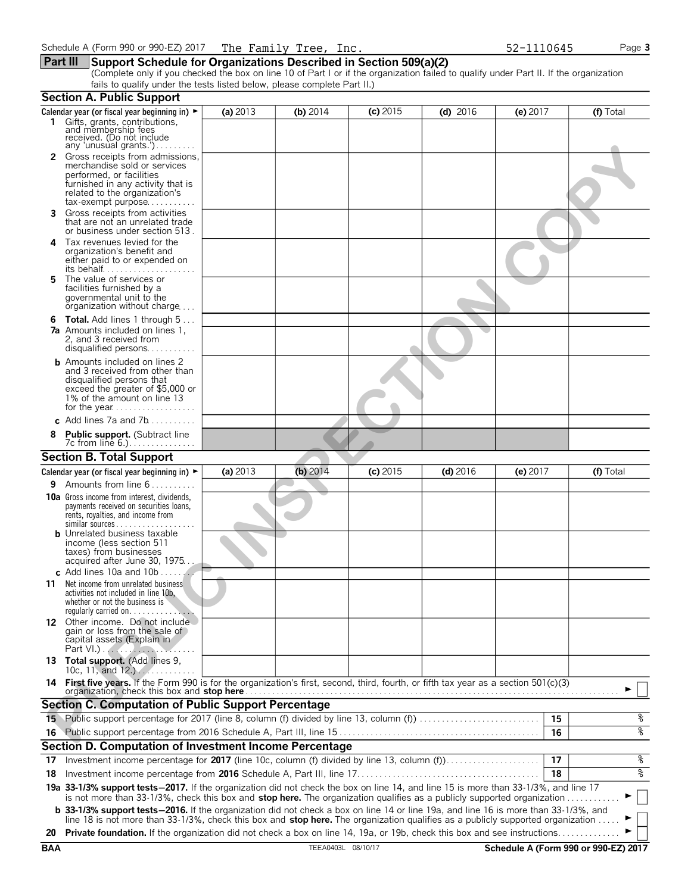**Part III Support Schedule for Organizations Described in Section 509(a)(2)**

(Complete only if you checked the box on line 10 of Part I or if the organization failed to qualify under Part II. If the organization fails to qualify under the tests listed below, please complete Part II.)

|         | <b>Section A. Public Support</b>                                                                                                                                                                                                                                              |          |            |            |            |          |           |
|---------|-------------------------------------------------------------------------------------------------------------------------------------------------------------------------------------------------------------------------------------------------------------------------------|----------|------------|------------|------------|----------|-----------|
|         | Calendar year (or fiscal year beginning in) ►<br>1 Gifts, grants, contributions,<br>and membership fees<br>received. (Do not include                                                                                                                                          | (a) 2013 | (b) $2014$ | $(c)$ 2015 | $(d)$ 2016 | (e) 2017 | (f) Total |
|         | any 'unusual grants.')                                                                                                                                                                                                                                                        |          |            |            |            |          |           |
|         | 2 Gross receipts from admissions,<br>merchandise sold or services<br>performed, or facilities<br>furnished in any activity that is<br>related to the organization's<br>$tax\text{-}exempt$ purpose                                                                            |          |            |            |            |          |           |
| 3       | Gross receipts from activities<br>that are not an unrelated trade<br>or business under section 513.                                                                                                                                                                           |          |            |            |            |          |           |
| 4<br>5. | Tax revenues levied for the<br>organization's benefit and<br>either paid to or expended on<br>its behalf<br>The value of services or<br>facilities furnished by a                                                                                                             |          |            |            |            |          |           |
|         | governmental unit to the<br>organization without charge                                                                                                                                                                                                                       |          |            |            |            |          |           |
|         | <b>Total.</b> Add lines 1 through 5<br><b>7a</b> Amounts included on lines 1,<br>2, and 3 received from                                                                                                                                                                       |          |            |            |            |          |           |
|         | <b>b</b> Amounts included on lines 2<br>and 3 received from other than<br>disqualified persons that<br>exceed the greater of \$5,000 or<br>1% of the amount on line 13<br>for the year                                                                                        |          |            |            |            |          |           |
|         | c Add lines 7a and 7b                                                                                                                                                                                                                                                         |          |            |            |            |          |           |
|         | <b>Public support.</b> (Subtract line<br>7c from line 6.)                                                                                                                                                                                                                     |          |            |            |            |          |           |
|         | <b>Section B. Total Support</b>                                                                                                                                                                                                                                               |          |            |            |            |          |           |
|         | Calendar year (or fiscal year beginning in) $\blacktriangleright$                                                                                                                                                                                                             | (a) 2013 | (b) 2014   | $(c)$ 2015 | $(d)$ 2016 | (e) 2017 | (f) Total |
|         | 9 Amounts from line 6                                                                                                                                                                                                                                                         |          |            |            |            |          |           |
|         | 10a Gross income from interest, dividends,<br>payments received on securities loans,<br>rents, royalties, and income from<br>$similar$ sources<br><b>b</b> Unrelated business taxable                                                                                         |          |            |            |            |          |           |
|         | income (less section 511<br>taxes) from businesses<br>acquired after June 30, 1975.                                                                                                                                                                                           |          |            |            |            |          |           |
| 11      | c Add lines 10a and $10b$<br>Net income from unrelated business<br>activities not included in line 10b.<br>whether or not the business is                                                                                                                                     |          |            |            |            |          |           |
|         | 12 Other income. Do not include<br>gain or loss from the sale of<br>capital assets (Explain in<br>Part VI.)                                                                                                                                                                   |          |            |            |            |          |           |
|         | 13 Total support. (Add lines 9,<br>10c, 11, and 12.)                                                                                                                                                                                                                          |          |            |            |            |          |           |
|         | 14 First five years. If the Form 990 is for the organization's first, second, third, fourth, or fifth tax year as a section 501(c)(3)<br>organization, check this box and stop here.                                                                                          |          |            |            |            |          |           |
|         | <b>Section C. Computation of Public Support Percentage</b>                                                                                                                                                                                                                    |          |            |            |            |          |           |
|         |                                                                                                                                                                                                                                                                               |          |            |            |            | 15       | န့        |
|         |                                                                                                                                                                                                                                                                               |          |            |            |            | 16       | %         |
|         | Section D. Computation of Investment Income Percentage                                                                                                                                                                                                                        |          |            |            |            |          |           |
| 17      | Investment income percentage for 2017 (line 10c, column (f) divided by line 13, column (f)                                                                                                                                                                                    |          |            |            |            | 17       | %         |
| 18      |                                                                                                                                                                                                                                                                               |          |            |            |            | 18       | ०७        |
|         | 19a 33-1/3% support tests-2017. If the organization did not check the box on line 14, and line 15 is more than 33-1/3%, and line 17<br>is not more than 33-1/3%, check this box and <b>stop here.</b> The organization qualifies as a publicly supported organization         |          |            |            |            |          |           |
|         | <b>b</b> 33-1/3% support tests-2016. If the organization did not check a box on line 14 or line 19a, and line 16 is more than 33-1/3%, and<br>line 18 is not more than 33-1/3%, check this box and stop here. The organization qualifies as a publicly supported organization |          |            |            |            |          |           |
|         | 20 Private foundation. If the organization did not check a box on line 14, 19a, or 19b, check this box and see instructions                                                                                                                                                   |          |            |            |            |          |           |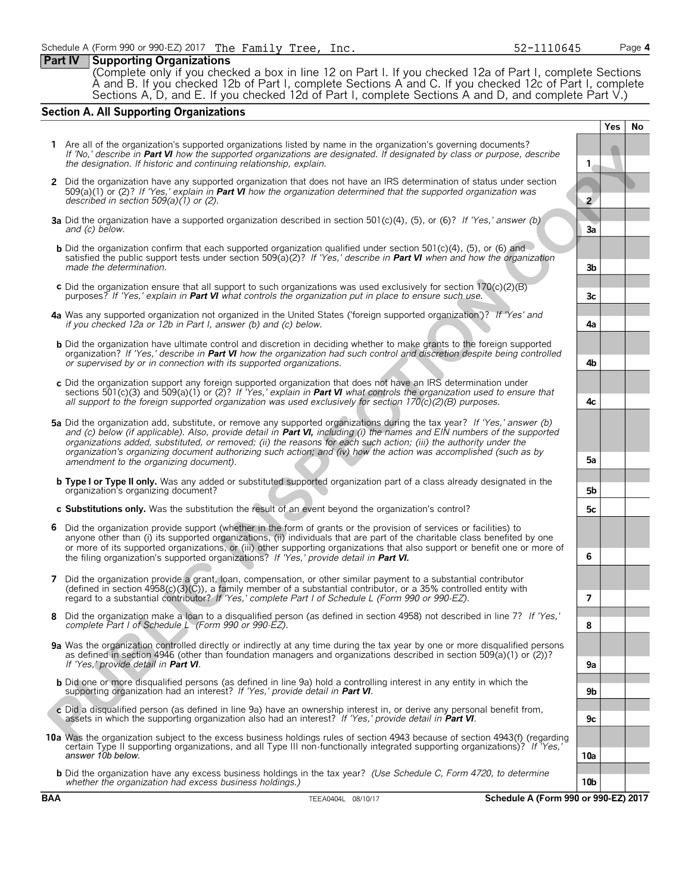#### **Part IV Supporting Organizations**

(Complete only if you checked a box in line 12 on Part I. If you checked 12a of Part I, complete Sections A and B. If you checked 12b of Part I, complete Sections A and C. If you checked 12c of Part I, complete Sections A, D, and E. If you checked 12d of Part I, complete Sections A and D, and complete Part V.)

## **Section A. All Supporting Organizations**

|            |                                                                                                                                                                                                                                                                                                                                                                                                                                                                                                                                          |                | Yes | <b>No</b> |  |  |
|------------|------------------------------------------------------------------------------------------------------------------------------------------------------------------------------------------------------------------------------------------------------------------------------------------------------------------------------------------------------------------------------------------------------------------------------------------------------------------------------------------------------------------------------------------|----------------|-----|-----------|--|--|
|            | 1 Are all of the organization's supported organizations listed by name in the organization's governing documents?<br>If 'No,' describe in Part VI how the supported organizations are designated. If designated by class or purpose, describe<br>the designation. If historic and continuing relationship, explain.                                                                                                                                                                                                                      | $\mathbf{1}$   |     |           |  |  |
|            | 2 Did the organization have any supported organization that does not have an IRS determination of status under section<br>509(a)(1) or (2)? If 'Yes,' explain in <b>Part VI</b> how the organization determined that the supported organization was<br>described in section $509(a)(1)$ or (2).                                                                                                                                                                                                                                          | $\overline{2}$ |     |           |  |  |
|            | <b>3a</b> Did the organization have a supported organization described in section 501(c)(4), (5), or (6)? If 'Yes,' answer (b)<br>and (c) below.                                                                                                                                                                                                                                                                                                                                                                                         | 3a             |     |           |  |  |
|            | <b>b</b> Did the organization confirm that each supported organization qualified under section 501(c)(4), (5), or (6) and<br>satisfied the public support tests under section 509(a)(2)? If 'Yes,' describe in Part VI when and how the organization<br>made the determination.                                                                                                                                                                                                                                                          | 3b             |     |           |  |  |
|            | c Did the organization ensure that all support to such organizations was used exclusively for section $170(c)(2)(B)$<br>purposes? If 'Yes,' explain in Part VI what controls the organization put in place to ensure such use.                                                                                                                                                                                                                                                                                                           | 3c             |     |           |  |  |
|            | 4a Was any supported organization not organized in the United States ('foreign supported organization')? If 'Yes' and<br>if you checked 12a or 12b in Part I, answer (b) and (c) below.                                                                                                                                                                                                                                                                                                                                                  | 4a             |     |           |  |  |
|            | <b>b</b> Did the organization have ultimate control and discretion in deciding whether to make grants to the foreign supported<br>organization? If 'Yes,' describe in Part VI how the organization had such control and discretion despite being controlled<br>or supervised by or in connection with its supported organizations.                                                                                                                                                                                                       | 4b             |     |           |  |  |
|            | c Did the organization support any foreign supported organization that does not have an IRS determination under<br>sections 501(c)(3) and 509(a)(1) or (2)? If 'Yes,' explain in <b>Part VI</b> what controls the organization used to ensure that<br>all support to the foreign supported organization was used exclusively for section $170(c)(2)(B)$ purposes.                                                                                                                                                                        | 4c             |     |           |  |  |
|            | 5a Did the organization add, substitute, or remove any supported organizations during the tax year? If 'Yes,' answer (b)<br>and (c) below (if applicable). Also, provide detail in Part VI, including (i) the names and EIN numbers of the supported<br>organizations added, substituted, or removed; (ii) the reasons for each such action; (iii) the authority under the<br>organization's organizing document authorizing such action; and (iv) how the action was accomplished (such as by<br>amendment to the organizing document). | 5а             |     |           |  |  |
|            | <b>b Type I or Type II only.</b> Was any added or substituted supported organization part of a class already designated in the<br>organization's organizing document?                                                                                                                                                                                                                                                                                                                                                                    | 5b             |     |           |  |  |
|            | c Substitutions only. Was the substitution the result of an event beyond the organization's control?                                                                                                                                                                                                                                                                                                                                                                                                                                     | 5с             |     |           |  |  |
| 6          | Did the organization provide support (whether in the form of grants or the provision of services or facilities) to<br>anyone other than (i) its supported organizations, (ii) individuals that are part of the charitable class benefited by one<br>or more of its supported organizations, or (iii) other supporting organizations that also support or benefit one or more of<br>the filing organization's supported organizations? If 'Yes,' provide detail in Part VI.                                                               | 6              |     |           |  |  |
| 7          | Did the organization provide a grant, loan, compensation, or other similar payment to a substantial contributor<br>(defined in section $4958(c)(3)(C)$ ), a family member of a substantial contributor, or a 35% controlled entity with<br>regard to a substantial contributor? If 'Yes,' complete Part I of Schedule L (Form 990 or 990-EZ).                                                                                                                                                                                            | 7              |     |           |  |  |
|            | Did the organization make a loan to a disqualified person (as defined in section 4958) not described in line 7? If 'Yes,'<br>complete Part I of Schedule L (Form 990 or 990-EZ).                                                                                                                                                                                                                                                                                                                                                         | 8              |     |           |  |  |
|            | 9a Was the organization controlled directly or indirectly at any time during the tax year by one or more disqualified persons<br>as defined in section 4946 (other than foundation managers and organizations described in section 509(a)(1) or (2))?<br>If 'Yes,' provide detail in Part VI.                                                                                                                                                                                                                                            | 9a             |     |           |  |  |
|            | <b>b</b> Did one or more disqualified persons (as defined in line 9a) hold a controlling interest in any entity in which the<br>supporting organization had an interest? If 'Yes,' provide detail in Part VI.                                                                                                                                                                                                                                                                                                                            | 9b             |     |           |  |  |
|            | c Did a disqualified person (as defined in line 9a) have an ownership interest in, or derive any personal benefit from,<br>assets in which the supporting organization also had an interest? If 'Yes,' provide detail in Part VI.                                                                                                                                                                                                                                                                                                        |                |     |           |  |  |
|            | 10a Was the organization subject to the excess business holdings rules of section 4943 because of section 4943(f) (regarding<br>certain Type II supporting organizations, and all Type III non-functionally integrated supporting organizations)? If Yes,<br>answer 10b below.                                                                                                                                                                                                                                                           | 10a            |     |           |  |  |
|            | <b>b</b> Did the organization have any excess business holdings in the tax year? (Use Schedule C, Form 4720, to determine<br>whether the organization had excess business holdings.)                                                                                                                                                                                                                                                                                                                                                     | 10b            |     |           |  |  |
| <b>BAA</b> | Schedule A (Form 990 or 990-EZ) 2017<br>TEEA0404L 08/10/17                                                                                                                                                                                                                                                                                                                                                                                                                                                                               |                |     |           |  |  |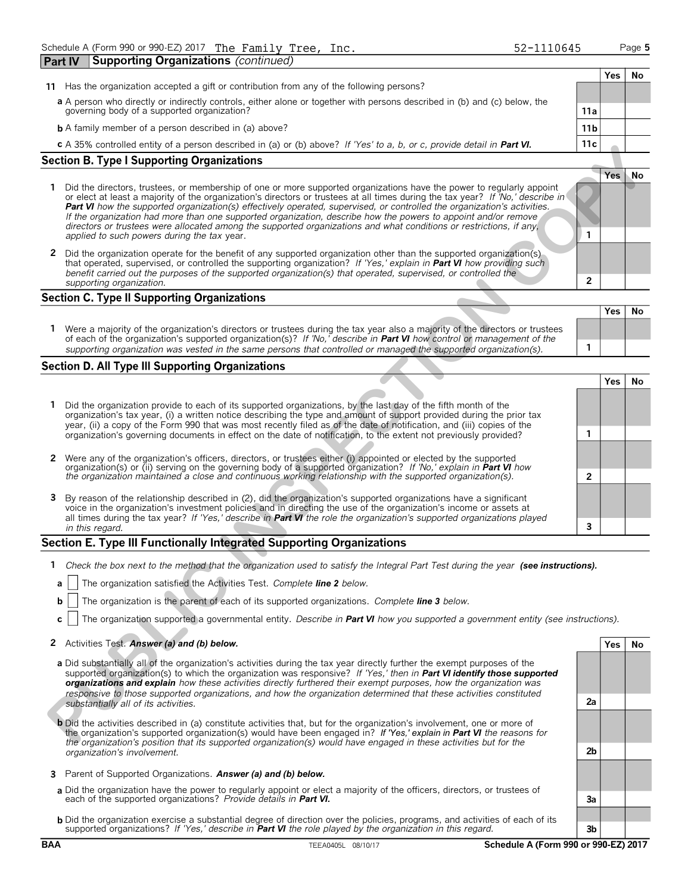|              | <b>Part IV</b> Supporting Organizations (continued)                                                                                                                                                                                                                                                                                                                                                                                                                                                                                                                                                                                                                         |                 |            |    |
|--------------|-----------------------------------------------------------------------------------------------------------------------------------------------------------------------------------------------------------------------------------------------------------------------------------------------------------------------------------------------------------------------------------------------------------------------------------------------------------------------------------------------------------------------------------------------------------------------------------------------------------------------------------------------------------------------------|-----------------|------------|----|
|              |                                                                                                                                                                                                                                                                                                                                                                                                                                                                                                                                                                                                                                                                             |                 | Yes        | No |
|              | 11 Has the organization accepted a gift or contribution from any of the following persons?<br>a A person who directly or indirectly controls, either alone or together with persons described in (b) and (c) below, the                                                                                                                                                                                                                                                                                                                                                                                                                                                     |                 |            |    |
|              | governing body of a supported organization?                                                                                                                                                                                                                                                                                                                                                                                                                                                                                                                                                                                                                                 | 11a             |            |    |
|              | <b>b</b> A family member of a person described in (a) above?                                                                                                                                                                                                                                                                                                                                                                                                                                                                                                                                                                                                                | 11 <sub>b</sub> |            |    |
|              | c A 35% controlled entity of a person described in (a) or (b) above? If 'Yes' to a, b, or c, provide detail in Part VI.                                                                                                                                                                                                                                                                                                                                                                                                                                                                                                                                                     | 11c             |            |    |
|              | <b>Section B. Type I Supporting Organizations</b>                                                                                                                                                                                                                                                                                                                                                                                                                                                                                                                                                                                                                           |                 |            |    |
|              |                                                                                                                                                                                                                                                                                                                                                                                                                                                                                                                                                                                                                                                                             |                 | <b>Yes</b> | No |
|              | Did the directors, trustees, or membership of one or more supported organizations have the power to regularly appoint<br>or elect at least a majority of the organization's directors or trustees at all times during the tax year? If No,' describe in<br>Part VI how the supported organization(s) effectively operated, supervised, or controlled the organization's activities.<br>If the organization had more than one supported organization, describe how the powers to appoint and/or remove<br>directors or trustees were allocated among the supported organizations and what conditions or restrictions, if any,<br>applied to such powers during the tax year. | 1               |            |    |
| 2            | Did the organization operate for the benefit of any supported organization other than the supported organization(s)<br>that operated, supervised, or controlled the supporting organization? If 'Yes,' explain in Part VI how providing such<br>benefit carried out the purposes of the supported organization(s) that operated, supervised, or controlled the<br>supporting organization.                                                                                                                                                                                                                                                                                  | $\mathbf{2}$    |            |    |
|              | <b>Section C. Type II Supporting Organizations</b>                                                                                                                                                                                                                                                                                                                                                                                                                                                                                                                                                                                                                          |                 |            |    |
|              |                                                                                                                                                                                                                                                                                                                                                                                                                                                                                                                                                                                                                                                                             |                 | <b>Yes</b> | No |
|              | 1 Were a majority of the organization's directors or trustees during the tax year also a majority of the directors or trustees<br>of each of the organization's supported organization(s)? If 'No,' describe in Part VI how control or management of the<br>supporting organization was vested in the same persons that controlled or managed the supported organization(s).                                                                                                                                                                                                                                                                                                | 1               |            |    |
|              | <b>Section D. All Type III Supporting Organizations</b>                                                                                                                                                                                                                                                                                                                                                                                                                                                                                                                                                                                                                     |                 |            |    |
|              |                                                                                                                                                                                                                                                                                                                                                                                                                                                                                                                                                                                                                                                                             |                 | <b>Yes</b> | No |
| 1            | Did the organization provide to each of its supported organizations, by the last day of the fifth month of the<br>organization's tax year, (i) a written notice describing the type and amount of support provided during the prior tax<br>year, (ii) a copy of the Form 990 that was most recently filed as of the date of notification, and (iii) copies of the<br>organization's governing documents in effect on the date of notification, to the extent not previously provided?                                                                                                                                                                                       | 1               |            |    |
| 2            | Were any of the organization's officers, directors, or trustees either (i) appointed or elected by the supported<br>organization(s) or (ii) serving on the governing body of a supported organization? If 'No,' explain in <b>Part VI</b> how<br>the organization maintained a close and continuous working relationship with the supported organization(s                                                                                                                                                                                                                                                                                                                  | $\overline{2}$  |            |    |
| 3            | By reason of the relationship described in (2), did the organization's supported organizations have a significant<br>voice in the organization's investment policies and in directing the use of the organization's income or assets at<br>all times during the tax year? If 'Yes,' describe in Part VI the role the organization's supported organizations played<br>in this regard.                                                                                                                                                                                                                                                                                       | 3               |            |    |
|              | Section E. Type III Functionally Integrated Supporting Organizations                                                                                                                                                                                                                                                                                                                                                                                                                                                                                                                                                                                                        |                 |            |    |
| 1            | Check the box next to the method that the organization used to satisfy the Integral Part Test during the year (see instructions).                                                                                                                                                                                                                                                                                                                                                                                                                                                                                                                                           |                 |            |    |
| a            | The organization satisfied the Activities Test. Complete line 2 below.                                                                                                                                                                                                                                                                                                                                                                                                                                                                                                                                                                                                      |                 |            |    |
| b            | The organization is the parent of each of its supported organizations. Complete line 3 below.                                                                                                                                                                                                                                                                                                                                                                                                                                                                                                                                                                               |                 |            |    |
| С            | The organization supported a governmental entity. Describe in Part VI how you supported a government entity (see instructions).                                                                                                                                                                                                                                                                                                                                                                                                                                                                                                                                             |                 |            |    |
|              |                                                                                                                                                                                                                                                                                                                                                                                                                                                                                                                                                                                                                                                                             |                 |            |    |
| $\mathbf{z}$ | Activities Test. Answer (a) and (b) below.                                                                                                                                                                                                                                                                                                                                                                                                                                                                                                                                                                                                                                  |                 | Yes        | No |
|              | a Did substantially all of the organization's activities during the tax year directly further the exempt purposes of the<br>supported organization(s) to which the organization was responsive? If 'Yes,' then in Part VI identify those supported<br>organizations and explain how these activities directly furthered their exempt purposes, how the organization was<br>responsive to those supported organizations, and how the organization determined that these activities constituted<br>substantially all of its activities.                                                                                                                                       | 2a              |            |    |
|              | <b>b</b> Did the activities described in (a) constitute activities that, but for the organization's involvement, one or more of<br>the organization's supported organization(s) would have been engaged in? If 'Yes,' explain in Part VI the reasons for<br>the organization's position that its supported organization(s) would have engaged in these activities but for the                                                                                                                                                                                                                                                                                               |                 |            |    |

| Were a majority of the organization's directors or trustees during the tax year also a majority of the directors or trustees<br>of each of the organization's supported organization(s)? If 'No,' describe in <b>Part VI</b> how control or management of the |  |
|---------------------------------------------------------------------------------------------------------------------------------------------------------------------------------------------------------------------------------------------------------------|--|
|                                                                                                                                                                                                                                                               |  |
| supporting organization was vested in the same persons that controlled or managed the supported organization(s).                                                                                                                                              |  |

|                                                                                                                                                                                                                                                                                                                                                                             | res |  |
|-----------------------------------------------------------------------------------------------------------------------------------------------------------------------------------------------------------------------------------------------------------------------------------------------------------------------------------------------------------------------------|-----|--|
| Did the organization provide to each of its supported organizations, by the last day of the fifth month of the<br>organization's tax year, (i) a written notice describing the type and amount of support provided during the prior tax<br>year, (ii) a copy of the Form 990 that was most recently filed as of the date of notification, and (iii) copies of the           |     |  |
| organization's governing documents in effect on the date of notification, to the extent not previously provided?                                                                                                                                                                                                                                                            |     |  |
| 2 Were any of the organization's officers, directors, or trustees either (i) appointed or elected by the supported organization(s) or (ii) serving on the governing body of a supported organization? If 'No,' explain in Part                                                                                                                                              |     |  |
|                                                                                                                                                                                                                                                                                                                                                                             |     |  |
| 3 By reason of the relationship described in (2), did the organization's supported organizations have a significant<br>voice in the organization's investment policies and in directing the use of the organization's income or assets at<br>all times during the tax year? If 'Yes,' describe in <b>Part VI</b> the role the organization's supported organizations played |     |  |
| in this regard.                                                                                                                                                                                                                                                                                                                                                             |     |  |

#### **Section E. Type III Functionally Integrated Supporting Organizations**

- **1** *Check the box next to the method that the organization used to satisfy the Integral Part Test during the year* (see instructions).
- **a** The organization satisfied the Activities Test. *Complete line 2 below.*
- **b** The organization is the parent of each of its supported organizations. *Complete line 3 below.*
- **c** The organization supported a governmental entity. *Describe in Part VI how you supported a government entity (see instructions).*

#### **2** Activities Test. *Answer (a) and (b) below.* **Yes No**

- **a** Did substantially all of the organization's activities during the tax year directly further the exempt purposes of the supported organization(s) to which the organization was responsive? *If 'Yes,' then in Part VI identify those supported organizations and explain how these activities directly furthered their exempt purposes, how the organization was responsive to those supported organizations, and how the organization determined that these activities constituted substantially all of its activities.* **a2**
- **b** Did the activities described in (a) constitute activities that, but for the organization's involvement, one or more of the organization's supported organization(s) would have been engaged in? *If 'Yes,' explain in Part VI the reasons for the organization's position that its supported organization(s) would have engaged in these activities but for the* organization's involvement. **b** component with the support of the summary means that congenization's involvement.
- **3** Parent of Supported Organizations. *Answer (a) and (b) below.*
- **a** Did the organization have the power to regularly appoint or elect a majority of the officers, directors, or trustees of each of the supported organizations? *Provide details in Part VI.* **a3**
- **b** Did the organization exercise a substantial degree of direction over the policies, programs, and activities of each of its supported organizations? *If 'Yes,' describe in Part VI the role played by the organization in this regard.* **3b**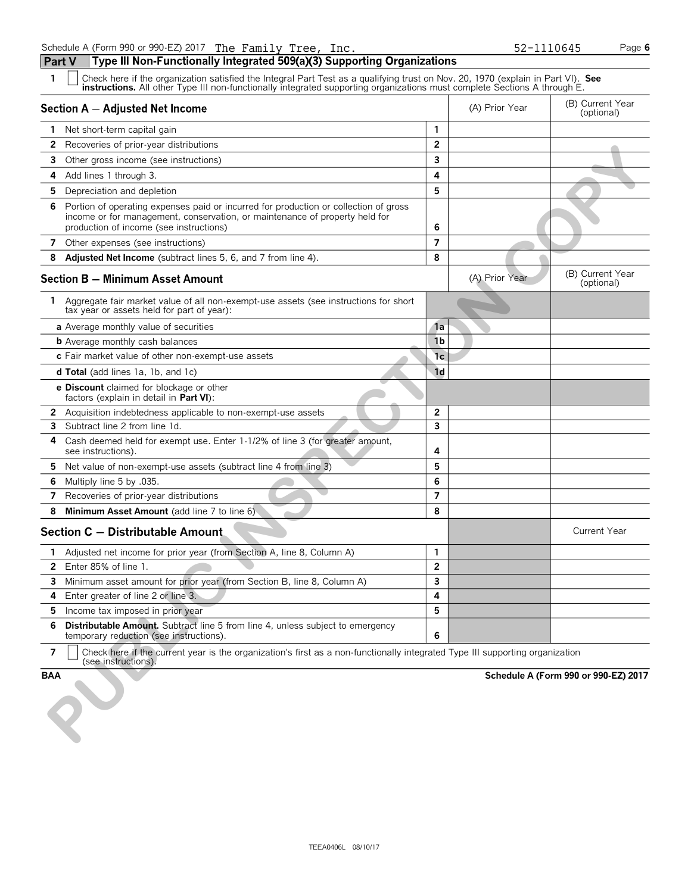#### Schedule A (Form 990 or 990-EZ) 2017 Page **6** The Family Tree, Inc. 52-1110645

| 52-1110645 |
|------------|

|                | ∣ Type III Non-Functionally Integrated 509(a)(3) Supporting Organizations<br><b>Part V</b>                                                                                                                                                                    |                |                |                                      |
|----------------|---------------------------------------------------------------------------------------------------------------------------------------------------------------------------------------------------------------------------------------------------------------|----------------|----------------|--------------------------------------|
| 1              | Check here if the organization satisfied the Integral Part Test as a qualifying trust on Nov. 20, 1970 (explain in Part VI). See<br>instructions. All other Type III non-functionally integrated supporting organizations must complete Sections A through E. |                |                |                                      |
|                | <b>Section A - Adjusted Net Income</b>                                                                                                                                                                                                                        |                | (A) Prior Year | (B) Current Year<br>(optional)       |
| 1              | Net short-term capital gain                                                                                                                                                                                                                                   | 1              |                |                                      |
| 2              | Recoveries of prior-year distributions                                                                                                                                                                                                                        | $\overline{2}$ |                |                                      |
| 3              | Other gross income (see instructions)                                                                                                                                                                                                                         | 3              |                |                                      |
| 4              | Add lines 1 through 3.                                                                                                                                                                                                                                        | 4              |                |                                      |
| 5.             | Depreciation and depletion                                                                                                                                                                                                                                    | 5              |                |                                      |
| 6              | Portion of operating expenses paid or incurred for production or collection of gross<br>income or for management, conservation, or maintenance of property held for<br>production of income (see instructions)                                                | 6              |                |                                      |
| 7              | Other expenses (see instructions)                                                                                                                                                                                                                             | 7              |                |                                      |
| 8              | Adjusted Net Income (subtract lines 5, 6, and 7 from line 4).                                                                                                                                                                                                 | 8              |                |                                      |
|                | <b>Section B - Minimum Asset Amount</b>                                                                                                                                                                                                                       |                | (A) Prior Year | (B) Current Year<br>(optional)       |
| 1.             | Aggregate fair market value of all non-exempt-use assets (see instructions for short<br>tax year or assets held for part of year):                                                                                                                            |                |                |                                      |
|                | a Average monthly value of securities                                                                                                                                                                                                                         | 1a             |                |                                      |
|                | <b>b</b> Average monthly cash balances                                                                                                                                                                                                                        | 1 <sub>b</sub> |                |                                      |
|                | c Fair market value of other non-exempt-use assets                                                                                                                                                                                                            | 1c             |                |                                      |
|                | <b>d Total</b> (add lines 1a, 1b, and 1c)                                                                                                                                                                                                                     | 1 <sub>d</sub> |                |                                      |
|                | e Discount claimed for blockage or other<br>factors (explain in detail in Part VI):                                                                                                                                                                           |                |                |                                      |
|                | 2 Acquisition indebtedness applicable to non-exempt-use assets                                                                                                                                                                                                | $\overline{2}$ |                |                                      |
| 3.             | Subtract line 2 from line 1d.                                                                                                                                                                                                                                 | 3              |                |                                      |
| 4              | Cash deemed held for exempt use. Enter 1-1/2% of line 3 (for greater amount,<br>see instructions).                                                                                                                                                            | 4              |                |                                      |
| 5.             | Net value of non-exempt-use assets (subtract line 4 from line 3)                                                                                                                                                                                              | 5              |                |                                      |
| 6              | Multiply line 5 by .035.                                                                                                                                                                                                                                      | 6              |                |                                      |
| 7              | Recoveries of prior-year distributions                                                                                                                                                                                                                        | 7              |                |                                      |
| 8              | Minimum Asset Amount (add line 7 to line 6)                                                                                                                                                                                                                   | 8              |                |                                      |
|                | Section C - Distributable Amount                                                                                                                                                                                                                              |                |                | <b>Current Year</b>                  |
|                | 1 Adjusted net income for prior year (from Section A, line 8, Column A)                                                                                                                                                                                       | 1              |                |                                      |
| 2              | Enter 85% of line 1.                                                                                                                                                                                                                                          | 2              |                |                                      |
| 3.             | Minimum asset amount for prior year (from Section B, line 8, Column A)                                                                                                                                                                                        | 3              |                |                                      |
| 4              | Enter greater of line 2 or line 3.                                                                                                                                                                                                                            | 4              |                |                                      |
| 5.             | Income tax imposed in prior year                                                                                                                                                                                                                              | 5              |                |                                      |
| 6              | <b>Distributable Amount.</b> Subtract line 5 from line 4, unless subject to emergency<br>temporary reduction (see instructions).                                                                                                                              | 6              |                |                                      |
| $\overline{7}$ | Check here if the current year is the organization's first as a non-functionally integrated Type III supporting organization<br>(see instructions).                                                                                                           |                |                |                                      |
| <b>BAA</b>     |                                                                                                                                                                                                                                                               |                |                | Schedule A (Form 990 or 990-EZ) 2017 |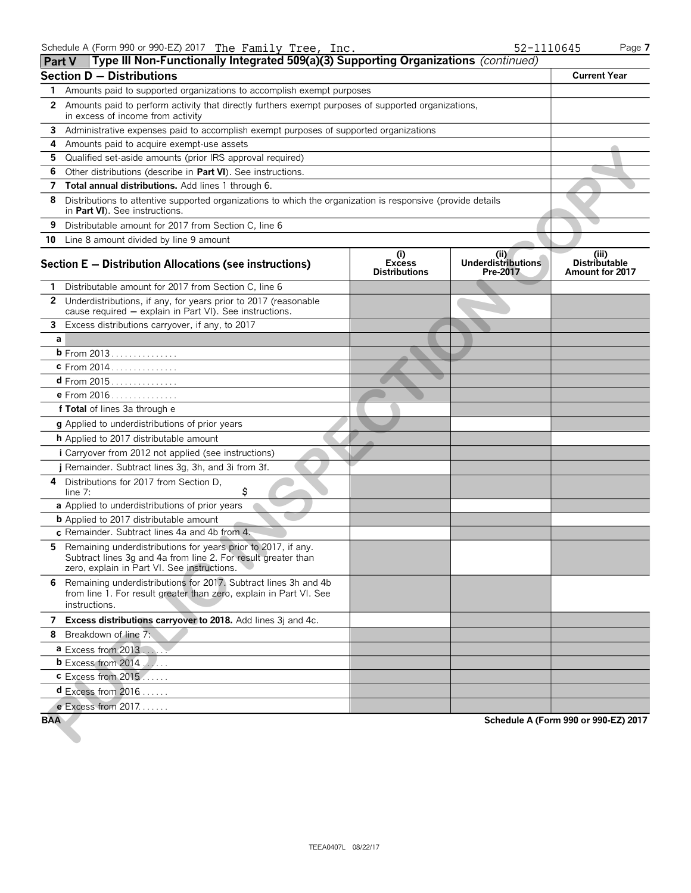| Part V     | Type III Non-Functionally Integrated 509(a)(3) Supporting Organizations (continued)                                                                                           |                                              |                                        |                                                         |
|------------|-------------------------------------------------------------------------------------------------------------------------------------------------------------------------------|----------------------------------------------|----------------------------------------|---------------------------------------------------------|
|            | Section D - Distributions                                                                                                                                                     |                                              |                                        | <b>Current Year</b>                                     |
| 1.         | Amounts paid to supported organizations to accomplish exempt purposes                                                                                                         |                                              |                                        |                                                         |
| 2          | Amounts paid to perform activity that directly furthers exempt purposes of supported organizations,<br>in excess of income from activity                                      |                                              |                                        |                                                         |
| 3          | Administrative expenses paid to accomplish exempt purposes of supported organizations                                                                                         |                                              |                                        |                                                         |
| 4          | Amounts paid to acquire exempt-use assets                                                                                                                                     |                                              |                                        |                                                         |
| 5          | Qualified set-aside amounts (prior IRS approval required)                                                                                                                     |                                              |                                        |                                                         |
| 6          | Other distributions (describe in Part VI). See instructions.                                                                                                                  |                                              |                                        |                                                         |
| 7          | Total annual distributions. Add lines 1 through 6.                                                                                                                            |                                              |                                        |                                                         |
| 8          | Distributions to attentive supported organizations to which the organization is responsive (provide details<br>in Part VI). See instructions.                                 |                                              |                                        |                                                         |
| 9          | Distributable amount for 2017 from Section C, line 6                                                                                                                          |                                              |                                        |                                                         |
| 10         | Line 8 amount divided by line 9 amount                                                                                                                                        |                                              |                                        |                                                         |
|            | <b>Section E - Distribution Allocations (see instructions)</b>                                                                                                                | (i)<br><b>Excess</b><br><b>Distributions</b> | (ii)<br>Underdistributions<br>Pre-2017 | (iii)<br><b>Distributable</b><br><b>Amount for 2017</b> |
| 1.         | Distributable amount for 2017 from Section C, line 6                                                                                                                          |                                              |                                        |                                                         |
| 2          | Underdistributions, if any, for years prior to 2017 (reasonable<br>cause required - explain in Part VI). See instructions.                                                    |                                              |                                        |                                                         |
|            | 3 Excess distributions carryover, if any, to 2017                                                                                                                             |                                              |                                        |                                                         |
| a          |                                                                                                                                                                               |                                              |                                        |                                                         |
|            | <b>b</b> From 2013                                                                                                                                                            |                                              |                                        |                                                         |
|            | <b>c</b> From 2014                                                                                                                                                            |                                              |                                        |                                                         |
|            | <b>d</b> From 2015                                                                                                                                                            |                                              |                                        |                                                         |
|            | <b>e</b> From 2016                                                                                                                                                            |                                              |                                        |                                                         |
|            | f Total of lines 3a through e                                                                                                                                                 |                                              |                                        |                                                         |
|            | g Applied to underdistributions of prior years                                                                                                                                |                                              |                                        |                                                         |
|            | <b>h</b> Applied to 2017 distributable amount                                                                                                                                 |                                              |                                        |                                                         |
|            | <i>i</i> Carryover from 2012 not applied (see instructions)                                                                                                                   |                                              |                                        |                                                         |
|            | Remainder. Subtract lines 3g, 3h, and 3i from 3f.                                                                                                                             |                                              |                                        |                                                         |
|            | 4 Distributions for 2017 from Section D,<br>\$<br>line 7:                                                                                                                     |                                              |                                        |                                                         |
|            | a Applied to underdistributions of prior years                                                                                                                                |                                              |                                        |                                                         |
|            | <b>b</b> Applied to 2017 distributable amount                                                                                                                                 |                                              |                                        |                                                         |
|            | c Remainder. Subtract lines 4a and 4b from 4.                                                                                                                                 |                                              |                                        |                                                         |
| 5.         | Remaining underdistributions for years prior to 2017, if any.<br>Subtract lines 3g and 4a from line 2. For result greater than<br>zero, explain in Part VI. See instructions. |                                              |                                        |                                                         |
| 6          | Remaining underdistributions for 2017. Subtract lines 3h and 4b<br>from line 1. For result greater than zero, explain in Part VI. See<br>instructions.                        |                                              |                                        |                                                         |
|            | 7 Excess distributions carryover to 2018. Add lines 3j and 4c.                                                                                                                |                                              |                                        |                                                         |
| 8.         | Breakdown of line 7:                                                                                                                                                          |                                              |                                        |                                                         |
|            | <b>a</b> Excess from 2013                                                                                                                                                     |                                              |                                        |                                                         |
|            | <b>b</b> Excess from $2014$                                                                                                                                                   |                                              |                                        |                                                         |
|            | <b>c</b> Excess from 2015                                                                                                                                                     |                                              |                                        |                                                         |
|            | $d$ Excess from 2016                                                                                                                                                          |                                              |                                        |                                                         |
|            | e Excess from 2017                                                                                                                                                            |                                              |                                        |                                                         |
| <b>BAA</b> |                                                                                                                                                                               |                                              |                                        | Schedule A (Form 990 or 990-EZ) 2017                    |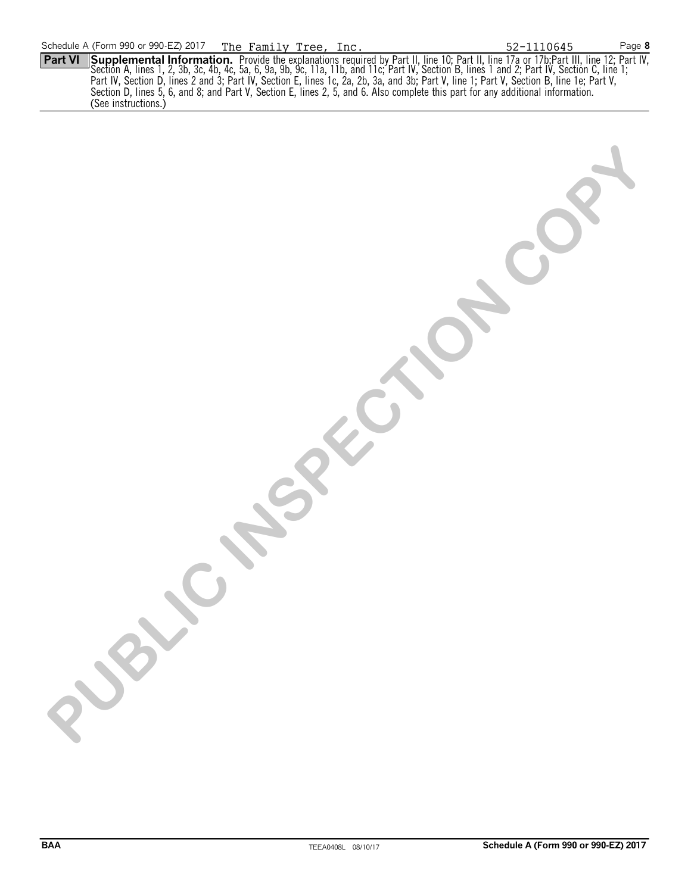| <b>Part VI</b> | Supplemental Information. Provide the explanations required by Part II, line 10; Part II, line 17a or 17b; Part III, line 12; Part IV,       |
|----------------|----------------------------------------------------------------------------------------------------------------------------------------------|
|                | 'Section A, lines 1, 2, 3b, 3c, 4b, 4c, 5a, 6, 9a, 9b, 9c, 11a, 11b, and 11c; Part IV, Section B, lines 1 and 2; Part IV, Section C, line 1; |
|                | Part IV, Section D, lines 2 and 3; Part IV, Section E, lines 1c, 2a, 2b, 3a, and 3b; Part V, line 1; Part V, Section B, line 1e; Part V,     |
|                | Section D, lines 5, 6, and 8; and Part V, Section E, lines 2, 5, and 6. Also complete this part for any additional information.              |
|                | (See instructions.)                                                                                                                          |

**PUBLIC INSPECT**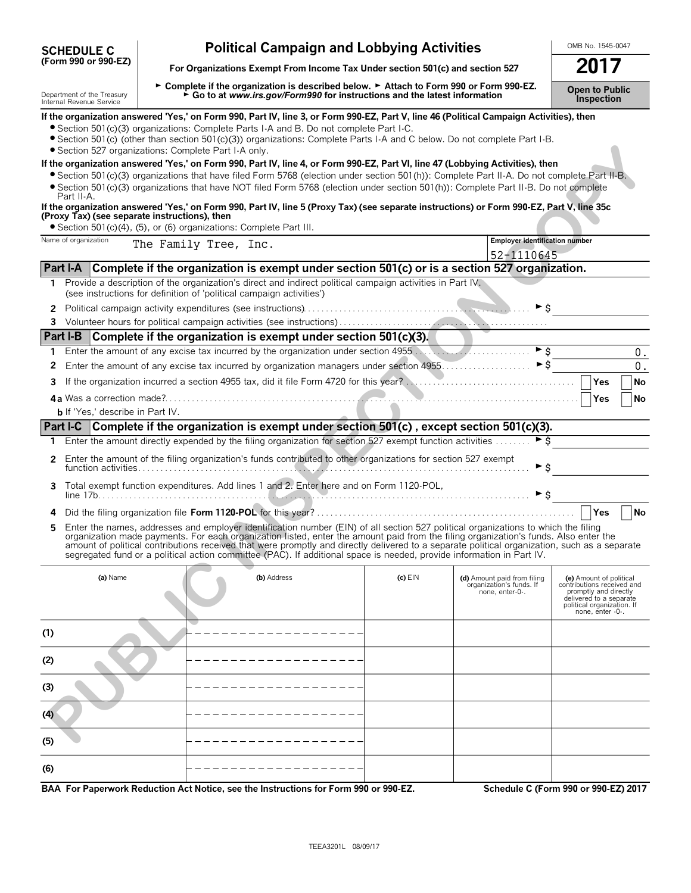| <b>SCHEDULE C</b> |                                                        |  | OMB No. 1545-0047                                                             |                                                                                                                                                                                                                                                                                                                                                                                                                                                                                                          |           |                                                                            |                                                                                                                                                             |  |
|-------------------|--------------------------------------------------------|--|-------------------------------------------------------------------------------|----------------------------------------------------------------------------------------------------------------------------------------------------------------------------------------------------------------------------------------------------------------------------------------------------------------------------------------------------------------------------------------------------------------------------------------------------------------------------------------------------------|-----------|----------------------------------------------------------------------------|-------------------------------------------------------------------------------------------------------------------------------------------------------------|--|
|                   | (Form 990 or 990-EZ)                                   |  | For Organizations Exempt From Income Tax Under section 501(c) and section 527 |                                                                                                                                                                                                                                                                                                                                                                                                                                                                                                          |           |                                                                            |                                                                                                                                                             |  |
|                   | Department of the Treasury<br>Internal Revenue Service |  |                                                                               | ► Complete if the organization is described below. ► Attach to Form 990 or Form 990-EZ.<br>► Go to at www.irs.gov/Form990 for instructions and the latest information                                                                                                                                                                                                                                                                                                                                    |           |                                                                            | Open to Public<br><b>Inspection</b>                                                                                                                         |  |
|                   |                                                        |  |                                                                               | If the organization answered 'Yes,' on Form 990, Part IV, line 3, or Form 990-EZ, Part V, line 46 (Political Campaign Activities), then                                                                                                                                                                                                                                                                                                                                                                  |           |                                                                            |                                                                                                                                                             |  |
|                   | • Section 527 organizations: Complete Part I-A only.   |  |                                                                               | • Section 501(c)(3) organizations: Complete Parts I-A and B. Do not complete Part I-C.<br>• Section 501(c) (other than section 501(c)(3)) organizations: Complete Parts I-A and C below. Do not complete Part I-B.                                                                                                                                                                                                                                                                                       |           |                                                                            |                                                                                                                                                             |  |
|                   |                                                        |  |                                                                               | If the organization answered 'Yes,' on Form 990, Part IV, line 4, or Form 990-EZ, Part VI, line 47 (Lobbying Activities), then                                                                                                                                                                                                                                                                                                                                                                           |           |                                                                            |                                                                                                                                                             |  |
|                   |                                                        |  |                                                                               | • Section 501(c)(3) organizations that have filed Form 5768 (election under section 501(h)): Complete Part II-A. Do not complete Part II-B.                                                                                                                                                                                                                                                                                                                                                              |           |                                                                            |                                                                                                                                                             |  |
|                   | Part II-A.                                             |  |                                                                               | Section 501(c)(3) organizations that have NOT filed Form 5768 (election under section 501(h)): Complete Part II-B. Do not complete                                                                                                                                                                                                                                                                                                                                                                       |           |                                                                            |                                                                                                                                                             |  |
|                   |                                                        |  |                                                                               | If the organization answered 'Yes,' on Form 990, Part IV, line 5 (Proxy Tax) (see separate instructions) or Form 990-EZ, Part V, line 35c                                                                                                                                                                                                                                                                                                                                                                |           |                                                                            |                                                                                                                                                             |  |
|                   | (Proxy Tax) (see separate instructions), then          |  |                                                                               | • Section 501(c)(4), (5), or (6) organizations: Complete Part III.                                                                                                                                                                                                                                                                                                                                                                                                                                       |           |                                                                            |                                                                                                                                                             |  |
|                   | Name of organization                                   |  | The Family Tree, Inc.                                                         |                                                                                                                                                                                                                                                                                                                                                                                                                                                                                                          |           | <b>Employer identification number</b>                                      |                                                                                                                                                             |  |
|                   |                                                        |  |                                                                               |                                                                                                                                                                                                                                                                                                                                                                                                                                                                                                          |           | 52-1110645                                                                 |                                                                                                                                                             |  |
|                   |                                                        |  |                                                                               | Part I-A Complete if the organization is exempt under section 501(c) or is a section 527 organization.                                                                                                                                                                                                                                                                                                                                                                                                   |           |                                                                            |                                                                                                                                                             |  |
| 1.                |                                                        |  |                                                                               | Provide a description of the organization's direct and indirect political campaign activities in Part IV.                                                                                                                                                                                                                                                                                                                                                                                                |           |                                                                            |                                                                                                                                                             |  |
|                   |                                                        |  |                                                                               | (see instructions for definition of 'political campaign activities')                                                                                                                                                                                                                                                                                                                                                                                                                                     |           |                                                                            |                                                                                                                                                             |  |
|                   |                                                        |  |                                                                               |                                                                                                                                                                                                                                                                                                                                                                                                                                                                                                          |           | $\triangleright$ s                                                         |                                                                                                                                                             |  |
|                   |                                                        |  |                                                                               |                                                                                                                                                                                                                                                                                                                                                                                                                                                                                                          |           |                                                                            |                                                                                                                                                             |  |
|                   |                                                        |  |                                                                               | Part I-B Complete if the organization is exempt under section $501(c)(3)$ .                                                                                                                                                                                                                                                                                                                                                                                                                              |           |                                                                            |                                                                                                                                                             |  |
| 1                 |                                                        |  |                                                                               | Enter the amount of any excise tax incurred by the organization under section 4955.                                                                                                                                                                                                                                                                                                                                                                                                                      |           | $\triangleright$ s                                                         | $\boldsymbol{0}$ .                                                                                                                                          |  |
| 2                 |                                                        |  |                                                                               |                                                                                                                                                                                                                                                                                                                                                                                                                                                                                                          |           |                                                                            | $\boldsymbol{0}$ .                                                                                                                                          |  |
|                   |                                                        |  |                                                                               |                                                                                                                                                                                                                                                                                                                                                                                                                                                                                                          |           |                                                                            | Yes<br>No                                                                                                                                                   |  |
|                   |                                                        |  |                                                                               |                                                                                                                                                                                                                                                                                                                                                                                                                                                                                                          |           |                                                                            | Yes<br>No                                                                                                                                                   |  |
|                   | <b>b</b> If 'Yes,' describe in Part IV.                |  |                                                                               |                                                                                                                                                                                                                                                                                                                                                                                                                                                                                                          |           |                                                                            |                                                                                                                                                             |  |
|                   |                                                        |  |                                                                               | Part I-C Complete if the organization is exempt under section $501(c)$ , except section $501(c)(3)$ .                                                                                                                                                                                                                                                                                                                                                                                                    |           |                                                                            |                                                                                                                                                             |  |
|                   |                                                        |  |                                                                               | Enter the amount directly expended by the filing organization for section 527 exempt function activities                                                                                                                                                                                                                                                                                                                                                                                                 |           | $\overline{\phantom{a}}$ s                                                 |                                                                                                                                                             |  |
| 2                 |                                                        |  |                                                                               | Enter the amount of the filing organization's funds contributed to other organizations for section 527 exempt                                                                                                                                                                                                                                                                                                                                                                                            |           | ► \$                                                                       |                                                                                                                                                             |  |
| 3                 |                                                        |  |                                                                               | Total exempt function expenditures. Add lines 1 and 2. Enter here and on Form 1120-POL,                                                                                                                                                                                                                                                                                                                                                                                                                  |           | ► \$                                                                       |                                                                                                                                                             |  |
|                   |                                                        |  |                                                                               |                                                                                                                                                                                                                                                                                                                                                                                                                                                                                                          |           |                                                                            | Yes<br>No                                                                                                                                                   |  |
| 5                 |                                                        |  |                                                                               | Enter the names, addresses and employer identification number (EIN) of all section 527 political organizations to which the filing organization made payments. For each organization listed, enter the amount paid from the fi<br>amount of political contributions received that were promptly and directly delivered to a separate political organization, such as a separate<br>segregated fund or a political action committee (PAC). If additional space is needed, provide information in Part IV. |           |                                                                            |                                                                                                                                                             |  |
|                   | (a) Name                                               |  |                                                                               | (b) Address                                                                                                                                                                                                                                                                                                                                                                                                                                                                                              | $(c)$ EIN | (d) Amount paid from filing<br>organization's funds. If<br>none. enter-0-. | (e) Amount of political<br>contributions received and<br>promptly and directly<br>delivered to a separate<br>political organization. If<br>none, enter -0-. |  |
| (1)               |                                                        |  |                                                                               |                                                                                                                                                                                                                                                                                                                                                                                                                                                                                                          |           |                                                                            |                                                                                                                                                             |  |
| (2)               |                                                        |  |                                                                               |                                                                                                                                                                                                                                                                                                                                                                                                                                                                                                          |           |                                                                            |                                                                                                                                                             |  |
| (3)               |                                                        |  |                                                                               |                                                                                                                                                                                                                                                                                                                                                                                                                                                                                                          |           |                                                                            |                                                                                                                                                             |  |
| (4)               |                                                        |  |                                                                               |                                                                                                                                                                                                                                                                                                                                                                                                                                                                                                          |           |                                                                            |                                                                                                                                                             |  |
| (5)               |                                                        |  |                                                                               |                                                                                                                                                                                                                                                                                                                                                                                                                                                                                                          |           |                                                                            |                                                                                                                                                             |  |
| (6)               |                                                        |  |                                                                               |                                                                                                                                                                                                                                                                                                                                                                                                                                                                                                          |           |                                                                            |                                                                                                                                                             |  |

**BAA For Paperwork Reduction Act Notice, see the Instructions for Form 990 or 990-EZ.** Schedule C (Form 990 or 990-EZ) 2017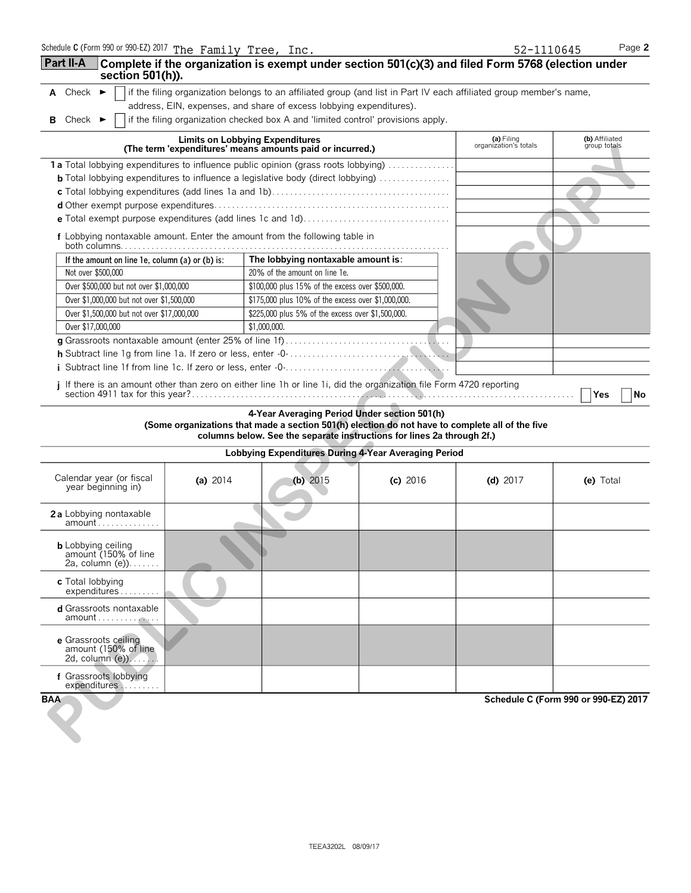| $\sigma$ C (Form 990<br>990-EZ) 2017<br>Schedule<br>$.$ $\sim$ $\sim$ | mı.<br>ami<br>⊥ne<br>$\mathbf{v}$ | $m - -$<br>$\cdots$<br>$\sim$ | ⊥nc | $\sqrt{ }$<br>v v<br>. . | Page |
|-----------------------------------------------------------------------|-----------------------------------|-------------------------------|-----|--------------------------|------|
|-----------------------------------------------------------------------|-----------------------------------|-------------------------------|-----|--------------------------|------|

| Part II-A<br>section 501(h)).                                                                                       |            | Complete if the organization is exempt under section 501(c)(3) and filed Form 5768 (election under                                                                                                                        |            |                                     |                                      |
|---------------------------------------------------------------------------------------------------------------------|------------|---------------------------------------------------------------------------------------------------------------------------------------------------------------------------------------------------------------------------|------------|-------------------------------------|--------------------------------------|
| A Check $\blacktriangleright$                                                                                       |            | if the filing organization belongs to an affiliated group (and list in Part IV each affiliated group member's name,                                                                                                       |            |                                     |                                      |
|                                                                                                                     |            | address, EIN, expenses, and share of excess lobbying expenditures).                                                                                                                                                       |            |                                     |                                      |
| Check $\blacktriangleright$<br>в                                                                                    |            | if the filing organization checked box A and 'limited control' provisions apply.                                                                                                                                          |            |                                     |                                      |
|                                                                                                                     |            | <b>Limits on Lobbying Expenditures</b><br>(The term 'expenditures' means amounts paid or incurred.)                                                                                                                       |            | (a) Filing<br>organization's totals | (b) Affiliated<br>group totals       |
| 1a Total lobbying expenditures to influence public opinion (grass roots lobbying)                                   |            |                                                                                                                                                                                                                           |            |                                     |                                      |
| <b>b</b> Total lobbying expenditures to influence a legislative body (direct lobbying)                              |            |                                                                                                                                                                                                                           |            |                                     |                                      |
|                                                                                                                     |            |                                                                                                                                                                                                                           |            |                                     |                                      |
|                                                                                                                     |            |                                                                                                                                                                                                                           |            |                                     |                                      |
|                                                                                                                     |            |                                                                                                                                                                                                                           |            |                                     |                                      |
| f Lobbying nontaxable amount. Enter the amount from the following table in                                          |            |                                                                                                                                                                                                                           |            |                                     |                                      |
| If the amount on line 1e, column (a) or (b) is:                                                                     |            | The lobbying nontaxable amount is:                                                                                                                                                                                        |            |                                     |                                      |
| Not over \$500,000                                                                                                  |            | 20% of the amount on line 1e.                                                                                                                                                                                             |            |                                     |                                      |
| Over \$500,000 but not over \$1,000,000                                                                             |            | \$100,000 plus 15% of the excess over \$500,000.                                                                                                                                                                          |            |                                     |                                      |
| Over \$1,000,000 but not over \$1,500,000                                                                           |            | \$175,000 plus 10% of the excess over \$1,000,000.                                                                                                                                                                        |            |                                     |                                      |
| Over \$1,500,000 but not over \$17,000,000                                                                          |            | \$225,000 plus 5% of the excess over \$1,500,000.                                                                                                                                                                         |            |                                     |                                      |
| Over \$17,000,000                                                                                                   |            | \$1,000,000.                                                                                                                                                                                                              |            |                                     |                                      |
|                                                                                                                     |            |                                                                                                                                                                                                                           |            |                                     |                                      |
|                                                                                                                     |            |                                                                                                                                                                                                                           |            |                                     |                                      |
|                                                                                                                     |            |                                                                                                                                                                                                                           |            |                                     |                                      |
| j If there is an amount other than zero on either line 1h or line 1i, did the organization file Form 4720 reporting |            |                                                                                                                                                                                                                           |            |                                     | Yes<br>No                            |
|                                                                                                                     |            | 4-Year Averaging Period Under section 501(h)<br>(Some organizations that made a section 501(h) election do not have to complete all of the five<br>columns below. See the separate instructions for lines 2a through 2f.) |            |                                     |                                      |
|                                                                                                                     |            | Lobbying Expenditures During 4-Year Averaging Period                                                                                                                                                                      |            |                                     |                                      |
| Calendar year (or fiscal<br>year beginning in)                                                                      | (a) $2014$ | (b) $2015$                                                                                                                                                                                                                | $(c)$ 2016 | (d) $2017$                          | (e) Total                            |
| 2a Lobbying nontaxable<br>amount                                                                                    |            |                                                                                                                                                                                                                           |            |                                     |                                      |
| <b>b</b> Lobbying ceiling<br>amount (150% of line<br>$2a$ , column (e)). $\dots$ .                                  |            |                                                                                                                                                                                                                           |            |                                     |                                      |
| c Total lobbying<br>expenditures                                                                                    |            |                                                                                                                                                                                                                           |            |                                     |                                      |
| <b>d</b> Grassroots nontaxable<br>amount                                                                            |            |                                                                                                                                                                                                                           |            |                                     |                                      |
| e Grassroots ceiling<br>amount (150% of line<br>2d, column (e))                                                     |            |                                                                                                                                                                                                                           |            |                                     |                                      |
| f Grassroots lobbying<br>expenditures                                                                               |            |                                                                                                                                                                                                                           |            |                                     |                                      |
| <b>BAA</b>                                                                                                          |            |                                                                                                                                                                                                                           |            |                                     | Schedule C (Form 990 or 990-EZ) 2017 |

| 2a Lobbying nontaxable<br>$amount \dots \dots \dots \dots$                                  |  |  |                                      |
|---------------------------------------------------------------------------------------------|--|--|--------------------------------------|
| <b>b</b> Lobbying ceiling<br>amount $(150\% \text{ of line} 2a, \text{ column} (e)). \dots$ |  |  |                                      |
| c Total lobbying<br>expenditures                                                            |  |  |                                      |
| d Grassroots nontaxable<br>amount                                                           |  |  |                                      |
| e Grassroots ceiling<br>amount (150% of line<br>2d, column (e)),                            |  |  |                                      |
| f Grassroots lobbying<br>expenditures                                                       |  |  |                                      |
| <b>BAA</b>                                                                                  |  |  | Schedule C (Form 990 or 990-EZ) 2017 |

TEEA3202L 08/09/17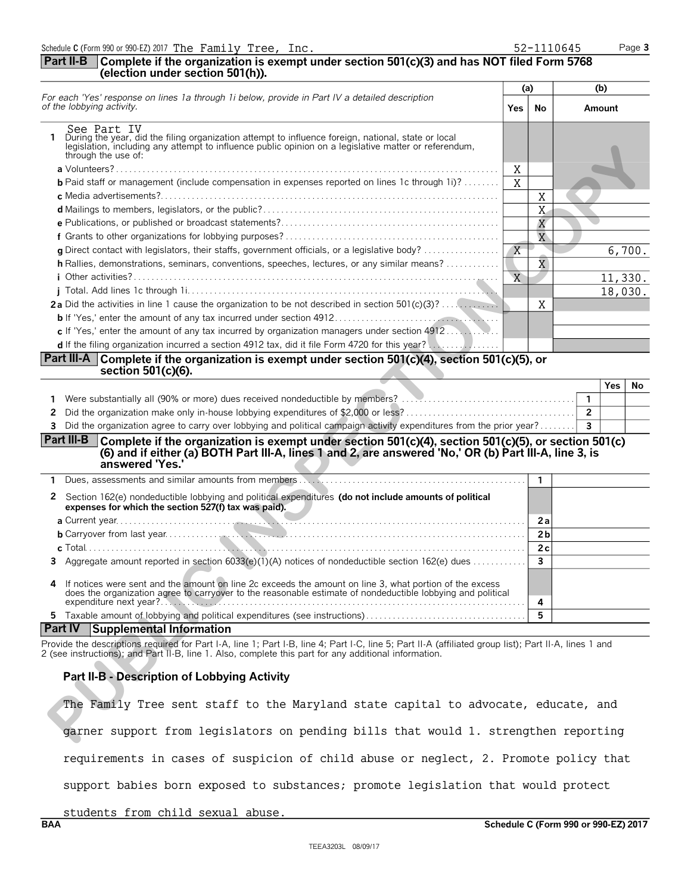|                                                                                                                                                                                                                                                                | (a)     |                | (b)            |
|----------------------------------------------------------------------------------------------------------------------------------------------------------------------------------------------------------------------------------------------------------------|---------|----------------|----------------|
| For each 'Yes' response on lines 1a through 1i below, provide in Part IV a detailed description<br>of the lobbying activity.                                                                                                                                   | Yes.    | No.            | Amount         |
| See Part IV<br>1 During the year, did the filing organization attempt to influence foreign, national, state or local<br>legislation, including any attempt to influence public opinion on a legislative matter or referendum,<br>through the use of:           |         |                |                |
|                                                                                                                                                                                                                                                                | X       |                |                |
| <b>b</b> Paid staff or management (include compensation in expenses reported on lines 1c through 1i)?                                                                                                                                                          | $\rm X$ |                |                |
|                                                                                                                                                                                                                                                                |         | Χ              |                |
|                                                                                                                                                                                                                                                                |         | X              |                |
|                                                                                                                                                                                                                                                                |         | $\overline{X}$ |                |
|                                                                                                                                                                                                                                                                |         | X              |                |
| <b>g</b> Direct contact with legislators, their staffs, government officials, or a legislative body?                                                                                                                                                           | X       |                | 6,700.         |
| h Rallies, demonstrations, seminars, conventions, speeches, lectures, or any similar means?                                                                                                                                                                    |         | $\overline{X}$ |                |
|                                                                                                                                                                                                                                                                | X       |                | 11,330.        |
|                                                                                                                                                                                                                                                                |         |                | 18,030.        |
| 2a Did the activities in line 1 cause the organization to be not described in section $501(c)(3)$ ?                                                                                                                                                            |         | X              |                |
|                                                                                                                                                                                                                                                                |         |                |                |
| c If 'Yes,' enter the amount of any tax incurred by organization managers under section 4912                                                                                                                                                                   |         |                |                |
| d If the filing organization incurred a section 4912 tax, did it file Form 4720 for this year?                                                                                                                                                                 |         |                |                |
| Part III-A Complete if the organization is exempt under section $501(c)(4)$ , section $501(c)(5)$ , or<br>section 501(c)(6).                                                                                                                                   |         |                |                |
|                                                                                                                                                                                                                                                                |         |                | Yes<br>No      |
| 1.                                                                                                                                                                                                                                                             |         |                | $\overline{1}$ |
| 2                                                                                                                                                                                                                                                              |         |                | $\overline{2}$ |
| 3 Did the organization agree to carry over lobbying and political campaign activity expenditures from the prior year?                                                                                                                                          |         |                | $\mathbf{3}$   |
| Part III-B<br>Complete if the organization is exempt under section $501(c)(4)$ , section $501(c)(5)$ , or section $501(c)$<br>(6) and if either (a) BOTH Part III-A, lines 1 and 2, are answered 'No,' OR (b) Part III-A, line 3, is<br>answered 'Yes.'        |         |                |                |
| 1.                                                                                                                                                                                                                                                             |         | $\mathbf{1}$   |                |
| Section 162(e) nondeductible lobbying and political expenditures (do not include amounts of political<br>2<br>expenses for which the section 527(f) tax was paid).                                                                                             |         |                |                |
|                                                                                                                                                                                                                                                                |         | 2a             |                |
|                                                                                                                                                                                                                                                                |         | 2 <sub>b</sub> |                |
|                                                                                                                                                                                                                                                                |         | 2c             |                |
| Aggregate amount reported in section 6033(e)(1)(A) notices of nondeductible section 162(e) dues<br>3.                                                                                                                                                          |         | $\mathbf{3}$   |                |
| 4 If notices were sent and the amount on line 2c exceeds the amount on line 3, what portion of the excess<br>does the organization agree to carryover to the reasonable estimate of nondeductible lobbying and political                                       |         | 4              |                |
| 5 Taxable amount of lobbying and political expenditures (see instructions)                                                                                                                                                                                     |         | 5              |                |
| Part IV Supplemental Information                                                                                                                                                                                                                               |         |                |                |
| Provide the descriptions required for Part I-A, line 1; Part I-B, line 4; Part I-C, line 5; Part II-A (affiliated group list); Part II-A, lines 1 and<br>2 (see instructions); and Part II-B, line 1. Also, complete this part for any additional information. |         |                |                |
| <b>Part II-B - Description of Lobbying Activity</b>                                                                                                                                                                                                            |         |                |                |
| The Family Tree sent staff to the Maryland state capital to advocate, educate, and                                                                                                                                                                             |         |                |                |
| garner support from legislators on pending bills that would 1. strengthen reporting                                                                                                                                                                            |         |                |                |

#### **Part II-B - Description of Lobbying Activity**

The Family Tree sent staff to the Maryland state capital to advocate, educate, and garner support from legislators on pending bills that would 1. strengthen reporting requirements in cases of suspicion of child abuse or neglect, 2. Promote policy that support babies born exposed to substances; promote legislation that would protect

students from child sexual abuse.

**(election under section 501(h)).**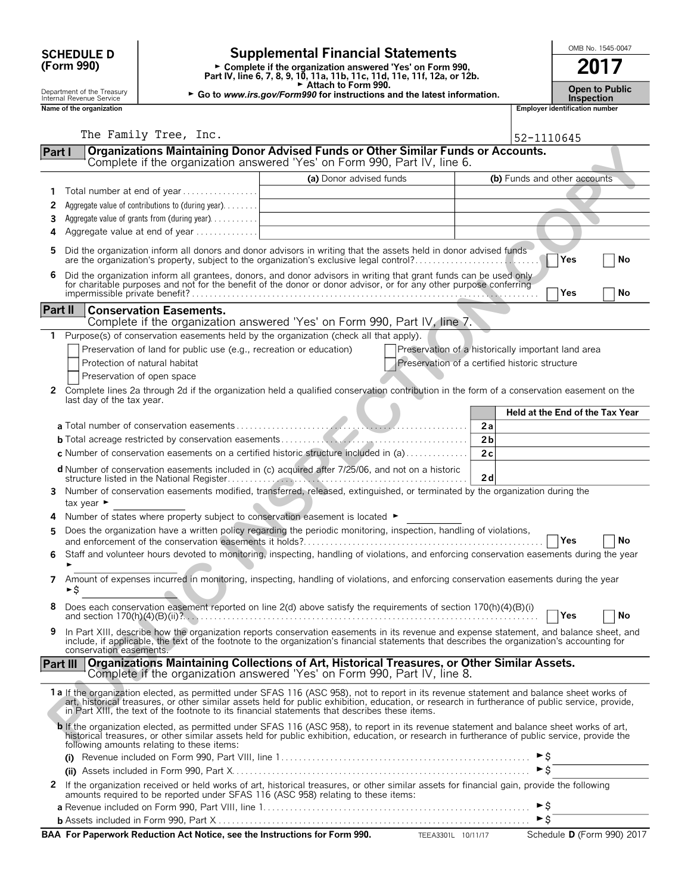|         | <b>SCHEDULE D</b>                                                                                                                                    |                                                                     | <b>Supplemental Financial Statements</b>                                                                                                                                                                                                                                                                                                                                                       |                                                    |                              |                                 | OMB No. 1545-0047          |
|---------|------------------------------------------------------------------------------------------------------------------------------------------------------|---------------------------------------------------------------------|------------------------------------------------------------------------------------------------------------------------------------------------------------------------------------------------------------------------------------------------------------------------------------------------------------------------------------------------------------------------------------------------|----------------------------------------------------|------------------------------|---------------------------------|----------------------------|
|         | (Form 990)<br>► Complete if the organization answered 'Yes' on Form 990,<br>Part IV, line 6, 7, 8, 9, 10, 11a, 11b, 11c, 11d, 11e, 11f, 12a, or 12b. |                                                                     |                                                                                                                                                                                                                                                                                                                                                                                                |                                                    |                              |                                 | 2017                       |
|         | Department of the Treasury<br>Internal Revenue Service                                                                                               |                                                                     | Attach to Form 990.<br>► Go to www.irs.gov/Form990 for instructions and the latest information.                                                                                                                                                                                                                                                                                                |                                                    |                              | <b>Inspection</b>               | <b>Open to Public</b>      |
|         | Name of the organization                                                                                                                             |                                                                     |                                                                                                                                                                                                                                                                                                                                                                                                |                                                    |                              | Employer identification number  |                            |
|         |                                                                                                                                                      | The Family Tree, Inc.                                               |                                                                                                                                                                                                                                                                                                                                                                                                |                                                    |                              | 52-1110645                      |                            |
| Part I  |                                                                                                                                                      |                                                                     | Organizations Maintaining Donor Advised Funds or Other Similar Funds or Accounts.                                                                                                                                                                                                                                                                                                              |                                                    |                              |                                 |                            |
|         |                                                                                                                                                      |                                                                     | Complete if the organization answered 'Yes' on Form 990, Part IV, line 6.<br>(a) Donor advised funds                                                                                                                                                                                                                                                                                           |                                                    | (b) Funds and other accounts |                                 |                            |
| 1       |                                                                                                                                                      |                                                                     |                                                                                                                                                                                                                                                                                                                                                                                                |                                                    |                              |                                 |                            |
| 2       |                                                                                                                                                      | Aggregate value of contributions to (during year).                  |                                                                                                                                                                                                                                                                                                                                                                                                |                                                    |                              |                                 |                            |
| 3       |                                                                                                                                                      | Aggregate value of grants from (during year)                        |                                                                                                                                                                                                                                                                                                                                                                                                |                                                    |                              |                                 |                            |
| 4       |                                                                                                                                                      | Aggregate value at end of year                                      |                                                                                                                                                                                                                                                                                                                                                                                                |                                                    |                              |                                 |                            |
| 5       |                                                                                                                                                      |                                                                     | Did the organization inform all donors and donor advisors in writing that the assets held in donor advised funds<br>are the organization's property, subject to the organization's exclusive legal control?                                                                                                                                                                                    |                                                    |                              | Yes                             | No                         |
| 6       |                                                                                                                                                      |                                                                     | Did the organization inform all grantees, donors, and donor advisors in writing that grant funds can be used only                                                                                                                                                                                                                                                                              |                                                    |                              |                                 |                            |
|         |                                                                                                                                                      |                                                                     | for charitable purposes and not for the benefit of the donor or donor advisor, or for any other purpose conferring                                                                                                                                                                                                                                                                             |                                                    |                              | Yes                             | No                         |
| Part II |                                                                                                                                                      | <b>Conservation Easements.</b>                                      |                                                                                                                                                                                                                                                                                                                                                                                                |                                                    |                              |                                 |                            |
|         |                                                                                                                                                      |                                                                     | Complete if the organization answered 'Yes' on Form 990, Part IV, line 7.                                                                                                                                                                                                                                                                                                                      |                                                    |                              |                                 |                            |
| 1.      |                                                                                                                                                      |                                                                     | Purpose(s) of conservation easements held by the organization (check all that apply).                                                                                                                                                                                                                                                                                                          |                                                    |                              |                                 |                            |
|         |                                                                                                                                                      | Preservation of land for public use (e.g., recreation or education) |                                                                                                                                                                                                                                                                                                                                                                                                | Preservation of a historically important land area |                              |                                 |                            |
|         |                                                                                                                                                      | Protection of natural habitat                                       |                                                                                                                                                                                                                                                                                                                                                                                                | Preservation of a certified historic structure     |                              |                                 |                            |
|         |                                                                                                                                                      | Preservation of open space                                          |                                                                                                                                                                                                                                                                                                                                                                                                |                                                    |                              |                                 |                            |
| 2       | last day of the tax year.                                                                                                                            |                                                                     | Complete lines 2a through 2d if the organization held a qualified conservation contribution in the form of a conservation easement on the                                                                                                                                                                                                                                                      |                                                    |                              |                                 |                            |
|         |                                                                                                                                                      |                                                                     |                                                                                                                                                                                                                                                                                                                                                                                                |                                                    | 2a                           | Held at the End of the Tax Year |                            |
|         |                                                                                                                                                      |                                                                     |                                                                                                                                                                                                                                                                                                                                                                                                |                                                    | 2 <sub>b</sub>               |                                 |                            |
|         |                                                                                                                                                      |                                                                     | <b>c</b> Number of conservation easements on a certified historic structure included in (a) $\dots \dots \dots$                                                                                                                                                                                                                                                                                |                                                    | 2c                           |                                 |                            |
|         |                                                                                                                                                      |                                                                     | d Number of conservation easements included in (c) acquired after 7/25/06, and not on a historic                                                                                                                                                                                                                                                                                               |                                                    |                              |                                 |                            |
|         |                                                                                                                                                      |                                                                     |                                                                                                                                                                                                                                                                                                                                                                                                |                                                    | 2 d                          |                                 |                            |
| 3       | tax year $\blacktriangleright$                                                                                                                       |                                                                     | Number of conservation easements modified, transferred, released, extinguished, or terminated by the organization during the                                                                                                                                                                                                                                                                   |                                                    |                              |                                 |                            |
| 4       |                                                                                                                                                      |                                                                     | Number of states where property subject to conservation easement is located ►                                                                                                                                                                                                                                                                                                                  |                                                    |                              |                                 |                            |
|         |                                                                                                                                                      | and enforcement of the conservation easements it holds?             | Does the organization have a written policy regarding the periodic monitoring, inspection, handling of violations,                                                                                                                                                                                                                                                                             |                                                    |                              | Yes                             | No                         |
| 6       |                                                                                                                                                      |                                                                     | Staff and volunteer hours devoted to monitoring, inspecting, handling of violations, and enforcing conservation easements during the year                                                                                                                                                                                                                                                      |                                                    |                              |                                 |                            |
| 7       | ►\$                                                                                                                                                  |                                                                     | Amount of expenses incurred in monitoring, inspecting, handling of violations, and enforcing conservation easements during the year                                                                                                                                                                                                                                                            |                                                    |                              |                                 |                            |
| 8       |                                                                                                                                                      |                                                                     | Does each conservation easement reported on line 2(d) above satisfy the requirements of section 170(h)(4)(B)(i)<br>and section $170(h)(4)(B)(ii)$ ?                                                                                                                                                                                                                                            |                                                    |                              | Yes                             | No                         |
| 9       | conservation easements.                                                                                                                              |                                                                     | In Part XIII, describe how the organization reports conservation easements in its revenue and expense statement, and balance sheet, and<br>include, if applicable, the text of the footnote to the organization's financial statements that describes the organization's accounting for                                                                                                        |                                                    |                              |                                 |                            |
|         | <b>Part III</b>                                                                                                                                      |                                                                     | <b>Organizations Maintaining Collections of Art, Historical Treasures, or Other Similar Assets.</b><br>Complete if the organization answered 'Yes' on Form 990, Part IV, line 8.                                                                                                                                                                                                               |                                                    |                              |                                 |                            |
|         |                                                                                                                                                      |                                                                     | 1a If the organization elected, as permitted under SFAS 116 (ASC 958), not to report in its revenue statement and balance sheet works of<br>art, historical treasures, or other similar assets held for public exhibition, education, or research in furtherance of public service, provide,<br>in Part XIII, the text of the footnote to its financial statements that describes these items. |                                                    |                              |                                 |                            |
|         |                                                                                                                                                      | following amounts relating to these items:                          | <b>b</b> If the organization elected, as permitted under SFAS 116 (ASC 958), to report in its revenue statement and balance sheet works of art,<br>historical treasures, or other similar assets held for public exhibition, education, or research in furtherance of public service, provide the                                                                                              |                                                    |                              |                                 |                            |
|         |                                                                                                                                                      |                                                                     |                                                                                                                                                                                                                                                                                                                                                                                                |                                                    | ►s                           |                                 |                            |
|         |                                                                                                                                                      |                                                                     |                                                                                                                                                                                                                                                                                                                                                                                                |                                                    | $\triangleright$ \$          |                                 |                            |
| 2       |                                                                                                                                                      |                                                                     | If the organization received or held works of art, historical treasures, or other similar assets for financial gain, provide the following<br>amounts required to be reported under SFAS 116 (ASC 958) relating to these items:                                                                                                                                                                |                                                    | ►s                           |                                 |                            |
|         |                                                                                                                                                      |                                                                     |                                                                                                                                                                                                                                                                                                                                                                                                |                                                    | $\triangleright$ \$          |                                 |                            |
|         |                                                                                                                                                      |                                                                     | BAA For Paperwork Reduction Act Notice, see the Instructions for Form 990. TEEA3301L 10/11/17                                                                                                                                                                                                                                                                                                  |                                                    |                              |                                 | Schedule D (Form 990) 2017 |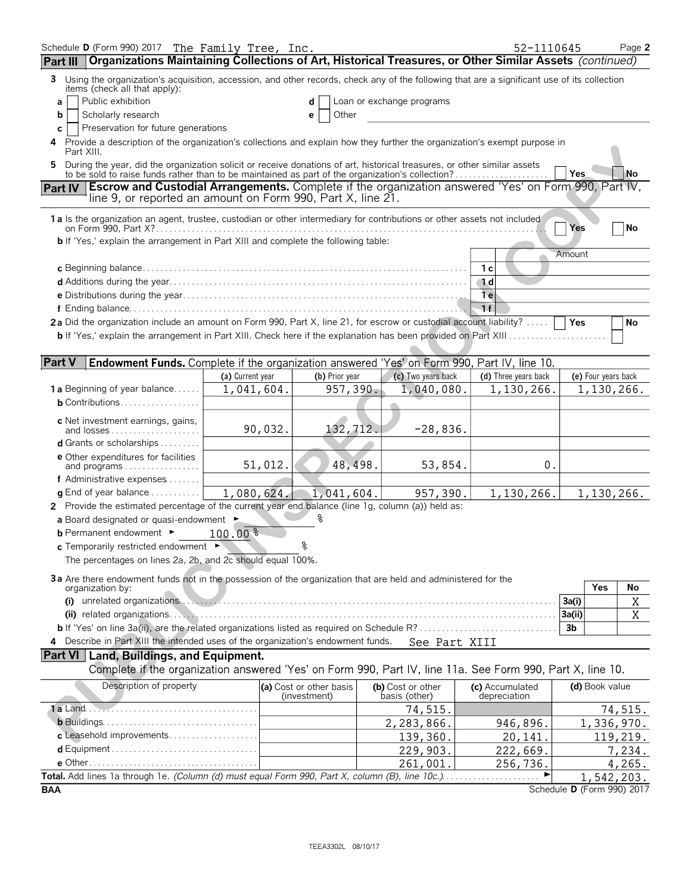| Schedule D (Form 990) 2017 The Family Tree, Inc.                                                                                                                                                                |                  |                         |                           | 52-1110645                       |                            | Page 2   |
|-----------------------------------------------------------------------------------------------------------------------------------------------------------------------------------------------------------------|------------------|-------------------------|---------------------------|----------------------------------|----------------------------|----------|
| Organizations Maintaining Collections of Art, Historical Treasures, or Other Similar Assets (continued)<br>Part III                                                                                             |                  |                         |                           |                                  |                            |          |
| Using the organization's acquisition, accession, and other records, check any of the following that are a significant use of its collection<br>3<br>items (check all that apply):                               |                  |                         |                           |                                  |                            |          |
| Public exhibition<br>a                                                                                                                                                                                          |                  | d                       | Loan or exchange programs |                                  |                            |          |
| Scholarly research<br>b                                                                                                                                                                                         |                  | Other<br>е              |                           |                                  |                            |          |
| Preservation for future generations<br>C                                                                                                                                                                        |                  |                         |                           |                                  |                            |          |
| Provide a description of the organization's collections and explain how they further the organization's exempt purpose in<br>4<br>Part XIII.                                                                    |                  |                         |                           |                                  |                            |          |
| During the year, did the organization solicit or receive donations of art, historical treasures, or other similar assets<br>5                                                                                   |                  |                         |                           |                                  |                            |          |
| to be sold to raise funds rather than to be maintained as part of the organization's collection?<br><b>Escrow and Custodial Arrangements.</b> Complete if the organization answered 'Yes' on Form 990, Part IV, |                  |                         |                           |                                  | Yes                        | No.      |
| <b>Part IV</b><br>line 9, or reported an amount on Form 990, Part X, line 21.                                                                                                                                   |                  |                         |                           |                                  |                            |          |
| 1a Is the organization an agent, trustee, custodian or other intermediary for contributions or other assets not included                                                                                        |                  |                         |                           |                                  |                            |          |
|                                                                                                                                                                                                                 |                  |                         |                           |                                  | Yes                        | No       |
| b If 'Yes,' explain the arrangement in Part XIII and complete the following table:                                                                                                                              |                  |                         |                           |                                  |                            |          |
|                                                                                                                                                                                                                 |                  |                         |                           |                                  | Amount                     |          |
|                                                                                                                                                                                                                 |                  |                         |                           | 1 <sub>c</sub>                   |                            |          |
|                                                                                                                                                                                                                 |                  |                         |                           | $\blacksquare$<br>1 <sub>e</sub> |                            |          |
|                                                                                                                                                                                                                 |                  |                         |                           | 1f                               |                            |          |
| 2a Did the organization include an amount on Form 990, Part X, line 21, for escrow or custodial account liability?                                                                                              |                  |                         |                           |                                  | Yes                        | No       |
| <b>b</b> If 'Yes,' explain the arrangement in Part XIII. Check here if the explanation has been provided on Part XIII                                                                                           |                  |                         |                           |                                  |                            |          |
|                                                                                                                                                                                                                 |                  |                         |                           |                                  |                            |          |
| <b>Part V</b><br>Endowment Funds. Complete if the organization answered 'Yes' on Form 990, Part IV, line 10.                                                                                                    |                  |                         |                           |                                  |                            |          |
|                                                                                                                                                                                                                 | (a) Current year | (b) Prior year          | (c) Two years back        | (d) Three years back             | (e) Four years back        |          |
| <b>1 a</b> Beginning of year balance<br><b>b</b> Contributions                                                                                                                                                  | 1,041,604.       | 957,390.                | 1,040,080.                | 1,130,266.                       | 1,130,266.                 |          |
|                                                                                                                                                                                                                 |                  |                         |                           |                                  |                            |          |
| c Net investment earnings, gains,<br>and losses                                                                                                                                                                 | 90,032.          | 132,712.                | $-28,836.$                |                                  |                            |          |
| <b>d</b> Grants or scholarships $\ldots$                                                                                                                                                                        |                  |                         |                           |                                  |                            |          |
| <b>e</b> Other expenditures for facilities                                                                                                                                                                      |                  |                         |                           |                                  |                            |          |
| and programs<br>f Administrative expenses                                                                                                                                                                       | 51,012.          | 48,498.                 | 53,854.                   | 0.                               |                            |          |
| <b>a</b> End of year balance $\ldots \ldots \ldots$                                                                                                                                                             | 1,080,624.       | 1,041,604.              | 957,390.                  | 1,130,266.                       | 1,130,266.                 |          |
| 2 Provide the estimated percentage of the current year end balance (line 1g, column (a)) held as:                                                                                                               |                  |                         |                           |                                  |                            |          |
| a Board designated or quasi-endowment $\blacktriangleright$                                                                                                                                                     |                  |                         |                           |                                  |                            |          |
| <b>b</b> Permanent endowment ►                                                                                                                                                                                  | $100.00$ $%$     |                         |                           |                                  |                            |          |
| c Temporarily restricted endowment ▶                                                                                                                                                                            |                  | o,                      |                           |                                  |                            |          |
| The percentages on lines 2a, 2b, and 2c should equal 100%.                                                                                                                                                      |                  |                         |                           |                                  |                            |          |
| 3a Are there endowment funds not in the possession of the organization that are held and administered for the                                                                                                   |                  |                         |                           |                                  |                            |          |
| organization by:                                                                                                                                                                                                |                  |                         |                           |                                  | Yes                        | No       |
|                                                                                                                                                                                                                 |                  |                         |                           |                                  | 3a(i)<br>3a(ii)            | Χ<br>X   |
|                                                                                                                                                                                                                 |                  |                         |                           |                                  | 3 <sub>b</sub>             |          |
| Describe in Part XIII the intended uses of the organization's endowment funds.<br>4                                                                                                                             |                  |                         | See Part XIII             |                                  |                            |          |
| <b>Part VI   Land, Buildings, and Equipment.</b>                                                                                                                                                                |                  |                         |                           |                                  |                            |          |
| Complete if the organization answered 'Yes' on Form 990, Part IV, line 11a. See Form 990, Part X, line 10.                                                                                                      |                  |                         |                           |                                  |                            |          |
| Description of property                                                                                                                                                                                         |                  | (a) Cost or other basis | (b) Cost or other         | (c) Accumulated                  | (d) Book value             |          |
|                                                                                                                                                                                                                 |                  | (investment)            | basis (other)             | depreciation                     |                            |          |
|                                                                                                                                                                                                                 |                  |                         | 74,515.                   |                                  |                            | 74,515.  |
| c Leasehold improvements                                                                                                                                                                                        |                  |                         | 2,283,866.<br>139, 360.   | 946,896.<br>20,141.              | 1,336,970.                 | 119,219. |
|                                                                                                                                                                                                                 |                  |                         | 229,903.                  | 222,669.                         |                            | 7,234.   |
|                                                                                                                                                                                                                 |                  |                         | 261,001.                  | 256,736.                         |                            | 4,265.   |
| Total. Add lines 1a through 1e. (Column (d) must equal Form 990, Part X, column (B), line 10c.)                                                                                                                 |                  |                         |                           |                                  | 1,542,203.                 |          |
| <b>BAA</b>                                                                                                                                                                                                      |                  |                         |                           |                                  | Schedule D (Form 990) 2017 |          |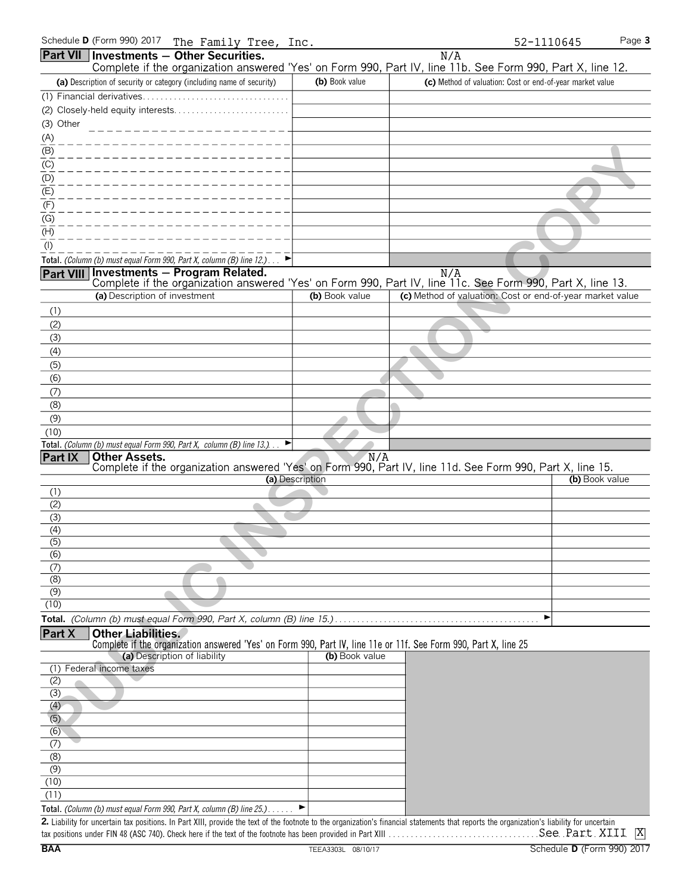|                |                               | <b>Part VII Investments - Other Securities.</b>                                                                       |                 | N/A<br>Complete if the organization answered 'Yes' on Form 990, Part IV, line 11b. See Form 990, Part X, line 12. |                |
|----------------|-------------------------------|-----------------------------------------------------------------------------------------------------------------------|-----------------|-------------------------------------------------------------------------------------------------------------------|----------------|
|                |                               | (a) Description of security or category (including name of security)                                                  | (b) Book value  | (c) Method of valuation: Cost or end-of-year market value                                                         |                |
|                |                               |                                                                                                                       |                 |                                                                                                                   |                |
|                |                               |                                                                                                                       |                 |                                                                                                                   |                |
| (3) Other      |                               |                                                                                                                       |                 |                                                                                                                   |                |
| (A)            |                               |                                                                                                                       |                 |                                                                                                                   |                |
| (B)            |                               |                                                                                                                       |                 |                                                                                                                   |                |
|                |                               |                                                                                                                       |                 |                                                                                                                   |                |
| (C)            |                               |                                                                                                                       |                 |                                                                                                                   |                |
| (D)            |                               |                                                                                                                       |                 |                                                                                                                   |                |
| (E)            |                               |                                                                                                                       |                 |                                                                                                                   |                |
| (F)            |                               |                                                                                                                       |                 |                                                                                                                   |                |
| (G)            |                               |                                                                                                                       |                 |                                                                                                                   |                |
| (H)            |                               |                                                                                                                       |                 |                                                                                                                   |                |
| $($ l $)$      |                               |                                                                                                                       |                 |                                                                                                                   |                |
|                |                               | Total. (Column (b) must equal Form 990, Part X, column (B) line 12.)<br>▶<br>Part VIII Investments - Program Related. |                 |                                                                                                                   |                |
|                |                               |                                                                                                                       |                 | N/A<br>Complete if the organization answered 'Yes' on Form 990, Part IV, line 11c. See Form 990, Part X, line 13. |                |
|                | (a) Description of investment |                                                                                                                       | (b) Book value  | (c) Method of valuation: Cost or end-of-year market value                                                         |                |
| (1)            |                               |                                                                                                                       |                 |                                                                                                                   |                |
| (2)            |                               |                                                                                                                       |                 |                                                                                                                   |                |
| (3)            |                               |                                                                                                                       |                 |                                                                                                                   |                |
| (4)            |                               |                                                                                                                       |                 |                                                                                                                   |                |
| (5)            |                               |                                                                                                                       |                 |                                                                                                                   |                |
| (6)            |                               |                                                                                                                       |                 |                                                                                                                   |                |
| (7)            |                               |                                                                                                                       |                 |                                                                                                                   |                |
| (8)            |                               |                                                                                                                       |                 |                                                                                                                   |                |
| (9)            |                               |                                                                                                                       |                 |                                                                                                                   |                |
| (10)           |                               |                                                                                                                       |                 |                                                                                                                   |                |
|                |                               | Total. (Column (b) must equal Form 990, Part X, column (B) line 13.)                                                  |                 |                                                                                                                   |                |
| <b>Part IX</b> | <b>Other Assets.</b>          |                                                                                                                       | N/A             |                                                                                                                   |                |
|                |                               |                                                                                                                       |                 | Complete if the organization answered 'Yes' on Form 990, Part IV, line 11d. See Form 990, Part X, line 15.        |                |
| (1)            |                               |                                                                                                                       | (a) Description |                                                                                                                   | (b) Book value |
| (2)            |                               |                                                                                                                       |                 |                                                                                                                   |                |
| (3)            |                               |                                                                                                                       |                 |                                                                                                                   |                |
| (4)            |                               |                                                                                                                       |                 |                                                                                                                   |                |
| (5)            |                               |                                                                                                                       |                 |                                                                                                                   |                |
| (6)            |                               |                                                                                                                       |                 |                                                                                                                   |                |
| (7)            |                               |                                                                                                                       |                 |                                                                                                                   |                |
| (8)            |                               |                                                                                                                       |                 |                                                                                                                   |                |
| (9)            |                               |                                                                                                                       |                 |                                                                                                                   |                |
| (10)           |                               |                                                                                                                       |                 |                                                                                                                   |                |
|                |                               |                                                                                                                       |                 | ▶                                                                                                                 |                |
| Part X         | <b>Other Liabilities.</b>     |                                                                                                                       |                 |                                                                                                                   |                |
|                |                               | (a) Description of liability                                                                                          | (b) Book value  | Complete if the organization answered 'Yes' on Form 990, Part IV, line 11e or 11f. See Form 990, Part X, line 25  |                |
|                | (1) Federal income taxes      |                                                                                                                       |                 |                                                                                                                   |                |
| (2)            |                               |                                                                                                                       |                 |                                                                                                                   |                |
| (3)            |                               |                                                                                                                       |                 |                                                                                                                   |                |
| (4)            |                               |                                                                                                                       |                 |                                                                                                                   |                |
| (5)            |                               |                                                                                                                       |                 |                                                                                                                   |                |
| (6)            |                               |                                                                                                                       |                 |                                                                                                                   |                |
| (7)            |                               |                                                                                                                       |                 |                                                                                                                   |                |
| (8)            |                               |                                                                                                                       |                 |                                                                                                                   |                |
| (9)            |                               |                                                                                                                       |                 |                                                                                                                   |                |
| (10)<br>(11)   |                               |                                                                                                                       |                 |                                                                                                                   |                |
|                |                               |                                                                                                                       |                 |                                                                                                                   |                |
|                |                               | Total. (Column (b) must equal Form 990, Part X, column (B) line 25.).                                                 |                 |                                                                                                                   |                |

**2.** Liability for uncertain tax positions. In Part XIII, provide the text of the footnote to the organization's financial statements that reports the organization's liability for uncertain tax positions under FIN 48 (ASC 740). Check here if the text of the footnote has been provided in Part XIII . . . . . . . . . . . . . . . . . . . . . . . . . . . . . . . . . . . . . . . . . . . . . . . . . . . . . . See Part XIII X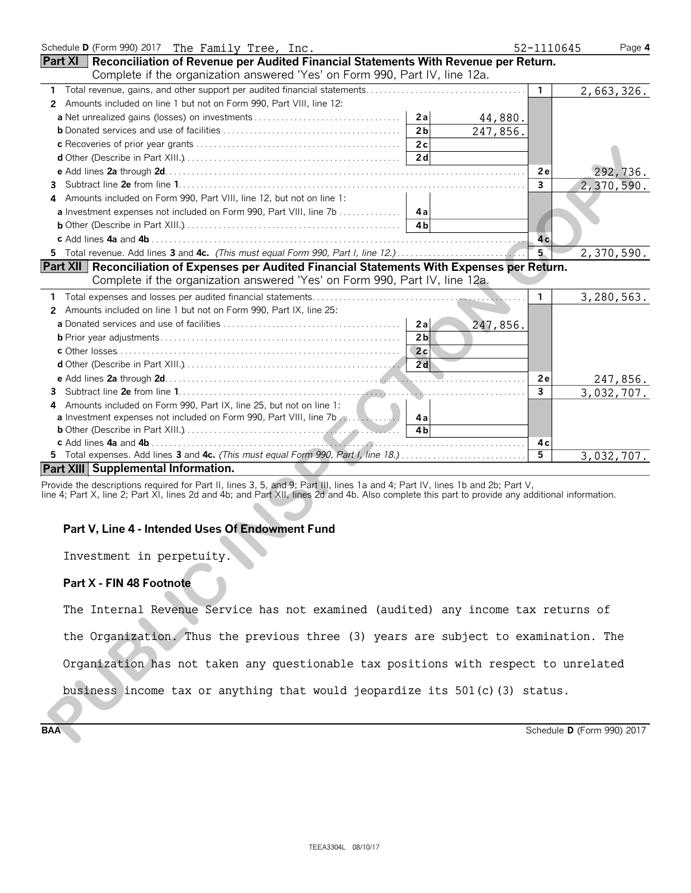| Schedule D (Form 990) 2017 The Family Tree, Inc.                                                                                                                                                                                                                                                                                     |                            | 52-1110645 | Page 4                     |
|--------------------------------------------------------------------------------------------------------------------------------------------------------------------------------------------------------------------------------------------------------------------------------------------------------------------------------------|----------------------------|------------|----------------------------|
| Part XI   Reconciliation of Revenue per Audited Financial Statements With Revenue per Return.                                                                                                                                                                                                                                        |                            |            |                            |
| Complete if the organization answered 'Yes' on Form 990, Part IV, line 12a.                                                                                                                                                                                                                                                          |                            |            |                            |
| 1.                                                                                                                                                                                                                                                                                                                                   |                            | 1.         | 2,663,326.                 |
| 2 Amounts included on line 1 but not on Form 990, Part VIII, line 12:                                                                                                                                                                                                                                                                |                            |            |                            |
|                                                                                                                                                                                                                                                                                                                                      | 2a<br>44,880.              |            |                            |
|                                                                                                                                                                                                                                                                                                                                      | 2 <sub>b</sub><br>247,856. |            |                            |
|                                                                                                                                                                                                                                                                                                                                      | 2c                         |            |                            |
| <b>d</b> Other (Describe in Part XIII.) $\ldots$ $\ldots$ $\ldots$ $\ldots$ $\ldots$ $\ldots$ $\ldots$ $\ldots$ $\ldots$                                                                                                                                                                                                             | 2d                         |            |                            |
|                                                                                                                                                                                                                                                                                                                                      |                            | 2e         | 292,736.                   |
| 3                                                                                                                                                                                                                                                                                                                                    |                            | 3          | 2,370,590.                 |
| Amounts included on Form 990, Part VIII, line 12, but not on line 1:                                                                                                                                                                                                                                                                 |                            |            |                            |
| a Investment expenses not included on Form 990, Part VIII, line 7b                                                                                                                                                                                                                                                                   | - 4 a                      |            |                            |
| <b>b</b> Other (Describe in Part XIII.) $\ldots$ $\ldots$ $\ldots$ $\ldots$ $\ldots$ $\ldots$ $\ldots$ $\ldots$ $\ldots$ $\ldots$                                                                                                                                                                                                    | 4 <sub>b</sub>             |            |                            |
|                                                                                                                                                                                                                                                                                                                                      |                            | 4 c        |                            |
|                                                                                                                                                                                                                                                                                                                                      |                            | 5.         | 2,370,590.                 |
| Part XII   Reconciliation of Expenses per Audited Financial Statements With Expenses per Return.                                                                                                                                                                                                                                     |                            |            |                            |
| Complete if the organization answered 'Yes' on Form 990, Part IV, line 12a.                                                                                                                                                                                                                                                          |                            |            |                            |
| 1.                                                                                                                                                                                                                                                                                                                                   |                            | 1          | 3,280,563.                 |
| Amounts included on line 1 but not on Form 990, Part IX, line 25:<br>2                                                                                                                                                                                                                                                               |                            |            |                            |
|                                                                                                                                                                                                                                                                                                                                      | 2a<br>247,856.             |            |                            |
|                                                                                                                                                                                                                                                                                                                                      | 2 <sub>b</sub>             |            |                            |
|                                                                                                                                                                                                                                                                                                                                      | 2c                         |            |                            |
|                                                                                                                                                                                                                                                                                                                                      | 2d                         |            |                            |
|                                                                                                                                                                                                                                                                                                                                      |                            | 2 e        | $247,856$ .                |
| 3                                                                                                                                                                                                                                                                                                                                    |                            | 3          | 3,032,707.                 |
| Amounts included on Form 990, Part IX, line 25, but not on line 1:<br>4                                                                                                                                                                                                                                                              |                            |            |                            |
| a Investment expenses not included on Form 990, Part VIII, line 7b.                                                                                                                                                                                                                                                                  | 4a                         |            |                            |
|                                                                                                                                                                                                                                                                                                                                      | 4 <sub>b</sub>             |            |                            |
|                                                                                                                                                                                                                                                                                                                                      |                            | 4 c        |                            |
| 5 Total expenses. Add lines 3 and 4c. (This must equal Form 990, Part I, line 18.)                                                                                                                                                                                                                                                   |                            | 5.         | 3,032,707.                 |
| Part XIII Supplemental Information.                                                                                                                                                                                                                                                                                                  |                            |            |                            |
| Provide the descriptions required for Part II, lines 3, 5, and 9; Part III, lines 1a and 4; Part IV, lines 1b and 2b; Part V,<br>line 4; Part X, line 2; Part XI, lines 2d and 4b; and Part XII, lines 2d and 4b. Also complete this part to provide any additional information.<br>Part V, Line 4 - Intended Uses Of Endowment Fund |                            |            |                            |
| Investment in perpetuity.                                                                                                                                                                                                                                                                                                            |                            |            |                            |
| Part X - FIN 48 Footnote                                                                                                                                                                                                                                                                                                             |                            |            |                            |
| The Internal Revenue Service has not examined (audited) any income tax returns of                                                                                                                                                                                                                                                    |                            |            |                            |
| the Organization. Thus the previous three (3) years are subject to examination. The                                                                                                                                                                                                                                                  |                            |            |                            |
| Organization has not taken any questionable tax positions with respect to unrelated                                                                                                                                                                                                                                                  |                            |            |                            |
| business income tax or anything that would jeopardize its $501(c)$ (3) status.                                                                                                                                                                                                                                                       |                            |            |                            |
| <b>BAA</b>                                                                                                                                                                                                                                                                                                                           |                            |            | Schedule D (Form 990) 2017 |

#### **Part V, Line 4 - Intended Uses Of Endowment Fund**

#### **Part X - FIN 48 Footnote**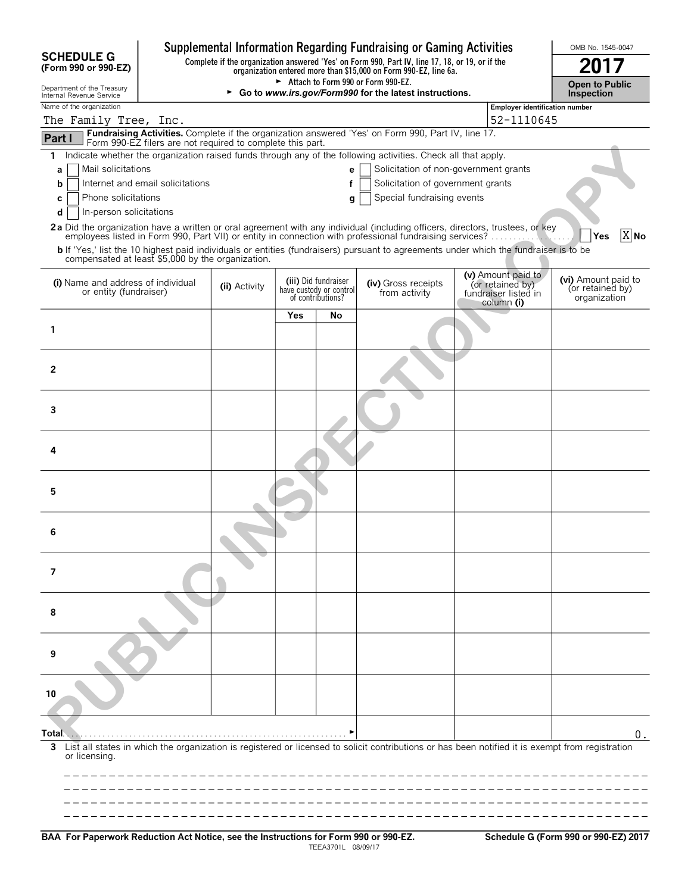|                                                                                                |                                                                                                                                                                     |               |     |                                                                      | Supplemental Information Regarding Fundraising or Gaming Activities                                                                                                                                                                                                                                                                                        |  |                                                                              | OMB No. 1545-0047                                       |
|------------------------------------------------------------------------------------------------|---------------------------------------------------------------------------------------------------------------------------------------------------------------------|---------------|-----|----------------------------------------------------------------------|------------------------------------------------------------------------------------------------------------------------------------------------------------------------------------------------------------------------------------------------------------------------------------------------------------------------------------------------------------|--|------------------------------------------------------------------------------|---------------------------------------------------------|
| <b>SCHEDULE G</b><br>(Form 990 or 990-EZ)                                                      | Complete if the organization answered 'Yes' on Form 990, Part IV, line 17, 18, or 19, or if the<br>organization entered more than \$15,000 on Form 990-EZ, line 6a. |               |     |                                                                      |                                                                                                                                                                                                                                                                                                                                                            |  | 2017                                                                         |                                                         |
| Department of the Treasury<br>Internal Revenue Service                                         | Attach to Form 990 or Form 990-EZ.<br>► Go to www.irs.gov/Form990 for the latest instructions.                                                                      |               |     |                                                                      |                                                                                                                                                                                                                                                                                                                                                            |  | <b>Open to Public</b><br><b>Inspection</b>                                   |                                                         |
| Name of the organization<br>The Family Tree, Inc.                                              |                                                                                                                                                                     |               |     |                                                                      |                                                                                                                                                                                                                                                                                                                                                            |  | <b>Employer identification number</b><br>52-1110645                          |                                                         |
| Part I                                                                                         | Form 990-EZ filers are not required to complete this part.                                                                                                          |               |     |                                                                      | Fundraising Activities. Complete if the organization answered 'Yes' on Form 990, Part IV, line 17.                                                                                                                                                                                                                                                         |  |                                                                              |                                                         |
| 1.<br>Mail solicitations<br>a<br>b<br>Phone solicitations<br>C<br>In-person solicitations<br>d | Internet and email solicitations                                                                                                                                    |               |     | e<br>f<br>g                                                          | Indicate whether the organization raised funds through any of the following activities. Check all that apply.<br>Solicitation of non-government grants<br>Solicitation of government grants<br>Special fundraising events<br>2a Did the organization have a written or oral agreement with any individual (including officers, directors, trustees, or key |  |                                                                              |                                                         |
| compensated at least \$5,000 by the organization.                                              |                                                                                                                                                                     |               |     |                                                                      | employees listed in Form 990, Part VII) or entity in connection with professional fundraising services?<br>b If 'Yes,' list the 10 highest paid individuals or entities (fundraisers) pursuant to agreements under which the fundraiser is to be                                                                                                           |  |                                                                              | $ \overline{X} $ No<br>Yes                              |
| (i) Name and address of individual<br>or entity (fundraiser)                                   |                                                                                                                                                                     | (ii) Activity |     | (iii) Did fundraiser<br>have custody or control<br>of contributions? | (iv) Gross receipts<br>from activity                                                                                                                                                                                                                                                                                                                       |  | (v) Amount paid to<br>(or retained by)<br>fundraiser listed in<br>column (i) | (vi) Amount paid to<br>(or retained by)<br>organization |
| 1                                                                                              |                                                                                                                                                                     |               | Yes | No                                                                   |                                                                                                                                                                                                                                                                                                                                                            |  |                                                                              |                                                         |
| 2                                                                                              |                                                                                                                                                                     |               |     |                                                                      |                                                                                                                                                                                                                                                                                                                                                            |  |                                                                              |                                                         |
| 3                                                                                              |                                                                                                                                                                     |               |     |                                                                      |                                                                                                                                                                                                                                                                                                                                                            |  |                                                                              |                                                         |
| 4                                                                                              |                                                                                                                                                                     |               |     |                                                                      |                                                                                                                                                                                                                                                                                                                                                            |  |                                                                              |                                                         |
| 5                                                                                              |                                                                                                                                                                     |               |     |                                                                      |                                                                                                                                                                                                                                                                                                                                                            |  |                                                                              |                                                         |
| 6                                                                                              |                                                                                                                                                                     |               |     |                                                                      |                                                                                                                                                                                                                                                                                                                                                            |  |                                                                              |                                                         |
| 7                                                                                              |                                                                                                                                                                     |               |     |                                                                      |                                                                                                                                                                                                                                                                                                                                                            |  |                                                                              |                                                         |
| 8                                                                                              |                                                                                                                                                                     |               |     |                                                                      |                                                                                                                                                                                                                                                                                                                                                            |  |                                                                              |                                                         |
| 9                                                                                              |                                                                                                                                                                     |               |     |                                                                      |                                                                                                                                                                                                                                                                                                                                                            |  |                                                                              |                                                         |
| 10                                                                                             |                                                                                                                                                                     |               |     |                                                                      |                                                                                                                                                                                                                                                                                                                                                            |  |                                                                              |                                                         |
| Total                                                                                          |                                                                                                                                                                     |               |     |                                                                      |                                                                                                                                                                                                                                                                                                                                                            |  |                                                                              | 0.                                                      |
| 3<br>or licensing.                                                                             |                                                                                                                                                                     |               |     |                                                                      | List all states in which the organization is registered or licensed to solicit contributions or has been notified it is exempt from registration                                                                                                                                                                                                           |  |                                                                              |                                                         |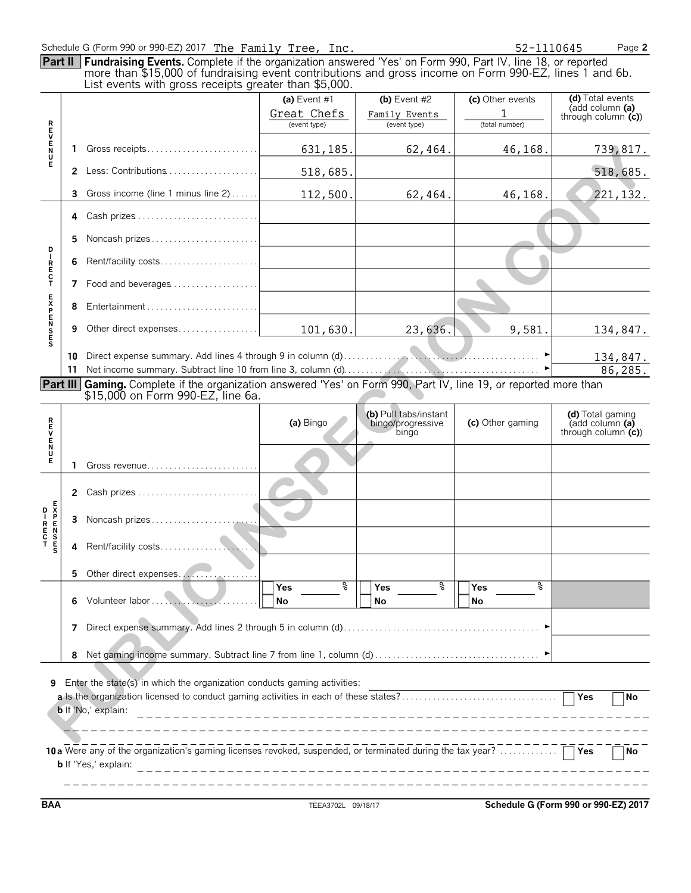|                |    | Schedule G (Form 990 or 990-EZ) 2017 The Family Tree, Inc.                                                                                                                                                                                                                    |                                               |                                                 | 52-1110645                         | Page 2                                                      |
|----------------|----|-------------------------------------------------------------------------------------------------------------------------------------------------------------------------------------------------------------------------------------------------------------------------------|-----------------------------------------------|-------------------------------------------------|------------------------------------|-------------------------------------------------------------|
| Part II        |    | Fundraising Events. Complete if the organization answered 'Yes' on Form 990, Part IV, line 18, or reported<br>more than \$15,000 of fundraising event contributions and gross income on Form 990-EZ, lines 1 and 6b.<br>List events with gross receipts greater than \$5,000. |                                               |                                                 |                                    |                                                             |
|                |    |                                                                                                                                                                                                                                                                               | (a) Event $#1$<br>Great Chefs<br>(event type) | (b) Event $#2$<br>Family Events<br>(event type) | (c) Other events<br>(total number) | (d) Total events<br>(add column (a)<br>through column $(c)$ |
| <b>RADENCE</b> |    | Gross receipts                                                                                                                                                                                                                                                                | 631, 185.                                     | 62,464.                                         | 46,168.                            | 739,817.                                                    |
|                | 2  | Less: Contributions                                                                                                                                                                                                                                                           | 518,685.                                      |                                                 |                                    | 518,685.                                                    |
|                | 3  | Gross income (line 1 minus line 2)                                                                                                                                                                                                                                            | 112,500.                                      | 62,464.                                         | 46,168.                            | 221, 132.                                                   |
|                | 4  |                                                                                                                                                                                                                                                                               |                                               |                                                 |                                    |                                                             |
|                |    |                                                                                                                                                                                                                                                                               |                                               |                                                 |                                    |                                                             |
| D – R E C T    | 6  | Rent/facility costs                                                                                                                                                                                                                                                           |                                               |                                                 |                                    |                                                             |
|                |    | Food and beverages                                                                                                                                                                                                                                                            |                                               |                                                 |                                    |                                                             |
|                | 8  |                                                                                                                                                                                                                                                                               |                                               |                                                 |                                    |                                                             |
| <b>CHONDIA</b> | 9  | Other direct expenses                                                                                                                                                                                                                                                         | 101,630.                                      | 23,636.                                         | 9,581.                             | 134,847.                                                    |
|                | 10 |                                                                                                                                                                                                                                                                               |                                               |                                                 |                                    | 134,847.                                                    |

| n<br>U<br>E                                                                                                        | 1        |                                                                                                                                          | 631, 185.       | 62, 464.                                            | 46, 168.         | 739,817.                                                    |  |
|--------------------------------------------------------------------------------------------------------------------|----------|------------------------------------------------------------------------------------------------------------------------------------------|-----------------|-----------------------------------------------------|------------------|-------------------------------------------------------------|--|
|                                                                                                                    | 2        | Less: Contributions                                                                                                                      | 518,685.        |                                                     |                  | 518,685.                                                    |  |
|                                                                                                                    | 3        | Gross income (line 1 minus line 2)                                                                                                       | 112,500.        | 62, 464.                                            | 46,168.          | 221, 132.                                                   |  |
|                                                                                                                    | 4        |                                                                                                                                          |                 |                                                     |                  |                                                             |  |
|                                                                                                                    | 5        | Noncash prizes                                                                                                                           |                 |                                                     |                  |                                                             |  |
| D<br>IRECT                                                                                                         | 6        | Rent/facility costs                                                                                                                      |                 |                                                     |                  |                                                             |  |
|                                                                                                                    |          | 7 Food and beverages                                                                                                                     |                 |                                                     |                  |                                                             |  |
|                                                                                                                    |          |                                                                                                                                          |                 |                                                     |                  |                                                             |  |
| <b>EXPENSES</b>                                                                                                    | 9        | Other direct expenses                                                                                                                    | 101,630.        | 23,636.                                             | 9,581.           | 134,847.                                                    |  |
|                                                                                                                    | 10<br>11 |                                                                                                                                          |                 |                                                     |                  | 134,847.<br>86,285.                                         |  |
| Part III                                                                                                           |          | Gaming. Complete if the organization answered 'Yes' on Form 990, Part IV, line 19, or reported more than                                 |                 |                                                     |                  |                                                             |  |
|                                                                                                                    |          | \$15,000 on Form 990-EZ, line 6a.                                                                                                        |                 |                                                     |                  |                                                             |  |
| R<br>EVEN                                                                                                          |          |                                                                                                                                          | (a) Bingo       | (b) Pull tabs/instant<br>bingo/progressive<br>bingo | (c) Other gaming | (d) Total gaming<br>(add column (a)<br>through column $(c)$ |  |
| Ľ                                                                                                                  | 1        | Gross revenue                                                                                                                            |                 |                                                     |                  |                                                             |  |
|                                                                                                                    |          | 2 Cash prizes                                                                                                                            |                 |                                                     |                  |                                                             |  |
|                                                                                                                    | 3        |                                                                                                                                          |                 |                                                     |                  |                                                             |  |
|                                                                                                                    | 4        |                                                                                                                                          |                 |                                                     |                  |                                                             |  |
|                                                                                                                    | 5.       |                                                                                                                                          |                 |                                                     |                  |                                                             |  |
|                                                                                                                    | 6        |                                                                                                                                          | နွ<br>Yes<br>No | နွ<br>Yes<br>No                                     | နွ<br>Yes<br>No  |                                                             |  |
|                                                                                                                    | 7        |                                                                                                                                          |                 |                                                     |                  |                                                             |  |
|                                                                                                                    | 8        |                                                                                                                                          |                 |                                                     |                  |                                                             |  |
|                                                                                                                    |          |                                                                                                                                          |                 |                                                     |                  |                                                             |  |
| Enter the state(s) in which the organization conducts gaming activities:<br>9<br>Yes<br><b>b</b> If 'No,' explain: |          |                                                                                                                                          |                 |                                                     |                  |                                                             |  |
|                                                                                                                    |          | _____________________________________                                                                                                    |                 |                                                     |                  |                                                             |  |
|                                                                                                                    |          | 10a Were any of the organization's gaming licenses revoked, suspended, or terminated during the tax year?<br><b>b</b> If 'Yes,' explain: |                 |                                                     |                  | No<br><b>Yes</b>                                            |  |
|                                                                                                                    |          |                                                                                                                                          |                 |                                                     |                  |                                                             |  |

**BAA TEEA3702L 09/18/17 Schedule G (Form 990 or 990-EZ) 2017**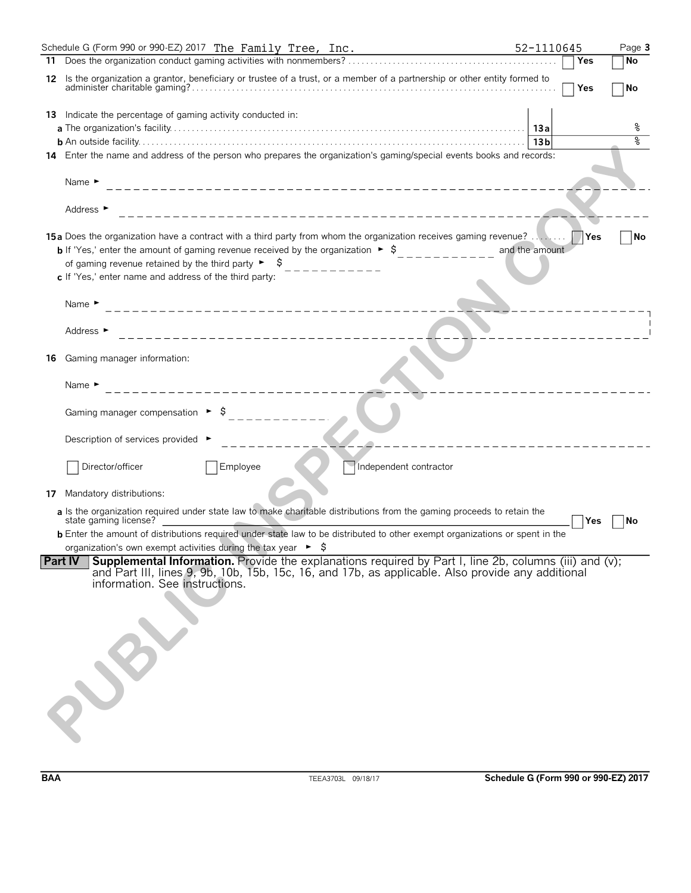| Schedule G (Form 990 or 990-EZ) 2017 The Family Tree, Inc. | 52-1110645                                                                                                                                                                                                                                                                                                                                                                                                                                             |                                                                                                                                                                                                                                                                                                                                                                                                                                                                                                                                        | Page 3                                                                                                                                                                                                                                                                                                                                                                   |
|------------------------------------------------------------|--------------------------------------------------------------------------------------------------------------------------------------------------------------------------------------------------------------------------------------------------------------------------------------------------------------------------------------------------------------------------------------------------------------------------------------------------------|----------------------------------------------------------------------------------------------------------------------------------------------------------------------------------------------------------------------------------------------------------------------------------------------------------------------------------------------------------------------------------------------------------------------------------------------------------------------------------------------------------------------------------------|--------------------------------------------------------------------------------------------------------------------------------------------------------------------------------------------------------------------------------------------------------------------------------------------------------------------------------------------------------------------------|
|                                                            |                                                                                                                                                                                                                                                                                                                                                                                                                                                        | Yes                                                                                                                                                                                                                                                                                                                                                                                                                                                                                                                                    | No                                                                                                                                                                                                                                                                                                                                                                       |
|                                                            |                                                                                                                                                                                                                                                                                                                                                                                                                                                        | Yes                                                                                                                                                                                                                                                                                                                                                                                                                                                                                                                                    | No                                                                                                                                                                                                                                                                                                                                                                       |
|                                                            |                                                                                                                                                                                                                                                                                                                                                                                                                                                        |                                                                                                                                                                                                                                                                                                                                                                                                                                                                                                                                        |                                                                                                                                                                                                                                                                                                                                                                          |
|                                                            | 13a                                                                                                                                                                                                                                                                                                                                                                                                                                                    |                                                                                                                                                                                                                                                                                                                                                                                                                                                                                                                                        | ៖                                                                                                                                                                                                                                                                                                                                                                        |
|                                                            | 13 <sub>b</sub>                                                                                                                                                                                                                                                                                                                                                                                                                                        |                                                                                                                                                                                                                                                                                                                                                                                                                                                                                                                                        | %                                                                                                                                                                                                                                                                                                                                                                        |
|                                                            |                                                                                                                                                                                                                                                                                                                                                                                                                                                        |                                                                                                                                                                                                                                                                                                                                                                                                                                                                                                                                        |                                                                                                                                                                                                                                                                                                                                                                          |
| Name $\blacktriangleright$                                 |                                                                                                                                                                                                                                                                                                                                                                                                                                                        |                                                                                                                                                                                                                                                                                                                                                                                                                                                                                                                                        |                                                                                                                                                                                                                                                                                                                                                                          |
| Address ▶<br>-------------------------------------         |                                                                                                                                                                                                                                                                                                                                                                                                                                                        |                                                                                                                                                                                                                                                                                                                                                                                                                                                                                                                                        |                                                                                                                                                                                                                                                                                                                                                                          |
|                                                            |                                                                                                                                                                                                                                                                                                                                                                                                                                                        |                                                                                                                                                                                                                                                                                                                                                                                                                                                                                                                                        | No                                                                                                                                                                                                                                                                                                                                                                       |
|                                                            |                                                                                                                                                                                                                                                                                                                                                                                                                                                        |                                                                                                                                                                                                                                                                                                                                                                                                                                                                                                                                        |                                                                                                                                                                                                                                                                                                                                                                          |
|                                                            |                                                                                                                                                                                                                                                                                                                                                                                                                                                        |                                                                                                                                                                                                                                                                                                                                                                                                                                                                                                                                        |                                                                                                                                                                                                                                                                                                                                                                          |
|                                                            |                                                                                                                                                                                                                                                                                                                                                                                                                                                        |                                                                                                                                                                                                                                                                                                                                                                                                                                                                                                                                        |                                                                                                                                                                                                                                                                                                                                                                          |
|                                                            |                                                                                                                                                                                                                                                                                                                                                                                                                                                        |                                                                                                                                                                                                                                                                                                                                                                                                                                                                                                                                        |                                                                                                                                                                                                                                                                                                                                                                          |
| Name $\blacktriangleright$                                 |                                                                                                                                                                                                                                                                                                                                                                                                                                                        |                                                                                                                                                                                                                                                                                                                                                                                                                                                                                                                                        |                                                                                                                                                                                                                                                                                                                                                                          |
|                                                            |                                                                                                                                                                                                                                                                                                                                                                                                                                                        |                                                                                                                                                                                                                                                                                                                                                                                                                                                                                                                                        |                                                                                                                                                                                                                                                                                                                                                                          |
| Address ▶<br>______________________                        |                                                                                                                                                                                                                                                                                                                                                                                                                                                        |                                                                                                                                                                                                                                                                                                                                                                                                                                                                                                                                        |                                                                                                                                                                                                                                                                                                                                                                          |
| Gaming manager information:                                |                                                                                                                                                                                                                                                                                                                                                                                                                                                        |                                                                                                                                                                                                                                                                                                                                                                                                                                                                                                                                        |                                                                                                                                                                                                                                                                                                                                                                          |
| Name $\blacktriangleright$<br>____________________         |                                                                                                                                                                                                                                                                                                                                                                                                                                                        |                                                                                                                                                                                                                                                                                                                                                                                                                                                                                                                                        |                                                                                                                                                                                                                                                                                                                                                                          |
| Gaming manager compensation $\triangleright$ \$            |                                                                                                                                                                                                                                                                                                                                                                                                                                                        |                                                                                                                                                                                                                                                                                                                                                                                                                                                                                                                                        |                                                                                                                                                                                                                                                                                                                                                                          |
| Description of services provided ▶                         |                                                                                                                                                                                                                                                                                                                                                                                                                                                        |                                                                                                                                                                                                                                                                                                                                                                                                                                                                                                                                        |                                                                                                                                                                                                                                                                                                                                                                          |
| Employee<br>Independent contractor<br>Director/officer     |                                                                                                                                                                                                                                                                                                                                                                                                                                                        |                                                                                                                                                                                                                                                                                                                                                                                                                                                                                                                                        |                                                                                                                                                                                                                                                                                                                                                                          |
| Mandatory distributions:                                   |                                                                                                                                                                                                                                                                                                                                                                                                                                                        |                                                                                                                                                                                                                                                                                                                                                                                                                                                                                                                                        |                                                                                                                                                                                                                                                                                                                                                                          |
| state gaming license?                                      |                                                                                                                                                                                                                                                                                                                                                                                                                                                        | Yes                                                                                                                                                                                                                                                                                                                                                                                                                                                                                                                                    | No                                                                                                                                                                                                                                                                                                                                                                       |
|                                                            |                                                                                                                                                                                                                                                                                                                                                                                                                                                        |                                                                                                                                                                                                                                                                                                                                                                                                                                                                                                                                        |                                                                                                                                                                                                                                                                                                                                                                          |
|                                                            |                                                                                                                                                                                                                                                                                                                                                                                                                                                        |                                                                                                                                                                                                                                                                                                                                                                                                                                                                                                                                        |                                                                                                                                                                                                                                                                                                                                                                          |
| information. See instructions.                             |                                                                                                                                                                                                                                                                                                                                                                                                                                                        |                                                                                                                                                                                                                                                                                                                                                                                                                                                                                                                                        |                                                                                                                                                                                                                                                                                                                                                                          |
|                                                            | <b>13</b> Indicate the percentage of gaming activity conducted in:<br><b>b</b> If 'Yes,' enter the amount of gaming revenue received by the organization $\triangleright$ \$<br>of gaming revenue retained by the third party $\triangleright$ $\uparrow$<br>c If 'Yes,' enter name and address of the third party:<br>_____________________________<br>organization's own exempt activities during the tax year $\triangleright$ \$<br><b>Part IV</b> | 12 Is the organization a grantor, beneficiary or trustee of a trust, or a member of a partnership or other entity formed to<br>14 Enter the name and address of the person who prepares the organization's gaming/special events books and records:<br>and the amount<br>a Is the organization required under state law to make charitable distributions from the gaming proceeds to retain the<br><b>b</b> Enter the amount of distributions required under state law to be distributed to other exempt organizations or spent in the | <b>15a</b> Does the organization have a contract with a third party from whom the organization receives gaming revenue?<br>Yes<br>________________<br><b>Supplemental Information.</b> Provide the explanations required by Part I, line 2b, columns (iii) and (v);<br>and Part III, lines 9, 9b, 10b, 15b, 15c, 16, and 17b, as applicable. Also provide any additional |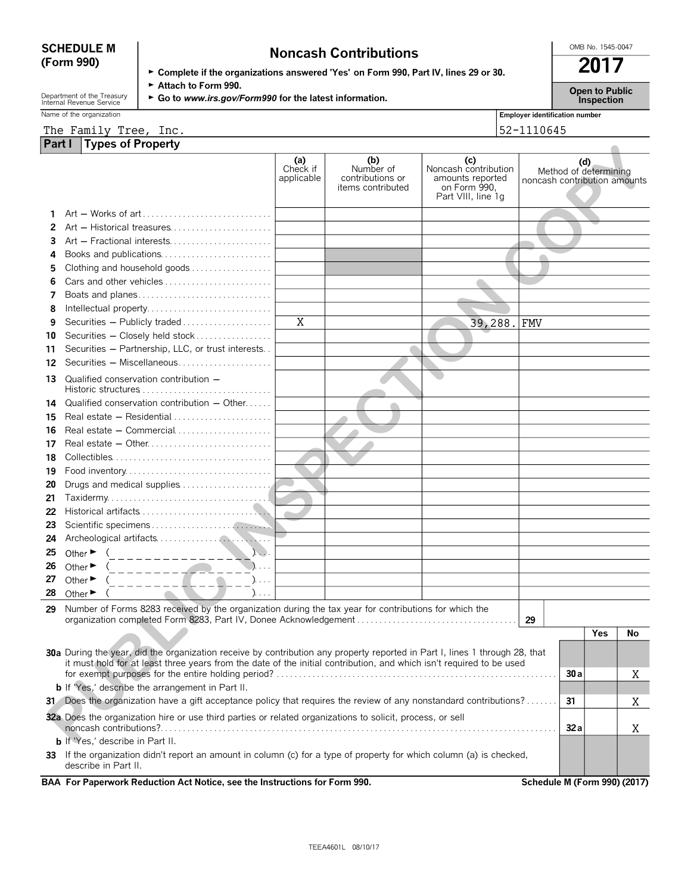| <b>SCHEDULE M</b> | <b>Noncash Contributions</b>                                                         | OMB No. 1545-0047 |
|-------------------|--------------------------------------------------------------------------------------|-------------------|
| (Form 990)        | ► Complete if the organizations answered 'Yes' on Form 990, Part IV, lines 29 or 30. | 2017              |
|                   |                                                                                      |                   |

Department of the Treasury **► Attach to Form 990.**<br>Internal Revenue Service ► Go to *www.irs.gov/Form990* for the latest information. Inspection Inspection

| Name of the organization                  |                | <b>Employer identification number</b> |                      |                        |
|-------------------------------------------|----------------|---------------------------------------|----------------------|------------------------|
| The Family Tree, Inc.                     |                | 52-1110645                            |                      |                        |
| <b>Part I</b><br><b>Types of Property</b> |                |                                       |                      |                        |
|                                           | (a<br>Check if | (b)<br>Number of                      | Noncash contribution | (d)<br>Method of deter |

| <b>raill</b>                                                                                                      | Types of Froperty                                                                                                                            |                               |                                                           |                                                                                       |    |                                                              |    |
|-------------------------------------------------------------------------------------------------------------------|----------------------------------------------------------------------------------------------------------------------------------------------|-------------------------------|-----------------------------------------------------------|---------------------------------------------------------------------------------------|----|--------------------------------------------------------------|----|
|                                                                                                                   |                                                                                                                                              | (a)<br>Check if<br>applicable | (b)<br>Number of<br>contributions or<br>items contributed | (c)<br>Noncash contribution<br>amounts reported<br>on Form 990,<br>Part VIII, line 1g |    | (d)<br>Method of determining<br>noncash contribution amounts |    |
| 1.                                                                                                                |                                                                                                                                              |                               |                                                           |                                                                                       |    |                                                              |    |
| 2                                                                                                                 |                                                                                                                                              |                               |                                                           |                                                                                       |    |                                                              |    |
| 3                                                                                                                 |                                                                                                                                              |                               |                                                           |                                                                                       |    |                                                              |    |
| 4                                                                                                                 | Books and publications                                                                                                                       |                               |                                                           |                                                                                       |    |                                                              |    |
| 5                                                                                                                 | Clothing and household goods                                                                                                                 |                               |                                                           |                                                                                       |    |                                                              |    |
| 6                                                                                                                 | Cars and other vehicles                                                                                                                      |                               |                                                           |                                                                                       |    |                                                              |    |
| 7                                                                                                                 |                                                                                                                                              |                               |                                                           |                                                                                       |    |                                                              |    |
| 8                                                                                                                 | Intellectual property                                                                                                                        |                               |                                                           |                                                                                       |    |                                                              |    |
| 9                                                                                                                 | Securities - Publicly traded                                                                                                                 | $\overline{\mathbf{x}}$       |                                                           | 39,288. FMV                                                                           |    |                                                              |    |
| 10                                                                                                                | Securities - Closely held stock                                                                                                              |                               |                                                           |                                                                                       |    |                                                              |    |
| 11                                                                                                                | Securities - Partnership, LLC, or trust interests                                                                                            |                               |                                                           |                                                                                       |    |                                                              |    |
| 12                                                                                                                | Securities - Miscellaneous                                                                                                                   |                               |                                                           |                                                                                       |    |                                                              |    |
|                                                                                                                   |                                                                                                                                              |                               |                                                           |                                                                                       |    |                                                              |    |
| 13                                                                                                                | Qualified conservation contribution -                                                                                                        |                               |                                                           |                                                                                       |    |                                                              |    |
| 14                                                                                                                | Qualified conservation contribution - Other                                                                                                  |                               |                                                           |                                                                                       |    |                                                              |    |
| 15                                                                                                                | Real estate $-$ Residential $\ldots \ldots \ldots \ldots \ldots \ldots$                                                                      |                               |                                                           |                                                                                       |    |                                                              |    |
| 16                                                                                                                | Real estate - Commercial                                                                                                                     |                               |                                                           |                                                                                       |    |                                                              |    |
| 17                                                                                                                |                                                                                                                                              |                               |                                                           |                                                                                       |    |                                                              |    |
| 18                                                                                                                |                                                                                                                                              |                               |                                                           |                                                                                       |    |                                                              |    |
| 19                                                                                                                |                                                                                                                                              |                               |                                                           |                                                                                       |    |                                                              |    |
| 20                                                                                                                |                                                                                                                                              |                               |                                                           |                                                                                       |    |                                                              |    |
| 21                                                                                                                |                                                                                                                                              |                               |                                                           |                                                                                       |    |                                                              |    |
| 22                                                                                                                |                                                                                                                                              |                               |                                                           |                                                                                       |    |                                                              |    |
| 23                                                                                                                |                                                                                                                                              |                               |                                                           |                                                                                       |    |                                                              |    |
| 24                                                                                                                |                                                                                                                                              |                               |                                                           |                                                                                       |    |                                                              |    |
| 25                                                                                                                | Other $\blacktriangleright$ (                                                                                                                |                               |                                                           |                                                                                       |    |                                                              |    |
| 26                                                                                                                | Other $\blacktriangleright$<br>$\left($<br>_________________                                                                                 |                               |                                                           |                                                                                       |    |                                                              |    |
| 27                                                                                                                | Other $\blacktriangleright$<br>).<br>$\left($<br>________ <b>______</b> __                                                                   |                               |                                                           |                                                                                       |    |                                                              |    |
| 28                                                                                                                | Other $\blacktriangleright$<br>). $\ldots$                                                                                                   |                               |                                                           |                                                                                       |    |                                                              |    |
| 29                                                                                                                | Number of Forms 8283 received by the organization during the tax year for contributions for which the                                        |                               |                                                           |                                                                                       |    |                                                              |    |
|                                                                                                                   | organization completed Form 8283, Part IV, Donee Acknowledgement                                                                             |                               |                                                           |                                                                                       | 29 |                                                              |    |
|                                                                                                                   |                                                                                                                                              |                               |                                                           |                                                                                       |    | Yes                                                          | No |
|                                                                                                                   | 30a During the year, did the organization receive by contribution any property reported in Part I, lines 1 through 28, that                  |                               |                                                           |                                                                                       |    |                                                              |    |
|                                                                                                                   | it must hold for at least three years from the date of the initial contribution, and which isn't required to be used                         |                               |                                                           |                                                                                       |    |                                                              |    |
|                                                                                                                   |                                                                                                                                              |                               |                                                           |                                                                                       |    | 30 a                                                         | Χ  |
|                                                                                                                   | <b>b</b> If 'Yes,' describe the arrangement in Part II.                                                                                      |                               |                                                           |                                                                                       |    |                                                              |    |
| 31 Does the organization have a gift acceptance policy that requires the review of any nonstandard contributions? | 31                                                                                                                                           | Χ                             |                                                           |                                                                                       |    |                                                              |    |
| 32a Does the organization hire or use third parties or related organizations to solicit, process, or sell         |                                                                                                                                              |                               |                                                           |                                                                                       |    |                                                              |    |
| <b>b</b> If 'Yes,' describe in Part II.                                                                           |                                                                                                                                              |                               |                                                           |                                                                                       |    | 32 a                                                         | Χ  |
|                                                                                                                   | 33 If the organization didn't report an amount in column (c) for a type of property for which column (a) is checked,<br>describe in Part II. |                               |                                                           |                                                                                       |    |                                                              |    |
|                                                                                                                   | <b>DAA</b> For Reparatively Reduction Act Notice, see the Instructions for Form 000                                                          |                               |                                                           |                                                                                       |    | Cohodule M (Fount 000) (2017)                                |    |

**BAA For Paperwork Reduction Act Notice, see the Instructions for Form 990. Schedule M (Form 990) (2017) BAA Form 990**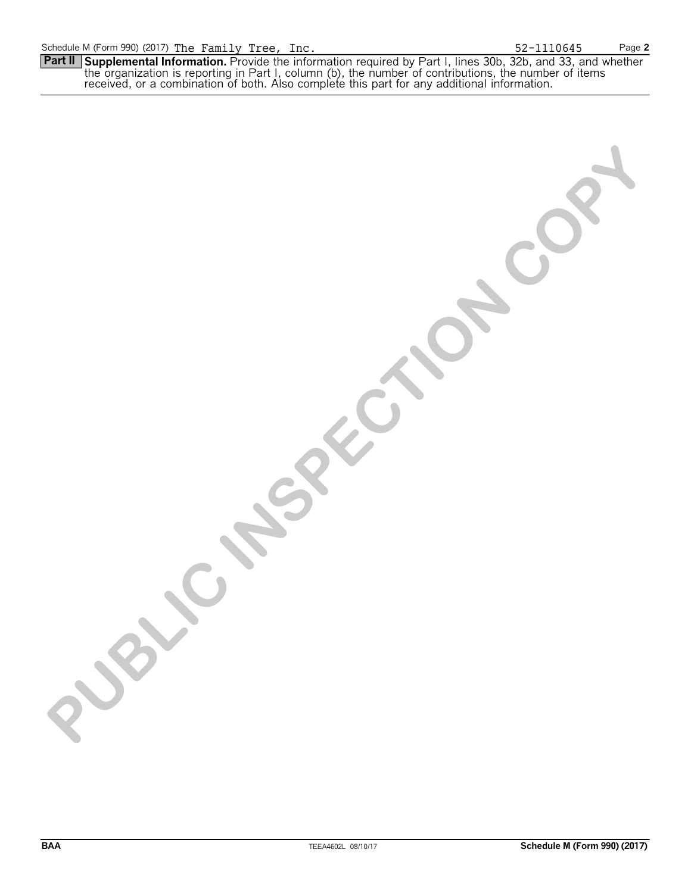**Part II Supplemental Information.** Provide the information required by Part I, lines 30b, 32b, and 33, and whether the organization is reporting in Part I, column (b), the number of contributions, the number of items received, or a combination of both. Also complete this part for any additional information.

PUBLIC INSPECTION COPY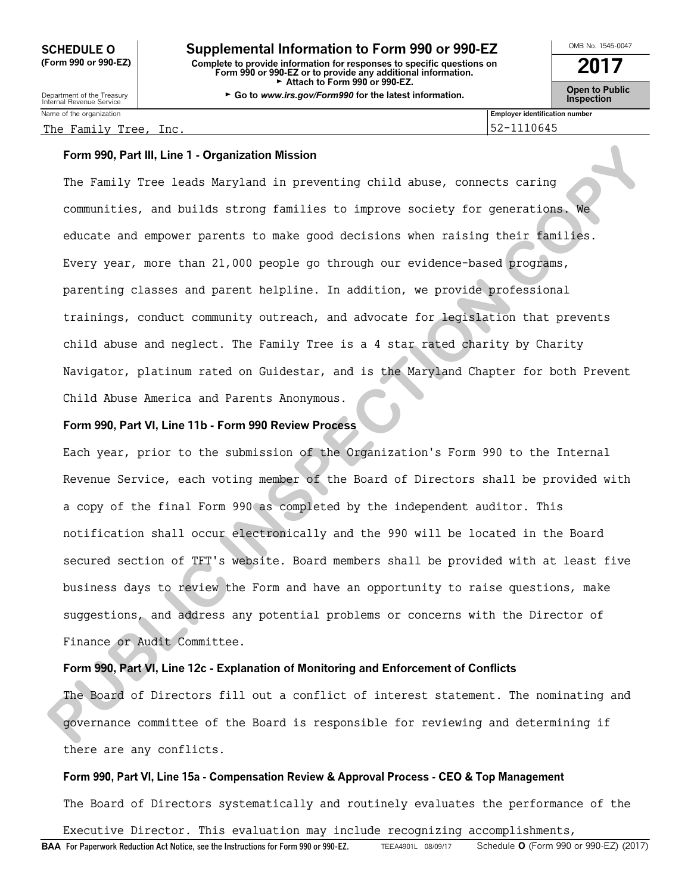## **SCHEDULE O Supplemental Information to Form 990 or 990-EZ** MB No. 1545-0047 **(Form 990 or 990-EZ) Complete to provide information for responses to specific questions on Form 990 or 990-EZ or to provide any additional information. 2017** Attach to Form 990 or 990-EZ.

**Open to Public** Department of the Treasury <sup>G</sup>**Go to** *www.irs.gov/Form990* **for the latest information.**

Department of the Treasury<br>Internal Revenue Service Name of the organization **Employer identification number Employer identification number** 

#### The Family Tree, Inc.  $\vert$  52-1110645

#### **Form 990, Part III, Line 1 - Organization Mission**

The Family Tree leads Maryland in preventing child abuse, connects caring communities, and builds strong families to improve society for generations. We educate and empower parents to make good decisions when raising their families. Every year, more than 21,000 people go through our evidence-based programs, parenting classes and parent helpline. In addition, we provide professional trainings, conduct community outreach, and advocate for legislation that prevents child abuse and neglect. The Family Tree is a 4 star rated charity by Charity Navigator, platinum rated on Guidestar, and is the Maryland Chapter for both Prevent Child Abuse America and Parents Anonymous. **Ponm 990, Partit, Line 1 - Organization Mission**<br>The Family Tree leads Maryland in preventing child abuse, connects caring<br>communities, and builds strong funnities to improve provide professions.<br>We<br>content and empower pe

#### **Form 990, Part VI, Line 11b - Form 990 Review Process**

Each year, prior to the submission of the Organization's Form 990 to the Internal Revenue Service, each voting member of the Board of Directors shall be provided with a copy of the final Form 990 as completed by the independent auditor. This notification shall occur electronically and the 990 will be located in the Board secured section of TFT's website. Board members shall be provided with at least five business days to review the Form and have an opportunity to raise questions, make suggestions, and address any potential problems or concerns with the Director of Finance or Audit Committee.

## **Form 990, Part VI, Line 12c - Explanation of Monitoring and Enforcement of Conflicts**

The Board of Directors fill out a conflict of interest statement. The nominating and governance committee of the Board is responsible for reviewing and determining if there are any conflicts.

## Form 990, Part VI, Line 15a - Compensation Review & Approval Process - CEO & Top Management

The Board of Directors systematically and routinely evaluates the performance of the

**BAA For Paperwork Reduction Act Notice, see the Instructions for Form 990 or 990-EZ.** TEEA4901L 08/09/17 Schedule **O** (Form 990 or 990-EZ) (2017) Executive Director. This evaluation may include recognizing accomplishments,